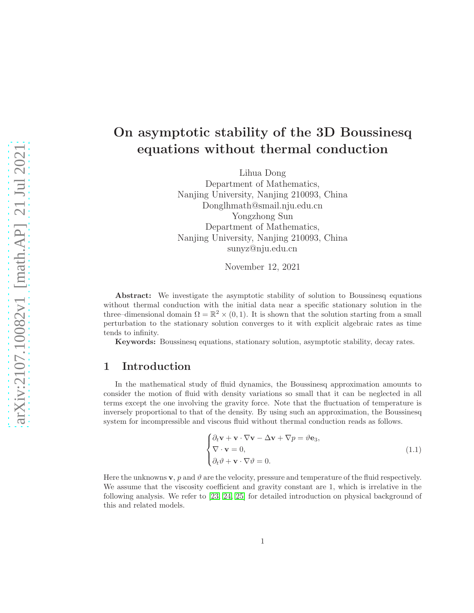# On asymptotic stability of the 3D Boussinesq equations without thermal conduction

Lihua Dong Department of Mathematics, Nanjing University, Nanjing 210093, China Donglhmath@smail.nju.edu.cn Yongzhong Sun Department of Mathematics, Nanjing University, Nanjing 210093, China sunyz@nju.edu.cn

November 12, 2021

Abstract: We investigate the asymptotic stability of solution to Boussinesq equations without thermal conduction with the initial data near a specific stationary solution in the three–dimensional domain  $\Omega = \mathbb{R}^2 \times (0, 1)$ . It is shown that the solution starting from a small perturbation to the stationary solution converges to it with explicit algebraic rates as time tends to infinity.

Keywords: Boussinesq equations, stationary solution, asymptotic stability, decay rates.

# 1 Introduction

In the mathematical study of fluid dynamics, the Boussinesq approximation amounts to consider the motion of fluid with density variations so small that it can be neglected in all terms except the one involving the gravity force. Note that the fluctuation of temperature is inversely proportional to that of the density. By using such an approximation, the Boussinesq system for incompressible and viscous fluid without thermal conduction reads as follows.

<span id="page-0-0"></span>
$$
\begin{cases} \partial_t \mathbf{v} + \mathbf{v} \cdot \nabla \mathbf{v} - \Delta \mathbf{v} + \nabla p = \vartheta \mathbf{e}_3, \\ \nabla \cdot \mathbf{v} = 0, \\ \partial_t \vartheta + \mathbf{v} \cdot \nabla \vartheta = 0. \end{cases}
$$
(1.1)

Here the unknowns **v**, p and  $\vartheta$  are the velocity, pressure and temperature of the fluid respectively. We assume that the viscosity coefficient and gravity constant are 1, which is irrelative in the following analysis. We refer to [\[23,](#page-35-0) [24,](#page-35-1) [25\]](#page-35-2) for detailed introduction on physical background of this and related models.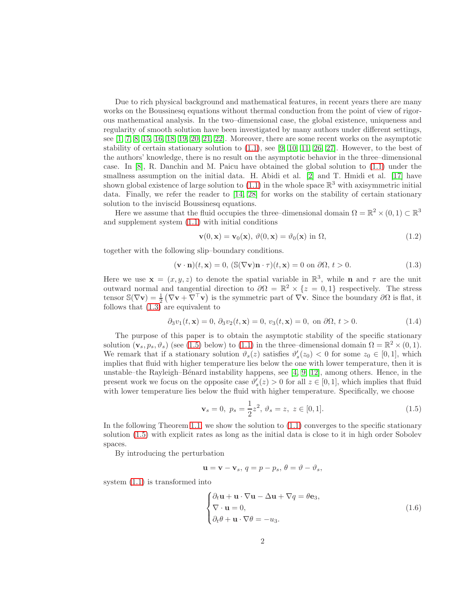Due to rich physical background and mathematical features, in recent years there are many works on the Boussinesq equations without thermal conduction from the point of view of rigorous mathematical analysis. In the two–dimensional case, the global existence, uniqueness and regularity of smooth solution have been investigated by many authors under different settings, see  $\left[1, 7, 8, 15, 16, 18, 19, 20, 21, 22\right]$  $\left[1, 7, 8, 15, 16, 18, 19, 20, 21, 22\right]$  $\left[1, 7, 8, 15, 16, 18, 19, 20, 21, 22\right]$  $\left[1, 7, 8, 15, 16, 18, 19, 20, 21, 22\right]$  $\left[1, 7, 8, 15, 16, 18, 19, 20, 21, 22\right]$  $\left[1, 7, 8, 15, 16, 18, 19, 20, 21, 22\right]$  $\left[1, 7, 8, 15, 16, 18, 19, 20, 21, 22\right]$  $\left[1, 7, 8, 15, 16, 18, 19, 20, 21, 22\right]$  $\left[1, 7, 8, 15, 16, 18, 19, 20, 21, 22\right]$  $\left[1, 7, 8, 15, 16, 18, 19, 20, 21, 22\right]$ . Moreover, there are some recent works on the asymptotic stability of certain stationary solution to  $(1.1)$ , see  $[9, 10, 11, 26, 27]$  $[9, 10, 11, 26, 27]$  $[9, 10, 11, 26, 27]$  $[9, 10, 11, 26, 27]$  $[9, 10, 11, 26, 27]$ . However, to the best of the authors' knowledge, there is no result on the asymptotic behavior in the three–dimensional case. In [\[8\]](#page-34-1), R. Danchin and M. Paicu have obtained the global solution to [\(1.1\)](#page-0-0) under the smallness assumption on the initial data. H. Abidi et al. [\[2\]](#page-33-1) and T. Hmidi et al. [\[17\]](#page-34-11) have shown global existence of large solution to  $(1.1)$  in the whole space  $\mathbb{R}^3$  with axisymmetric initial data. Finally, we refer the reader to [\[14,](#page-34-12) [28\]](#page-35-6) for works on the stability of certain stationary solution to the inviscid Boussinesq equations.

Here we assume that the fluid occupies the three–dimensional domain  $\Omega = \mathbb{R}^2 \times (0,1) \subset \mathbb{R}^3$ and supplement system [\(1.1\)](#page-0-0) with initial conditions

$$
\mathbf{v}(0,\mathbf{x}) = \mathbf{v}_0(\mathbf{x}), \ \vartheta(0,\mathbf{x}) = \vartheta_0(\mathbf{x}) \text{ in } \Omega,
$$
\n(1.2)

together with the following slip–boundary conditions.

<span id="page-1-0"></span>
$$
(\mathbf{v} \cdot \mathbf{n})(t, \mathbf{x}) = 0, (\mathbb{S}(\nabla \mathbf{v})\mathbf{n} \cdot \tau)(t, \mathbf{x}) = 0 \text{ on } \partial\Omega, t > 0.
$$
 (1.3)

Here we use  $\mathbf{x} = (x, y, z)$  to denote the spatial variable in  $\mathbb{R}^3$ , while **n** and  $\tau$  are the unit outward normal and tangential direction to  $\partial\Omega = \mathbb{R}^2 \times \{z = 0, 1\}$  respectively. The stress tensor  $\mathbb{S}(\nabla \mathbf{v}) = \frac{1}{2} (\nabla \mathbf{v} + \nabla^{\top} \mathbf{v})$  is the symmetric part of  $\nabla \mathbf{v}$ . Since the boundary  $\partial \Omega$  is flat, it follows that  $(1.3)$  are equivalent to

$$
\partial_3 v_1(t, \mathbf{x}) = 0, \, \partial_3 v_2(t, \mathbf{x}) = 0, \, v_3(t, \mathbf{x}) = 0, \text{ on } \partial\Omega, \, t > 0. \tag{1.4}
$$

The purpose of this paper is to obtain the asymptotic stability of the specific stationary solution  $(\mathbf{v}_s, p_s, \vartheta_s)$  (see [\(1.5\)](#page-1-1) below) to [\(1.1\)](#page-0-0) in the three–dimensional domain  $\Omega = \mathbb{R}^2 \times (0, 1)$ . We remark that if a stationary solution  $\vartheta_s(z)$  satisfies  $\vartheta'_s(z_0) < 0$  for some  $z_0 \in [0,1]$ , which implies that fluid with higher temperature lies below the one with lower temperature, then it is unstable–the Rayleigh–Bénard instability happens, see  $[4, 9, 12]$  $[4, 9, 12]$  $[4, 9, 12]$ , among others. Hence, in the present work we focus on the opposite case  $\vartheta'_{s}(z) > 0$  for all  $z \in [0, 1]$ , which implies that fluid with lower temperature lies below the fluid with higher temperature. Specifically, we choose

<span id="page-1-1"></span>
$$
\mathbf{v}_s = 0, \ p_s = \frac{1}{2}z^2, \ \vartheta_s = z, \ z \in [0, 1]. \tag{1.5}
$$

In the following Theorem [1.1,](#page-2-0) we show the solution to [\(1.1\)](#page-0-0) converges to the specific stationary solution [\(1.5\)](#page-1-1) with explicit rates as long as the initial data is close to it in high order Sobolev spaces.

By introducing the perturbation

$$
\mathbf{u} = \mathbf{v} - \mathbf{v}_s, \, q = p - p_s, \, \theta = \vartheta - \vartheta_s,
$$

system [\(1.1\)](#page-0-0) is transformed into

<span id="page-1-2"></span>
$$
\begin{cases} \partial_t \mathbf{u} + \mathbf{u} \cdot \nabla \mathbf{u} - \Delta \mathbf{u} + \nabla q = \theta \mathbf{e}_3, \\ \nabla \cdot \mathbf{u} = 0, \\ \partial_t \theta + \mathbf{u} \cdot \nabla \theta = -u_3. \end{cases}
$$
 (1.6)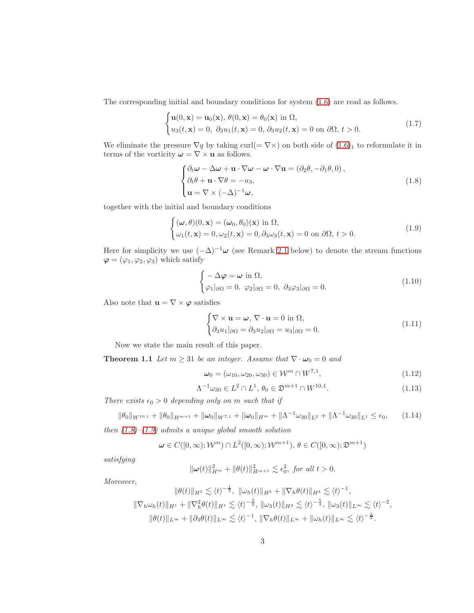The corresponding initial and boundary conditions for system [\(1.6\)](#page-1-2) are read as follows.

$$
\begin{cases}\n\mathbf{u}(0,\mathbf{x}) = \mathbf{u}_0(\mathbf{x}), \ \theta(0,\mathbf{x}) = \theta_0(\mathbf{x}) \text{ in } \Omega, \\
u_3(t,\mathbf{x}) = 0, \ \partial_3 u_1(t,\mathbf{x}) = 0, \ \partial_3 u_2(t,\mathbf{x}) = 0 \text{ on } \partial\Omega, \ t > 0.\n\end{cases}
$$
\n(1.7)

We eliminate the pressure  $\nabla q$  by taking curl(=  $\nabla \times$ ) on both side of  $(1.6)<sub>1</sub>$  to reformulate it in terms of the vorticity  $\boldsymbol{\omega} = \nabla \times \mathbf{u}$  as follows.

<span id="page-2-1"></span>
$$
\begin{cases} \partial_t \omega - \Delta \omega + \mathbf{u} \cdot \nabla \omega - \omega \cdot \nabla \mathbf{u} = (\partial_2 \theta, -\partial_1 \theta, 0), \\ \partial_t \theta + \mathbf{u} \cdot \nabla \theta = -u_3, \\ \mathbf{u} = \nabla \times (-\Delta)^{-1} \omega, \end{cases}
$$
(1.8)

together with the initial and boundary conditions

<span id="page-2-2"></span>
$$
\begin{cases}\n(\boldsymbol{\omega}, \theta)(0, \mathbf{x}) = (\boldsymbol{\omega}_0, \theta_0)(\mathbf{x}) \text{ in } \Omega, \\
\omega_1(t, \mathbf{x}) = 0, \omega_2(t, \mathbf{x}) = 0, \partial_3 \omega_3(t, \mathbf{x}) = 0 \text{ on } \partial\Omega, t > 0.\n\end{cases}
$$
\n(1.9)

Here for simplicity we use  $(-\Delta)^{-1}\omega$  (see Remark [2.1](#page-6-0) below) to denote the stream functions  $\varphi = (\varphi_1, \varphi_2, \varphi_3)$  which satisfy

<span id="page-2-3"></span>
$$
\begin{cases}\n-\Delta \varphi = \omega \text{ in } \Omega, \\
\varphi_1|_{\partial \Omega} = 0, \ \varphi_2|_{\partial \Omega} = 0, \ \partial_3 \varphi_3|_{\partial \Omega} = 0.\n\end{cases}
$$
\n(1.10)

Also note that  $\mathbf{u} = \nabla \times \boldsymbol{\varphi}$  satisfies

<span id="page-2-4"></span><span id="page-2-0"></span>
$$
\begin{cases} \nabla \times \mathbf{u} = \boldsymbol{\omega}, \, \nabla \cdot \mathbf{u} = 0 \text{ in } \Omega, \\ \partial_3 u_1 |_{\partial \Omega} = \partial_3 u_2 |_{\partial \Omega} = u_3 |_{\partial \Omega} = 0. \end{cases} \tag{1.11}
$$

Now we state the main result of this paper.

**Theorem 1.1** Let  $m \geq 31$  be an integer. Assume that  $\nabla \cdot \boldsymbol{\omega}_0 = 0$  and

$$
\omega_0 = (\omega_{10}, \omega_{20}, \omega_{30}) \in \mathcal{W}^m \cap W^{7,1}, \tag{1.12}
$$

$$
\Lambda^{-1}\omega_{30} \in L^2 \cap L^1, \ \theta_0 \in \mathfrak{D}^{m+1} \cap W^{10,1}.\tag{1.13}
$$

There exists  $\epsilon_0 > 0$  depending only on m such that if

$$
\|\theta_0\|_{W^{10,1}} + \|\theta_0\|_{H^{m+1}} + \|\omega_0\|_{W^{7,1}} + \|\omega_0\|_{H^m} + \|\Lambda^{-1}\omega_{30}\|_{L^2} + \|\Lambda^{-1}\omega_{30}\|_{L^1} \le \epsilon_0, \qquad (1.14)
$$

then  $(1.8)$ – $(1.9)$  admits a unique global smooth solution

$$
\boldsymbol{\omega} \in C([0,\infty); \mathcal{W}^m) \cap L^2([0,\infty); \mathcal{W}^{m+1}), \ \theta \in C([0,\infty); \mathfrak{D}^{m+1})
$$

satisfying

$$
\|\omega(t)\|_{H^m}^2 + \|\theta(t)\|_{H^{m+1}}^2 \lesssim \epsilon_0^2, \text{ for all } t > 0.
$$

Moreover,

$$
\|\theta(t)\|_{H^5} \lesssim \langle t \rangle^{-\frac{1}{2}}, \ \|\omega_h(t)\|_{H^3} + \|\nabla_h \theta(t)\|_{H^3} \lesssim \langle t \rangle^{-1},
$$
  

$$
\|\nabla_h \omega_h(t)\|_{H^1} + \|\nabla_h^2 \theta(t)\|_{H^1} \lesssim \langle t \rangle^{-\frac{3}{2}}, \ \|\omega_3(t)\|_{H^3} \lesssim \langle t \rangle^{-\frac{5}{4}}, \ \|\omega_3(t)\|_{L^\infty} \lesssim \langle t \rangle^{-2},
$$
  

$$
\|\theta(t)\|_{L^\infty} + \|\partial_3 \theta(t)\|_{L^\infty} \lesssim \langle t \rangle^{-1}, \ \|\nabla_h \theta(t)\|_{L^\infty} + \|\omega_h(t)\|_{L^\infty} \lesssim \langle t \rangle^{-\frac{3}{2}}.
$$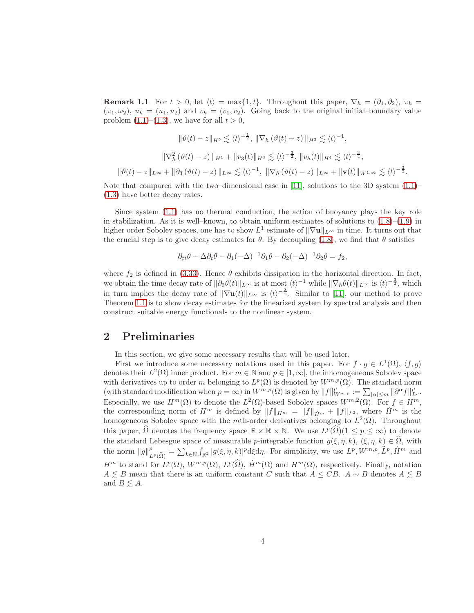**Remark 1.1** For  $t > 0$ , let  $\langle t \rangle = \max\{1, t\}$ . Throughout this paper,  $\nabla_h = (\partial_1, \partial_2)$ ,  $\omega_h =$  $(\omega_1, \omega_2)$ ,  $u_h = (u_1, u_2)$  and  $v_h = (v_1, v_2)$ . Going back to the original initial-boundary value problem  $(1.1)$ – $(1.3)$ , we have for all  $t > 0$ ,

$$
\|\vartheta(t) - z\|_{H^5} \lesssim \langle t \rangle^{-\frac{1}{2}}, \|\nabla_h(\vartheta(t) - z)\|_{H^3} \lesssim \langle t \rangle^{-1},
$$
  

$$
\|\nabla_h^2(\vartheta(t) - z)\|_{H^1} + \|v_3(t)\|_{H^3} \lesssim \langle t \rangle^{-\frac{3}{2}}, \|v_h(t)\|_{H^4} \lesssim \langle t \rangle^{-\frac{3}{4}},
$$
  

$$
\|\vartheta(t) - z\|_{L^\infty} + \|\partial_3(\vartheta(t) - z)\|_{L^\infty} \lesssim \langle t \rangle^{-1}, \ \|\nabla_h(\vartheta(t) - z)\|_{L^\infty} + \|\mathbf{v}(t)\|_{W^{1,\infty}} \lesssim \langle t \rangle^{-\frac{3}{2}}.
$$

Note that compared with the two–dimensional case in [\[11\]](#page-34-10), solutions to the 3D system  $(1.1)$ – [\(1.3\)](#page-1-0) have better decay rates.

Since system [\(1.1\)](#page-0-0) has no thermal conduction, the action of buoyancy plays the key role in stabilization. As it is well–known, to obtain uniform estimates of solutions to  $(1.8)$ – $(1.9)$  in higher order Sobolev spaces, one has to show  $L^1$  estimate of  $\|\nabla\mathbf{u}\|_{L^{\infty}}$  in time. It turns out that the crucial step is to give decay estimates for  $\theta$ . By decoupling [\(1.8\)](#page-2-1), we find that  $\theta$  satisfies

$$
\partial_{tt}\theta - \Delta \partial_t \theta - \partial_1 (-\Delta)^{-1} \partial_1 \theta - \partial_2 (-\Delta)^{-1} \partial_2 \theta = f_2,
$$

where  $f_2$  is defined in [\(3.33\)](#page-14-0). Hence  $\theta$  exhibits dissipation in the horizontal direction. In fact, we obtain the time decay rate of  $\|\partial_3\theta(t)\|_{L^\infty}$  is at most  $\langle t \rangle^{-1}$  while  $\|\nabla_h\theta(t)\|_{L^\infty}$  is  $\langle t \rangle^{-\frac{3}{2}}$ , which in turn implies the decay rate of  $\|\nabla \mathbf{u}(t)\|_{L^{\infty}}$  is  $\langle t \rangle^{-\frac{3}{2}}$ . Similar to [\[11\]](#page-34-10), our method to prove Theorem [1.1](#page-2-0) is to show decay estimates for the linearized system by spectral analysis and then construct suitable energy functionals to the nonlinear system.

# 2 Preliminaries

In this section, we give some necessary results that will be used later.

First we introduce some necessary notations used in this paper. For  $f \cdot g \in L^1(\Omega)$ ,  $\langle f, g \rangle$ denotes their  $L^2(\Omega)$  inner product. For  $m \in \mathbb{N}$  and  $p \in [1,\infty]$ , the inhomogeneous Sobolev space with derivatives up to order m belonging to  $L^p(\Omega)$  is denoted by  $W^{m,p}(\Omega)$ . The standard norm (with standard modification when  $p = \infty$ ) in  $W^{m,p}(\Omega)$  is given by  $||f||^p_{W^{m,p}} := \sum_{|\alpha| \le m} ||\partial^{\alpha} f||^p_{L^p}$ . Especially, we use  $H^m(\Omega)$  to denote the  $L^2(\Omega)$ -based Sobolev spaces  $W^{m,2}(\Omega)$ . For  $f \in H^m$ , the corresponding norm of  $H^m$  is defined by  $||f||_{H^m} = ||f||_{\dot{H}^m} + ||f||_{L^2}$ , where  $\dot{H}^m$  is the homogeneous Sobolev space with the *m*th-order derivatives belonging to  $L^2(\Omega)$ . Throughout this paper,  $\widehat{\Omega}$  denotes the frequency space  $\mathbb{R} \times \mathbb{R} \times \mathbb{N}$ . We use  $L^p(\widehat{\Omega})(1 \le p \le \infty)$  to denote the standard Lebesgue space of measurable p-integrable function  $g(\xi, \eta, k)$ ,  $(\xi, \eta, k) \in \Omega$ , with the norm  $||g||_{L^p(\widehat{\Omega})}^p = \sum_{k \in \mathbb{N}} \int_{\mathbb{R}^2} |g(\xi, \eta, k)|^p d\xi d\eta$ . For simplicity, we use  $L^p, W^{m,p}, \widehat{L}^p, \dot{H}^m$  and  $H^m$  to stand for  $L^p(\Omega)$ ,  $W^{m,p}(\Omega)$ ,  $L^p(\widehat{\Omega})$ ,  $\dot{H}^m(\Omega)$  and  $H^m(\Omega)$ , respectively. Finally, notation  $A \leq B$  mean that there is an uniform constant C such that  $A \leq CB$ .  $A \sim B$  denotes  $A \leq B$ and  $B \n\leq A$ .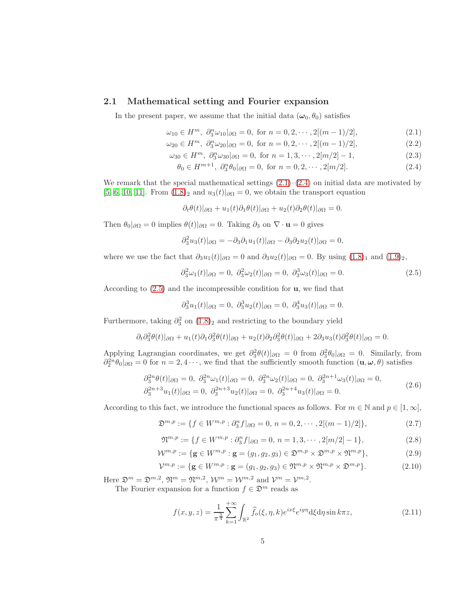## 2.1 Mathematical setting and Fourier expansion

In the present paper, we assume that the initial data  $(\omega_0, \theta_0)$  satisfies

<span id="page-4-0"></span>
$$
\omega_{10} \in H^m, \ \partial_3^n \omega_{10} |_{\partial \Omega} = 0, \text{ for } n = 0, 2, \cdots, 2[(m-1)/2], \tag{2.1}
$$

$$
\omega_{20} \in H^m, \ \partial_3^n \omega_{20} |_{\partial \Omega} = 0, \text{ for } n = 0, 2, \cdots, 2[(m-1)/2], \tag{2.2}
$$

$$
\omega_{30} \in H^m, \ \partial_3^n \omega_{30} |_{\partial \Omega} = 0, \text{ for } n = 1, 3, \cdots, 2[m/2] - 1,
$$
 (2.3)

$$
\theta_0 \in H^{m+1}, \ \partial_3^n \theta_0 |_{\partial \Omega} = 0, \text{ for } n = 0, 2, \cdots, 2[m/2].
$$
 (2.4)

We remark that the special mathematical settings  $(2.1)$ – $(2.4)$  on initial data are motivated by [\[5,](#page-33-3) [6,](#page-34-14) [10,](#page-34-9) [11\]](#page-34-10). From  $(1.8)_2$  and  $u_3(t)|_{\partial\Omega} = 0$ , we obtain the transport equation

$$
\partial_t \theta(t)|_{\partial \Omega} + u_1(t)\partial_1 \theta(t)|_{\partial \Omega} + u_2(t)\partial_2 \theta(t)|_{\partial \Omega} = 0.
$$

Then  $\theta_0|_{\partial\Omega} = 0$  implies  $\theta(t)|_{\partial\Omega} = 0$ . Taking  $\partial_3$  on  $\nabla \cdot \mathbf{u} = 0$  gives

$$
\partial_3^2 u_3(t)|_{\partial\Omega} = -\partial_3 \partial_1 u_1(t)|_{\partial\Omega} - \partial_3 \partial_2 u_2(t)|_{\partial\Omega} = 0,
$$

where we use the fact that  $\partial_3u_1(t)|_{\partial\Omega} = 0$  and  $\partial_3u_2(t)|_{\partial\Omega} = 0$ . By using  $(1.8)_1$  and  $(1.9)_2$ ,

<span id="page-4-1"></span>
$$
\partial_3^2 \omega_1(t)|_{\partial \Omega} = 0, \ \partial_3^2 \omega_2(t)|_{\partial \Omega} = 0, \ \partial_3^3 \omega_3(t)|_{\partial \Omega} = 0. \tag{2.5}
$$

According to  $(2.5)$  and the incompressible condition for  $\mathbf{u}$ , we find that

$$
\partial_3^3 u_1(t)|_{\partial\Omega} = 0, \ \partial_3^3 u_2(t)|_{\partial\Omega} = 0, \ \partial_3^4 u_3(t)|_{\partial\Omega} = 0.
$$

Furthermore, taking  $\partial_3^2$  on  $(1.8)_2$  and restricting to the boundary yield

$$
\partial_t \partial_3^2 \theta(t)|_{\partial \Omega} + u_1(t)\partial_1 \partial_3^2 \theta(t)|_{\partial \Omega} + u_2(t)\partial_2 \partial_3^2 \theta(t)|_{\partial \Omega} + 2\partial_3 u_3(t)\partial_3^2 \theta(t)|_{\partial \Omega} = 0.
$$

Applying Lagrangian coordinates, we get  $\partial_3^2 \theta(t)|_{\partial \Omega} = 0$  from  $\partial_3^2 \theta_0|_{\partial \Omega} = 0$ . Similarly, from  $\partial_2^{2n}\theta_0|_{\partial\Omega} = 0$  for  $n = 2, 4 \cdots$ , we find that the sufficiently smooth function  $(\mathbf{u}, \boldsymbol{\omega}, \theta)$  satisfies

$$
\partial_3^{2n} \theta(t)|_{\partial \Omega} = 0, \ \partial_3^{2n} \omega_1(t)|_{\partial \Omega} = 0, \ \partial_3^{2n} \omega_2(t)|_{\partial \Omega} = 0, \ \partial_3^{2n+1} \omega_3(t)|_{\partial \Omega} = 0, \n\partial_3^{2n+3} u_1(t)|_{\partial \Omega} = 0, \ \partial_3^{2n+3} u_2(t)|_{\partial \Omega} = 0, \ \partial_3^{2n+4} u_3(t)|_{\partial \Omega} = 0.
$$
\n(2.6)

<span id="page-4-2"></span>According to this fact, we introduce the functional spaces as follows. For  $m \in \mathbb{N}$  and  $p \in [1,\infty]$ ,

$$
\mathfrak{D}^{m,p} := \{ f \in W^{m,p} : \partial_3^n f |_{\partial \Omega} = 0, n = 0, 2, \cdots, 2[(m-1)/2] \},
$$
\n(2.7)

$$
\mathfrak{N}^{m,p} := \{ f \in W^{m,p} : \partial_3^n f |_{\partial \Omega} = 0, n = 1, 3, \cdots, 2[m/2] - 1 \},\tag{2.8}
$$

$$
\mathcal{W}^{m,p} := \{ \mathbf{g} \in W^{m,p} : \mathbf{g} = (g_1, g_2, g_3) \in \mathfrak{D}^{m,p} \times \mathfrak{D}^{m,p} \times \mathfrak{N}^{m,p} \},\tag{2.9}
$$

$$
\mathcal{V}^{m,p} := \{ \mathbf{g} \in W^{m,p} : \mathbf{g} = (g_1, g_2, g_3) \in \mathfrak{N}^{m,p} \times \mathfrak{N}^{m,p} \times \mathfrak{D}^{m,p} \}.
$$
(2.10)

Here  $\mathfrak{D}^m = \mathfrak{D}^{m,2}$ ,  $\mathfrak{N}^m = \mathfrak{N}^{m,2}$ ,  $\mathcal{W}^m = \mathcal{W}^{m,2}$  and  $\mathcal{V}^m = \mathcal{V}^{m,2}$ .

The Fourier expansion for a function  $f \in \mathfrak{D}^m$  reads as

$$
f(x,y,z) = \frac{1}{\pi^{\frac{3}{4}}} \sum_{k=1}^{+\infty} \int_{\mathbb{R}^2} \widehat{f}_o(\xi,\eta,k) e^{ix\xi} e^{iy\eta} d\xi d\eta \sin k\pi z,
$$
 (2.11)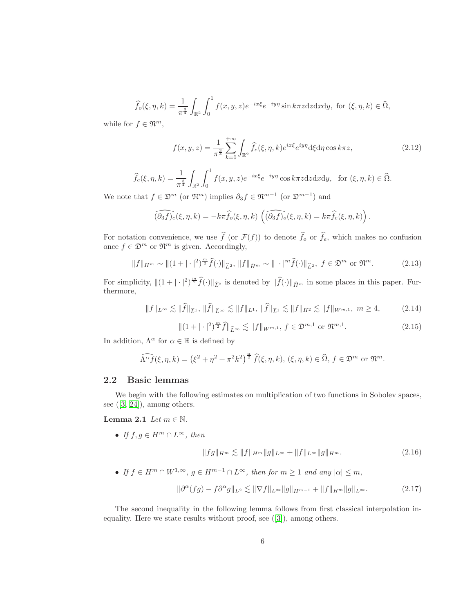$$
\widehat{f}_{o}(\xi,\eta,k) = \frac{1}{\pi^{\frac{3}{4}}} \int_{\mathbb{R}^{2}} \int_{0}^{1} f(x,y,z) e^{-ix\xi} e^{-iy\eta} \sin k\pi z dz dx dy, \text{ for } (\xi,\eta,k) \in \widehat{\Omega},
$$

while for  $f \in \mathfrak{N}^m$ ,

$$
f(x,y,z) = \frac{1}{\pi^{\frac{3}{4}}} \sum_{k=0}^{+\infty} \int_{\mathbb{R}^2} \widehat{f}_e(\xi,\eta,k) e^{ix\xi} e^{iy\eta} d\xi d\eta \cos k\pi z,
$$
 (2.12)

$$
\widehat{f}_e(\xi,\eta,k) = \frac{1}{\pi^{\frac{3}{4}}} \int_{\mathbb{R}^2} \int_0^1 f(x,y,z) e^{-ix\xi} e^{-iy\eta} \cos k\pi z \, dz \, dx \, dy, \text{ for } (\xi,\eta,k) \in \widehat{\Omega}.
$$

We note that  $f \in \mathfrak{D}^m$  (or  $\mathfrak{N}^m$ ) implies  $\partial_3 f \in \mathfrak{N}^{m-1}$  (or  $\mathfrak{D}^{m-1}$ ) and

$$
\widehat{(\partial_3 f)_e}(\xi, \eta, k) = -k\pi \widehat{f}_o(\xi, \eta, k) \left( \widehat{(\partial_3 f)_o}(\xi, \eta, k) = k\pi \widehat{f}_e(\xi, \eta, k) \right).
$$

For notation convenience, we use  $f(\text{or } \mathcal{F}(f))$  to denote  $f_o$  or  $f_e$ , which makes no confusion once  $f \in \mathfrak{D}^m$  or  $\mathfrak{N}^m$  is given. Accordingly,

<span id="page-5-0"></span>
$$
||f||_{H^m} \sim ||(1+|\cdot|^2)^{\frac{m}{2}} \hat{f}(\cdot)||_{\hat{L}^2}, \ ||f||_{\dot{H}^m} \sim |||\cdot|^m \hat{f}(\cdot)||_{\hat{L}^2}, \ f \in \mathfrak{D}^m \text{ or } \mathfrak{N}^m. \tag{2.13}
$$

For simplicity,  $\|(1 + |\cdot|^2)^{\frac{m}{2}} \hat{f}(\cdot)\|_{\widehat{L}^2}$  is denoted by  $\|\widehat{f}(\cdot)\|_{\widehat{H}^m}$  in some places in this paper. Furthermore,

<span id="page-5-1"></span>
$$
||f||_{L^{\infty}} \lesssim ||\widehat{f}||_{\widehat{L}^{1}}, \ ||\widehat{f}||_{\widehat{L}^{\infty}} \lesssim ||f||_{L^{1}}, \ ||\widehat{f}||_{\widehat{L}^{1}} \lesssim ||f||_{H^{2}} \lesssim ||f||_{W^{m,1}}, \ m \ge 4, \tag{2.14}
$$

$$
\|(1+|\cdot|^2)^{\frac{m}{2}}\hat{f}\|_{\hat{L}^{\infty}} \lesssim \|f\|_{W^{m,1}}, \ f \in \mathfrak{D}^{m,1} \text{ or } \mathfrak{N}^{m,1}.
$$
 (2.15)

In addition,  $\Lambda^{\alpha}$  for  $\alpha \in \mathbb{R}$  is defined by

$$
\widehat{\Lambda^{\alpha}f}(\xi,\eta,k) = \left(\xi^2 + \eta^2 + \pi^2 k^2\right)^{\frac{\alpha}{2}} \widehat{f}(\xi,\eta,k), \ (\xi,\eta,k) \in \widehat{\Omega}, \ f \in \mathfrak{D}^m \ \text{or} \ \mathfrak{N}^m.
$$

### 2.2 Basic lemmas

We begin with the following estimates on multiplication of two functions in Sobolev spaces, see  $([3, 24])$  $([3, 24])$  $([3, 24])$  $([3, 24])$ , among others.

Lemma 2.1 Let  $m \in \mathbb{N}$ .

• If  $f, g \in H^m \cap L^{\infty}$ , then

<span id="page-5-5"></span><span id="page-5-4"></span><span id="page-5-3"></span>
$$
||fg||_{H^m} \lesssim ||f||_{H^m} ||g||_{L^\infty} + ||f||_{L^\infty} ||g||_{H^m}.
$$
\n(2.16)

• If  $f \in H^m \cap W^{1,\infty}$ ,  $g \in H^{m-1} \cap L^{\infty}$ , then for  $m \ge 1$  and any  $|\alpha| \le m$ ,

<span id="page-5-2"></span>
$$
\|\partial^{\alpha}(fg) - f\partial^{\alpha}g\|_{L^{2}} \lesssim \|\nabla f\|_{L^{\infty}} \|g\|_{H^{m-1}} + \|f\|_{H^{m}} \|g\|_{L^{\infty}}.
$$
 (2.17)

The second inequality in the following lemma follows from first classical interpolation inequality. Here we state results without proof, see ([\[3\]](#page-33-4)), among others.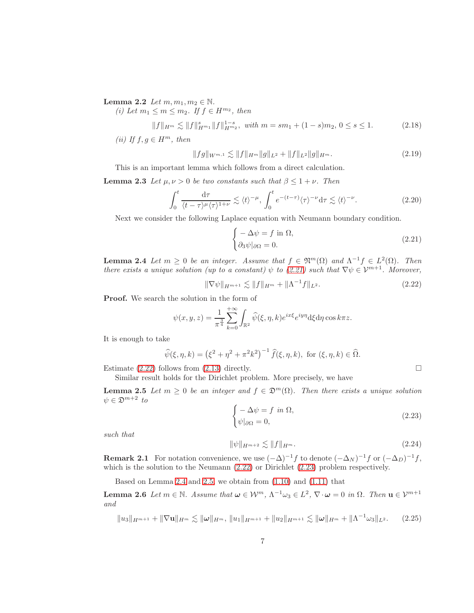Lemma 2.2 Let  $m, m_1, m_2 \in \mathbb{N}$ .

(i) Let  $m_1 \leq m \leq m_2$ . If  $f \in H^{m_2}$ , then

<span id="page-6-8"></span>
$$
||f||_{H^m} \lesssim ||f||_{H^{m_1}}^s ||f||_{H^{m_2}}^{1-s}, \text{ with } m = sm_1 + (1-s)m_2, \ 0 \le s \le 1. \tag{2.18}
$$

(ii) If  $f, g \in H^m$ , then

<span id="page-6-9"></span>
$$
||fg||_{W^{m,1}} \lesssim ||f||_{H^m} ||g||_{L^2} + ||f||_{L^2} ||g||_{H^m}.
$$
\n(2.19)

This is an important lemma which follows from a direct calculation.

**Lemma 2.3** Let  $\mu, \nu > 0$  be two constants such that  $\beta \leq 1 + \nu$ . Then

<span id="page-6-10"></span>
$$
\int_0^t \frac{\mathrm{d}\tau}{\langle t - \tau \rangle^\mu \langle \tau \rangle^{1+\nu}} \lesssim \langle t \rangle^{-\mu}, \int_0^t e^{-(t-\tau)} \langle \tau \rangle^{-\nu} \mathrm{d}\tau \lesssim \langle t \rangle^{-\nu}.
$$
 (2.20)

Next we consider the following Laplace equation with Neumann boundary condition.

<span id="page-6-11"></span><span id="page-6-1"></span>
$$
\begin{cases}\n-\Delta \psi = f \text{ in } \Omega, \\
\partial_3 \psi |_{\partial \Omega} = 0.\n\end{cases}
$$
\n(2.21)

<span id="page-6-4"></span>**Lemma 2.4** Let  $m \geq 0$  be an integer. Assume that  $f \in \mathfrak{N}^m(\Omega)$  and  $\Lambda^{-1} f \in L^2(\Omega)$ . Then there exists a unique solution (up to a constant)  $\psi$  to [\(2.21\)](#page-6-1) such that  $\nabla \psi \in \mathcal{V}^{m+1}$ . Moreover,

<span id="page-6-2"></span>
$$
\|\nabla \psi\|_{H^{m+1}} \lesssim \|f\|_{H^m} + \|\Lambda^{-1}f\|_{L^2}.
$$
\n(2.22)

Proof. We search the solution in the form of

$$
\psi(x, y, z) = \frac{1}{\pi^{\frac{3}{4}}} \sum_{k=0}^{+\infty} \int_{\mathbb{R}^2} \widehat{\psi}(\xi, \eta, k) e^{ix\xi} e^{iy\eta} d\xi d\eta \cos k\pi z.
$$

It is enough to take

$$
\widehat{\psi}(\xi, \eta, k) = (\xi^2 + \eta^2 + \pi^2 k^2)^{-1} \widehat{f}(\xi, \eta, k), \text{ for } (\xi, \eta, k) \in \widehat{\Omega}.
$$

Estimate [\(2.22\)](#page-6-2) follows from [\(2.13\)](#page-5-0) directly.  $\square$ 

Similar result holds for the Dirichlet problem. More precisely, we have

**Lemma 2.5** Let  $m \geq 0$  be an integer and  $f \in \mathfrak{D}^m(\Omega)$ . Then there exists a unique solution  $\psi \in \mathfrak{D}^{m+2}$  to

<span id="page-6-5"></span><span id="page-6-3"></span>
$$
\begin{cases}\n-\Delta \psi = f \text{ in } \Omega, \\
\psi|_{\partial \Omega} = 0,\n\end{cases}
$$
\n(2.23)

such that

<span id="page-6-7"></span>
$$
\|\psi\|_{H^{m+2}} \lesssim \|f\|_{H^m}.\tag{2.24}
$$

<span id="page-6-0"></span>**Remark 2.1** For notation convenience, we use  $(-\Delta)^{-1}f$  to denote  $(-\Delta_N)^{-1}f$  or  $(-\Delta_D)^{-1}f$ , which is the solution to the Neumann  $(2.22)$  or Dirichlet  $(2.23)$  problem respectively.

Based on Lemma [2](#page-6-4).4 and 2.[5,](#page-6-5) we obtain from [\(1.10\)](#page-2-3) and [\(1.11\)](#page-2-4) that

**Lemma 2.6** Let  $m \in \mathbb{N}$ . Assume that  $\omega \in \mathcal{W}^m$ ,  $\Lambda^{-1}\omega_3 \in L^2$ ,  $\nabla \cdot \omega = 0$  in  $\Omega$ . Then  $\mathbf{u} \in \mathcal{V}^{m+1}$ and

<span id="page-6-6"></span>
$$
||u_3||_{H^{m+1}} + ||\nabla \mathbf{u}||_{H^m} \lesssim ||\boldsymbol{\omega}||_{H^m}, ||u_1||_{H^{m+1}} + ||u_2||_{H^{m+1}} \lesssim ||\boldsymbol{\omega}||_{H^m} + ||\Lambda^{-1}\omega_3||_{L^2}.
$$
 (2.25)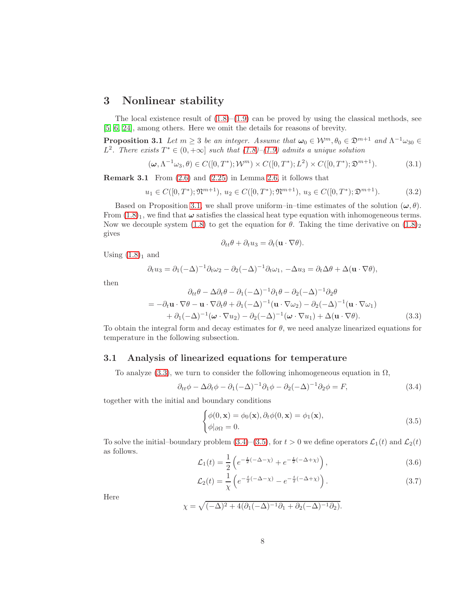# 3 Nonlinear stability

The local existence result of  $(1.8)$ – $(1.9)$  can be proved by using the classical methods, see [\[5,](#page-33-3) [6,](#page-34-14) [24\]](#page-35-1), among others. Here we omit the details for reasons of brevity.

**Proposition 3.1** Let  $m \geq 3$  be an integer. Assume that  $\omega_0 \in \mathcal{W}^m, \theta_0 \in \mathfrak{D}^{m+1}$  and  $\Lambda^{-1} \omega_{30} \in \mathbb{R}$ L<sup>2</sup>. There exists  $T^* \in (0, +\infty]$  such that  $(1.8)$ – $(1.9)$  admits a unique solution

$$
(\boldsymbol{\omega}, \Lambda^{-1} \omega_3, \theta) \in C([0, T^*); \mathcal{W}^m) \times C([0, T^*); L^2) \times C([0, T^*); \mathfrak{D}^{m+1}).
$$
\n(3.1)

**Remark 3.1** From  $(2.6)$  and  $(2.25)$  in Lemma [2.6,](#page-6-7) it follows that

$$
u_1 \in C([0, T^*); \mathfrak{N}^{m+1}), u_2 \in C([0, T^*); \mathfrak{N}^{m+1}), u_3 \in C([0, T^*); \mathfrak{D}^{m+1}).
$$
\n(3.2)

Based on Proposition [3.1,](#page-7-0) we shall prove uniform–in–time estimates of the solution  $(\omega, \theta)$ . From  $(1.8)_1$  $(1.8)_1$  $(1.8)_1$ , we find that  $\omega$  satisfies the classical heat type equation with inhomogeneous terms. Now we decouple system [\(1.8\)](#page-2-1) to get the equation for  $\theta$ . Taking the time derivative on  $(1.8)$ <sub>2</sub> gives

<span id="page-7-0"></span>
$$
\partial_{tt}\theta + \partial_t u_3 = \partial_t (\mathbf{u} \cdot \nabla \theta).
$$

Using  $(1.8)<sub>1</sub>$  $(1.8)<sub>1</sub>$  $(1.8)<sub>1</sub>$  and

$$
\partial_t u_3 = \partial_1(-\Delta)^{-1} \partial_t \omega_2 - \partial_2(-\Delta)^{-1} \partial_t \omega_1, -\Delta u_3 = \partial_t \Delta \theta + \Delta (\mathbf{u} \cdot \nabla \theta),
$$

then

<span id="page-7-1"></span>
$$
\partial_{tt}\theta - \Delta \partial_t \theta - \partial_1 (-\Delta)^{-1} \partial_1 \theta - \partial_2 (-\Delta)^{-1} \partial_2 \theta
$$
  
= 
$$
-\partial_t \mathbf{u} \cdot \nabla \theta - \mathbf{u} \cdot \nabla \partial_t \theta + \partial_1 (-\Delta)^{-1} (\mathbf{u} \cdot \nabla \omega_2) - \partial_2 (-\Delta)^{-1} (\mathbf{u} \cdot \nabla \omega_1)
$$

$$
+ \partial_1 (-\Delta)^{-1} (\boldsymbol{\omega} \cdot \nabla u_2) - \partial_2 (-\Delta)^{-1} (\boldsymbol{\omega} \cdot \nabla u_1) + \Delta (\mathbf{u} \cdot \nabla \theta).
$$
(3.3)

To obtain the integral form and decay estimates for  $\theta$ , we need analyze linearized equations for temperature in the following subsection.

#### 3.1 Analysis of linearized equations for temperature

To analyze [\(3.3\)](#page-7-1), we turn to consider the following inhomogeneous equation in  $\Omega$ ,

<span id="page-7-2"></span>
$$
\partial_{tt}\phi - \Delta\partial_t\phi - \partial_1(-\Delta)^{-1}\partial_1\phi - \partial_2(-\Delta)^{-1}\partial_2\phi = F,
$$
\n(3.4)

together with the initial and boundary conditions

<span id="page-7-3"></span>
$$
\begin{cases}\n\phi(0, \mathbf{x}) = \phi_0(\mathbf{x}), \partial_t \phi(0, \mathbf{x}) = \phi_1(\mathbf{x}), \\
\phi|_{\partial \Omega} = 0.\n\end{cases}
$$
\n(3.5)

To solve the initial–boundary problem  $(3.4)$ – $(3.5)$ , for  $t > 0$  we define operators  $\mathcal{L}_1(t)$  and  $\mathcal{L}_2(t)$ as follows.

<span id="page-7-4"></span>
$$
\mathcal{L}_1(t) = \frac{1}{2} \left( e^{-\frac{t}{2}(-\Delta - \chi)} + e^{-\frac{t}{2}(-\Delta + \chi)} \right),
$$
\n(3.6)

<span id="page-7-5"></span>
$$
\mathcal{L}_2(t) = \frac{1}{\chi} \left( e^{-\frac{t}{2}(-\Delta - \chi)} - e^{-\frac{t}{2}(-\Delta + \chi)} \right).
$$
\n(3.7)

<span id="page-7-6"></span>Here

$$
\chi = \sqrt{(-\Delta)^2 + 4(\partial_1(-\Delta)^{-1}\partial_1 + \partial_2(-\Delta)^{-1}\partial_2)}.
$$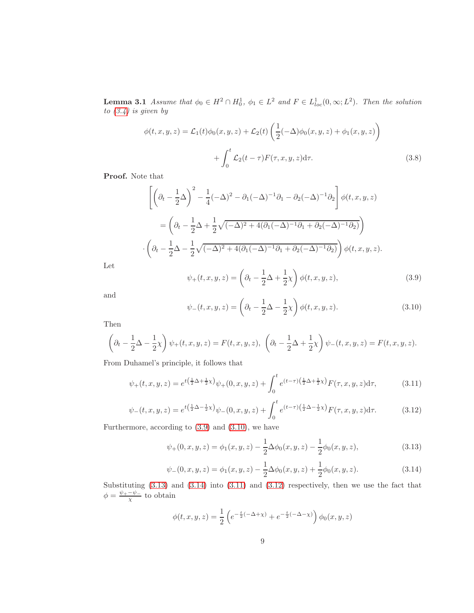**Lemma 3.1** Assume that  $\phi_0 \in H^2 \cap H_0^1$ ,  $\phi_1 \in L^2$  and  $F \in L^1_{loc}(0, \infty; L^2)$ . Then the solution to  $(3.4)$  is given by

<span id="page-8-6"></span>
$$
\phi(t, x, y, z) = \mathcal{L}_1(t)\phi_0(x, y, z) + \mathcal{L}_2(t)\left(\frac{1}{2}(-\Delta)\phi_0(x, y, z) + \phi_1(x, y, z)\right)
$$

$$
+ \int_0^t \mathcal{L}_2(t - \tau)F(\tau, x, y, z)d\tau.
$$
(3.8)

Proof. Note that

$$
\left[ \left( \partial_t - \frac{1}{2} \Delta \right)^2 - \frac{1}{4} (-\Delta)^2 - \partial_1 (-\Delta)^{-1} \partial_1 - \partial_2 (-\Delta)^{-1} \partial_2 \right] \phi(t, x, y, z)
$$
  

$$
= \left( \partial_t - \frac{1}{2} \Delta + \frac{1}{2} \sqrt{(-\Delta)^2 + 4(\partial_1 (-\Delta)^{-1} \partial_1 + \partial_2 (-\Delta)^{-1} \partial_2)} \right)
$$

$$
\cdot \left( \partial_t - \frac{1}{2} \Delta - \frac{1}{2} \sqrt{(-\Delta)^2 + 4(\partial_1 (-\Delta)^{-1} \partial_1 + \partial_2 (-\Delta)^{-1} \partial_2)} \right) \phi(t, x, y, z).
$$

Let

<span id="page-8-0"></span>
$$
\psi_{+}(t,x,y,z) = \left(\partial_{t} - \frac{1}{2}\Delta + \frac{1}{2}\chi\right)\phi(t,x,y,z),\tag{3.9}
$$

and

<span id="page-8-1"></span>
$$
\psi_{-}(t,x,y,z) = \left(\partial_t - \frac{1}{2}\Delta - \frac{1}{2}\chi\right)\phi(t,x,y,z). \tag{3.10}
$$

Then

$$
\left(\partial_t - \frac{1}{2}\Delta - \frac{1}{2}\chi\right)\psi_+(t,x,y,z) = F(t,x,y,z), \ \left(\partial_t - \frac{1}{2}\Delta + \frac{1}{2}\chi\right)\psi_-(t,x,y,z) = F(t,x,y,z).
$$

From Duhamel's principle, it follows that

<span id="page-8-4"></span>
$$
\psi_{+}(t,x,y,z) = e^{t(\frac{1}{2}\Delta + \frac{1}{2}\chi)}\psi_{+}(0,x,y,z) + \int_{0}^{t} e^{(t-\tau)(\frac{1}{2}\Delta + \frac{1}{2}\chi)}F(\tau,x,y,z)d\tau, \tag{3.11}
$$

<span id="page-8-5"></span>
$$
\psi_{-}(t,x,y,z) = e^{t(\frac{1}{2}\Delta - \frac{1}{2}\chi)}\psi_{-}(0,x,y,z) + \int_0^t e^{(t-\tau)(\frac{1}{2}\Delta - \frac{1}{2}\chi)}F(\tau,x,y,z)d\tau.
$$
 (3.12)

Furthermore, according to [\(3.9\)](#page-8-0) and [\(3.10\)](#page-8-1), we have

<span id="page-8-2"></span>
$$
\psi_{+}(0,x,y,z) = \phi_{1}(x,y,z) - \frac{1}{2}\Delta\phi_{0}(x,y,z) - \frac{1}{2}\phi_{0}(x,y,z), \qquad (3.13)
$$

<span id="page-8-3"></span>
$$
\psi_{-}(0,x,y,z) = \phi_1(x,y,z) - \frac{1}{2}\Delta\phi_0(x,y,z) + \frac{1}{2}\phi_0(x,y,z). \tag{3.14}
$$

Substituting [\(3.13\)](#page-8-2) and [\(3.14\)](#page-8-3) into [\(3.11\)](#page-8-4) and [\(3.12\)](#page-8-5) respectively, then we use the fact that  $\phi = \frac{\psi_+ - \psi_-}{\chi}$  to obtain

$$
\phi(t, x, y, z) = \frac{1}{2} \left( e^{-\frac{t}{2}(-\Delta + \chi)} + e^{-\frac{t}{2}(-\Delta - \chi)} \right) \phi_0(x, y, z)
$$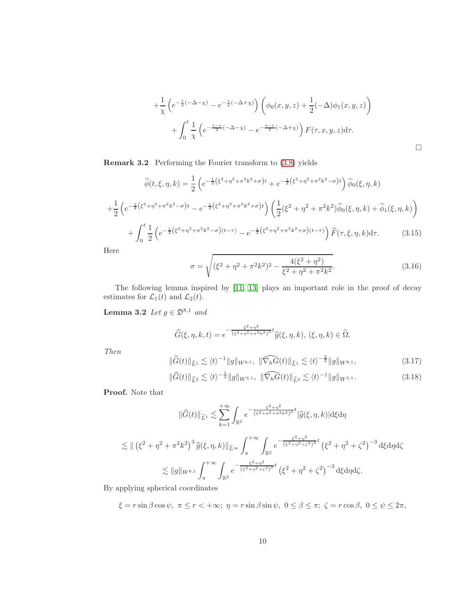$$
+\frac{1}{\chi}\left(e^{-\frac{t}{2}(-\Delta-\chi)}-e^{-\frac{t}{2}(-\Delta+\chi)}\right)\left(\phi_0(x,y,z)+\frac{1}{2}(-\Delta)\phi_1(x,y,z)\right) +\int_0^t \frac{1}{\chi}\left(e^{-\frac{t-\tau}{2}(-\Delta-\chi)}-e^{-\frac{t-\tau}{2}(-\Delta+\chi)}\right)F(\tau,x,y,z)d\tau.
$$

Remark 3.2 Performing the Fourier transform to [\(3.8\)](#page-8-6) yields

$$
\widehat{\phi}(t,\xi,\eta,k) = \frac{1}{2} \left( e^{-\frac{1}{2} \left(\xi^2 + \eta^2 + \pi^2 k^2 + \sigma\right)t} + e^{-\frac{1}{2} \left(\xi^2 + \eta^2 + \pi^2 k^2 - \sigma\right)t} \right) \widehat{\phi}_0(\xi,\eta,k)
$$

$$
+ \frac{1}{2} \left( e^{-\frac{1}{2} \left(\xi^2 + \eta^2 + \pi^2 k^2 - \sigma\right)t} - e^{-\frac{1}{2} \left(\xi^2 + \eta^2 + \pi^2 k^2 + \sigma\right)t} \right) \left( \frac{1}{2} \left(\xi^2 + \eta^2 + \pi^2 k^2\right) \widehat{\phi}_0(\xi,\eta,k) + \widehat{\phi}_1(\xi,\eta,k) \right)
$$

$$
+ \int_0^t \frac{1}{2} \left( e^{-\frac{1}{2} \left(\xi^2 + \eta^2 + \pi^2 k^2 - \sigma\right)(t-\tau)} - e^{-\frac{1}{2} \left(\xi^2 + \eta^2 + \pi^2 k^2 + \sigma\right)(t-\tau)} \right) \widehat{F}(\tau,\xi,\eta,k) d\tau. \tag{3.15}
$$

<span id="page-9-2"></span>Here

<span id="page-9-1"></span>
$$
\sigma = \sqrt{(\xi^2 + \eta^2 + \pi^2 k^2)^2 - \frac{4(\xi^2 + \eta^2)}{\xi^2 + \eta^2 + \pi^2 k^2}}.
$$
\n(3.16)

The following lemma inspired by [\[11,](#page-34-10) [13\]](#page-34-15) plays an important role in the proof of decay estimates for  $\mathcal{L}_1(t)$  and  $\mathcal{L}_2(t)$ .

Lemma 3.2 Let  $g \in \mathfrak{D}^{8,1}$  and

$$
\widehat{G}(\xi,\eta,k,t) = e^{-\frac{\xi^2 + \eta^2}{(\xi^2 + \eta^2 + \pi^2 k^2)^2}t}\widehat{g}(\xi,\eta,k), (\xi,\eta,k) \in \widehat{\Omega}.
$$

Then

$$
\|\widehat{G}(t)\|_{\widehat{L}^1} \lesssim \langle t \rangle^{-1} \|g\|_{W^{6,1}}, \ \|\widehat{\nabla_h G}(t)\|_{\widehat{L}^1} \lesssim \langle t \rangle^{-\frac{3}{2}} \|g\|_{W^{8,1}}, \tag{3.17}
$$

<span id="page-9-0"></span>
$$
\|\widehat{G}(t)\|_{\widehat{L}^2} \lesssim \langle t \rangle^{-\frac{1}{2}} \|g\|_{W^{3,1}}, \ \|\widehat{\nabla_h G}(t)\|_{\widehat{L}^2} \lesssim \langle t \rangle^{-1} \|g\|_{W^{5,1}}.
$$
\n(3.18)

Proof. Note that

$$
\|\widehat{G}(t)\|_{\widehat{L}^{1}} \lesssim \sum_{k=1}^{+\infty} \int_{\mathbb{R}^{2}} e^{-\frac{\xi^{2} + \eta^{2}}{(\xi^{2} + \eta^{2} + \pi^{2}k^{2})^{2}} t} |\widehat{g}(\xi, \eta, k)| \, d\xi \, d\eta
$$
  

$$
\lesssim \|(\xi^{2} + \eta^{2} + \pi^{2}k^{2})^{3} \widehat{g}(\xi, \eta, k) \|_{\widehat{L}^{\infty}} \int_{\pi}^{+\infty} \int_{\mathbb{R}^{2}} e^{-\frac{\xi^{2} + \eta^{2}}{(\xi^{2} + \eta^{2} + \zeta^{2})^{2}} t} (\xi^{2} + \eta^{2} + \zeta^{2})^{-3} \, d\xi \, d\eta \, d\zeta
$$
  

$$
\lesssim \|g\|_{W^{6,1}} \int_{\pi}^{+\infty} \int_{\mathbb{R}^{2}} e^{-\frac{\xi^{2} + \eta^{2}}{(\xi^{2} + \eta^{2} + \zeta^{2})^{2}} t} (\xi^{2} + \eta^{2} + \zeta^{2})^{-3} \, d\xi \, d\eta \, d\zeta.
$$

By applying spherical coordinates

$$
\xi = r \sin \beta \cos \psi, \ \pi \le r < +\infty; \ \eta = r \sin \beta \sin \psi, \ 0 \le \beta \le \pi; \ \zeta = r \cos \beta, \ 0 \le \psi \le 2\pi,
$$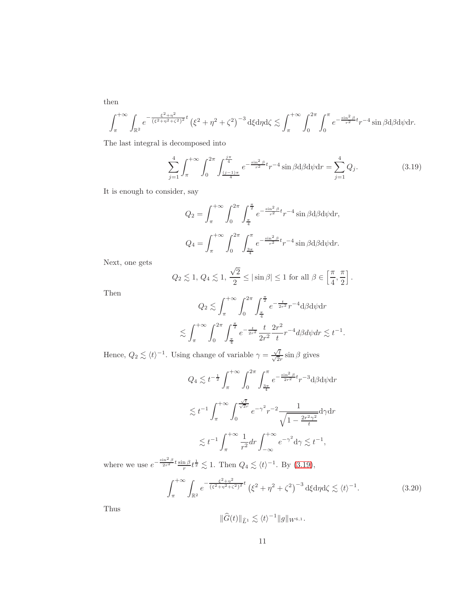then

$$
\int_{\pi}^{+\infty} \int_{\mathbb{R}^2} e^{-\frac{\xi^2 + \eta^2}{(\xi^2 + \eta^2 + \zeta^2)^2}t} \left(\xi^2 + \eta^2 + \zeta^2\right)^{-3} d\xi d\eta d\zeta \lesssim \int_{\pi}^{+\infty} \int_{0}^{2\pi} \int_{0}^{\pi} e^{-\frac{\sin^2 \beta}{r^2}t} r^{-4} \sin \beta d\beta d\psi dr.
$$

The last integral is decomposed into

<span id="page-10-0"></span>
$$
\sum_{j=1}^{4} \int_{\pi}^{+\infty} \int_{0}^{2\pi} \int_{\frac{(j-1)\pi}{4}}^{\frac{j\pi}{4}} e^{-\frac{\sin^{2}\beta}{r^{2}}} t r^{-4} \sin\beta d\beta d\psi dr = \sum_{j=1}^{4} Q_{j}.
$$
 (3.19)

It is enough to consider, say

$$
Q_2 = \int_{\pi}^{+\infty} \int_0^{2\pi} \int_{\frac{\pi}{4}}^{\frac{\pi}{2}} e^{-\frac{\sin^2 \beta}{r^2}t} r^{-4} \sin \beta d\beta d\psi dr,
$$
  

$$
Q_4 = \int_{\pi}^{+\infty} \int_0^{2\pi} \int_{\frac{3\pi}{4}}^{\pi} e^{-\frac{\sin^2 \beta}{r^2}t} r^{-4} \sin \beta d\beta d\psi dr.
$$

Next, one gets

$$
Q_2 \lesssim 1, \, Q_4 \lesssim 1, \, \frac{\sqrt{2}}{2} \le |\sin \beta| \le 1 \text{ for all } \beta \in \left[\frac{\pi}{4}, \frac{\pi}{2}\right].
$$

Then

$$
Q_2 \lesssim \int_{\pi}^{+\infty} \int_0^{2\pi} \int_{\frac{\pi}{4}}^{\frac{\pi}{2}} e^{-\frac{t}{2r^2}} r^{-4} d\beta d\psi dr
$$
  

$$
\lesssim \int_{\pi}^{+\infty} \int_0^{2\pi} \int_{\frac{\pi}{4}}^{\frac{\pi}{2}} e^{-\frac{t}{2r^2}} \frac{t}{2r^2} \frac{2r^2}{t} r^{-4} d\beta d\psi dr \lesssim t^{-1}.
$$

Hence,  $Q_2 \lesssim \langle t \rangle^{-1}$ . Using change of variable  $\gamma = \frac{\sqrt{t}}{\sqrt{2}r} \sin \beta$  gives

$$
Q_4 \lesssim t^{-\frac{1}{2}} \int_{\pi}^{+\infty} \int_0^{2\pi} \int_{\frac{3\pi}{4}}^{\pi} e^{-\frac{\sin^2 \beta}{2r^2}t} r^{-3} d\beta d\psi dr
$$
  

$$
\lesssim t^{-1} \int_{\pi}^{+\infty} \int_0^{\frac{\sqrt{t}}{\sqrt{2}r}} e^{-\gamma^2} r^{-2} \frac{1}{\sqrt{1 - \frac{2r^2\gamma^2}{t}}} d\gamma dr
$$
  

$$
\lesssim t^{-1} \int_{\pi}^{+\infty} \frac{1}{r^2} dr \int_{-\infty}^{+\infty} e^{-\gamma^2} d\gamma \lesssim t^{-1},
$$

where we use  $e^{-\frac{\sin^2\beta}{2r^2}t}\frac{\sin\beta}{r}t^{\frac{1}{2}} \lesssim 1$ . Then  $Q_4 \lesssim \langle t \rangle^{-1}$ . By [\(3.19\)](#page-10-0),

<span id="page-10-1"></span>
$$
\int_{\pi}^{+\infty} \int_{\mathbb{R}^2} e^{-\frac{\xi^2 + \eta^2}{(\xi^2 + \eta^2 + \zeta^2)^2} t} \left(\xi^2 + \eta^2 + \zeta^2\right)^{-3} d\xi d\eta d\zeta \lesssim \langle t \rangle^{-1}.
$$
 (3.20)

Thus

$$
\|\widehat{G}(t)\|_{\widehat{L}^1} \lesssim \langle t \rangle^{-1} \|g\|_{W^{6,1}}.
$$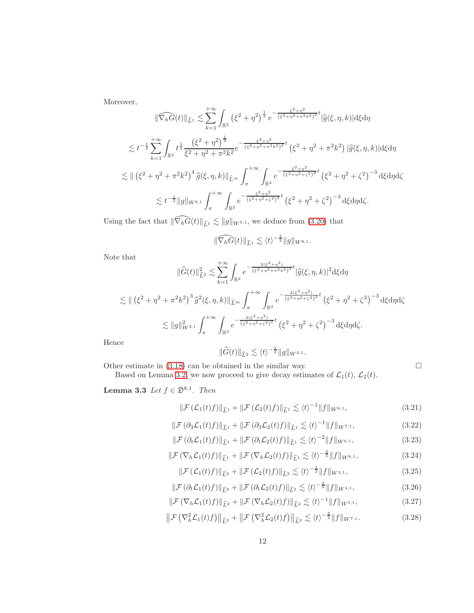Moreover,

$$
\|\widehat{\nabla_{h}G}(t)\|_{\widehat{L}^{1}} \lesssim \sum_{k=1}^{+\infty} \int_{\mathbb{R}^{2}} \left(\xi^{2} + \eta^{2}\right)^{\frac{1}{2}} e^{-\frac{\xi^{2} + \eta^{2}}{(\xi^{2} + \eta^{2} + \pi^{2}k^{2})^{2}t}} |\widehat{g}(\xi,\eta,k)| d\xi d\eta
$$
  

$$
\lesssim t^{-\frac{1}{2}} \sum_{k=1}^{+\infty} \int_{\mathbb{R}^{2}} t^{\frac{1}{2}} \frac{\left(\xi^{2} + \eta^{2}\right)^{\frac{1}{2}}}{\xi^{2} + \eta^{2} + \pi^{2}k^{2}} e^{-\frac{\xi^{2} + \eta^{2}}{(\xi^{2} + \eta^{2} + \pi^{2}k^{2})^{2}t}} \left(\xi^{2} + \eta^{2} + \pi^{2}k^{2}\right) |\widehat{g}(\xi,\eta,k)| d\xi d\eta
$$
  

$$
\lesssim \|(\xi^{2} + \eta^{2} + \pi^{2}k^{2})^{4} \widehat{g}(\xi,\eta,k)\|_{\widehat{L}^{\infty}} \int_{\pi}^{+\infty} \int_{\mathbb{R}^{2}} e^{-\frac{\xi^{2} + \eta^{2}}{(\xi^{2} + \eta^{2} + \xi^{2})^{2}t}} \left(\xi^{2} + \eta^{2} + \zeta^{2}\right)^{-3} d\xi d\eta d\zeta
$$
  

$$
\lesssim t^{-\frac{1}{2}} \|g\|_{W^{8,1}} \int_{\pi}^{+\infty} \int_{\mathbb{R}^{2}} e^{-\frac{\xi^{2} + \eta^{2}}{(\xi^{2} + \eta^{2} + \zeta^{2})^{2}t}} \left(\xi^{2} + \eta^{2} + \zeta^{2}\right)^{-3} d\xi d\eta d\zeta.
$$

Using the fact that  $\|\widehat{\nabla_hG}(t)\|_{\widehat{L}^1}\lesssim \|g\|_{W^{5,1}},$  we deduce from [\(3.20\)](#page-10-1) that

$$
\|\widehat{\nabla_h G}(t)\|_{\widehat{L}^1} \lesssim \langle t \rangle^{-\frac{3}{2}} \|g\|_{W^{8,1}}.
$$

Note that

$$
\|\widehat{G}(t)\|_{\widehat{L}^2}^2 \lesssim \sum_{k=1}^{+\infty} \int_{\mathbb{R}^2} e^{-\frac{2(\xi^2 + \eta^2)}{(\xi^2 + \eta^2 + \pi^2 k^2)^2} t} |\widehat{g}(\xi, \eta, k)|^2 d\xi d\eta
$$
  

$$
\lesssim \|(\xi^2 + \eta^2 + \pi^2 k^2)^3 \widehat{g}^2(\xi, \eta, k)\|_{\widehat{L}^{\infty}} \int_{\pi}^{+\infty} \int_{\mathbb{R}^2} e^{-\frac{2(\xi^2 + \eta^2)}{(\xi^2 + \eta^2 + \zeta^2)^2} t} (\xi^2 + \eta^2 + \zeta^2)^{-3} d\xi d\eta d\zeta
$$
  

$$
\lesssim \|g\|_{W^{3,1}}^2 \int_{\pi}^{+\infty} \int_{\mathbb{R}^2} e^{-\frac{2(\xi^2 + \eta^2)}{(\xi^2 + \eta^2 + \zeta^2)^2} t} (\xi^2 + \eta^2 + \zeta^2)^{-3} d\xi d\eta d\zeta.
$$

Hence

<span id="page-11-2"></span>
$$
\|\widehat{G}(t)\|_{\widehat{L}^2} \lesssim \langle t \rangle^{-\frac{1}{2}} \|g\|_{W^{3,1}}.
$$

Other estimate in  $(3.18)$  can be obtained in the similar way.

Based on Lemma [3.2,](#page-9-1) we now proceed to give decay estimates of  $\mathcal{L}_1(t)$ ,  $\mathcal{L}_2(t)$ .

**Lemma 3.3** Let  $f \in \mathfrak{D}^{8,1}$ . Then

<span id="page-11-0"></span>
$$
\|\mathcal{F}(\mathcal{L}_1(t)f)\|_{\widehat{L}^1} + \|\mathcal{F}(\mathcal{L}_2(t)f)\|_{\widehat{L}^1} \lesssim \langle t \rangle^{-1} \|f\|_{W^{6,1}},
$$
\n(3.21)

$$
\|\mathcal{F}\left(\partial_3 \mathcal{L}_1(t)f\right)\|_{\widehat{L}^1} + \|\mathcal{F}\left(\partial_3 \mathcal{L}_2(t)f\right)\|_{\widehat{L}^1} \lesssim \langle t \rangle^{-1} \|f\|_{W^{7,1}},\tag{3.22}
$$

$$
\|\mathcal{F}(\partial_t \mathcal{L}_1(t)f)\|_{\widehat{L}^1} + \|\mathcal{F}(\partial_t \mathcal{L}_2(t)f)\|_{\widehat{L}^1} \lesssim \langle t \rangle^{-2} \|f\|_{W^{6,1}},
$$
\n(3.23)

$$
\|\mathcal{F}\left(\nabla_h \mathcal{L}_1(t)f\right)\|_{\widehat{L}^1} + \|\mathcal{F}\left(\nabla_h \mathcal{L}_2(t)f\right)\|_{\widehat{L}^1} \lesssim \langle t \rangle^{-\frac{3}{2}} \|f\|_{W^{8,1}},\tag{3.24}
$$

$$
\|\mathcal{F}(\mathcal{L}_1(t)f)\|_{\widehat{L}^2} + \|\mathcal{F}(\mathcal{L}_2(t)f)\|_{\widehat{L}^2} \lesssim \langle t \rangle^{-\frac{1}{2}} \|f\|_{W^{3,1}},
$$
\n(3.25)

$$
\|\mathcal{F}\left(\partial_t \mathcal{L}_1(t)f\right)\|_{\widehat{L}^2} + \|\mathcal{F}\left(\partial_t \mathcal{L}_2(t)f\right)\|_{\widehat{L}^2} \lesssim \langle t \rangle^{-\frac{3}{2}} \|f\|_{W^{4,1}},\tag{3.26}
$$

$$
\|\mathcal{F}\left(\nabla_h \mathcal{L}_1(t)f\right)\|_{\widehat{L}^2} + \|\mathcal{F}\left(\nabla_h \mathcal{L}_2(t)f\right)\|_{\widehat{L}^2} \lesssim \langle t \rangle^{-1} \|f\|_{W^{5,1}},\tag{3.27}
$$

<span id="page-11-1"></span>
$$
\left\|\mathcal{F}\left(\nabla_h^2 \mathcal{L}_1(t)f\right)\right\|_{\hat{L}^2} + \left\|\mathcal{F}\left(\nabla_h^2 \mathcal{L}_2(t)f\right)\right\|_{\hat{L}^2} \lesssim \langle t \rangle^{-\frac{3}{2}} \|f\|_{W^{7,1}}.
$$
\n(3.28)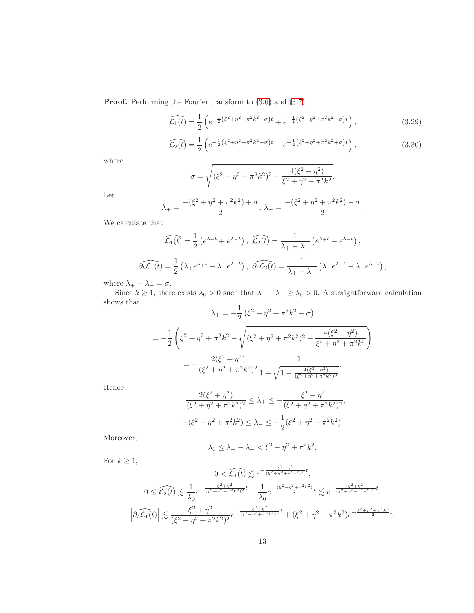Proof. Performing the Fourier transform to [\(3.6\)](#page-7-4) and [\(3.7\)](#page-7-5),

$$
\widehat{\mathcal{L}_1(t)} = \frac{1}{2} \left( e^{-\frac{1}{2} \left(\xi^2 + \eta^2 + \pi^2 k^2 + \sigma\right)t} + e^{-\frac{1}{2} \left(\xi^2 + \eta^2 + \pi^2 k^2 - \sigma\right)t} \right),\tag{3.29}
$$

$$
\widehat{\mathcal{L}_2(t)} = \frac{1}{2} \left( e^{-\frac{1}{2} \left(\xi^2 + \eta^2 + \pi^2 k^2 - \sigma\right)t} - e^{-\frac{1}{2} \left(\xi^2 + \eta^2 + \pi^2 k^2 + \sigma\right)t} \right),\tag{3.30}
$$

where

$$
\sigma = \sqrt{(\xi^2 + \eta^2 + \pi^2 k^2)^2 - \frac{4(\xi^2 + \eta^2)}{\xi^2 + \eta^2 + \pi^2 k^2}}.
$$

Let

$$
\lambda_{+} = \frac{-(\xi^2 + \eta^2 + \pi^2 k^2) + \sigma}{2}, \lambda_{-} = \frac{-(\xi^2 + \eta^2 + \pi^2 k^2) - \sigma}{2}.
$$

We calculate that

$$
\widehat{\mathcal{L}_1(t)} = \frac{1}{2} \left( e^{\lambda_+ t} + e^{\lambda_- t} \right), \quad \widehat{\mathcal{L}_2(t)} = \frac{1}{\lambda_+ - \lambda_-} \left( e^{\lambda_+ t} - e^{\lambda_- t} \right),
$$

$$
\widehat{\partial_t \mathcal{L}_1(t)} = \frac{1}{2} \left( \lambda_+ e^{\lambda_+ t} + \lambda_- e^{\lambda_- t} \right), \quad \widehat{\partial_t \mathcal{L}_2(t)} = \frac{1}{\lambda_+ - \lambda_-} \left( \lambda_+ e^{\lambda_+ t} - \lambda_- e^{\lambda_- t} \right),
$$

where  $\lambda_+ - \lambda_- = \sigma$ .

Since  $k \ge 1$ , there exists  $\lambda_0 > 0$  such that  $\lambda_+ - \lambda_- \ge \lambda_0 > 0$ . A straightforward calculation shows that<br>  $\lambda_{+} = -\frac{1}{2} (\xi^2 + n^2 + \pi^2 k^2 - \sigma)$ 

$$
\lambda_{+} = -\frac{1}{2} \left( \xi^{2} + \eta^{2} + \pi^{2} k^{2} - \sigma \right)
$$
  
= 
$$
-\frac{1}{2} \left( \xi^{2} + \eta^{2} + \pi^{2} k^{2} - \sqrt{(\xi^{2} + \eta^{2} + \pi^{2} k^{2})^{2} - \frac{4(\xi^{2} + \eta^{2})}{\xi^{2} + \eta^{2} + \pi^{2} k^{2}}} \right)
$$
  
= 
$$
-\frac{2(\xi^{2} + \eta^{2})}{(\xi^{2} + \eta^{2} + \pi^{2} k^{2})^{2}} \frac{1}{1 + \sqrt{1 - \frac{4(\xi^{2} + \eta^{2})}{(\xi^{2} + \eta^{2} + \pi^{2} k^{2})^{3}}}}.
$$

Hence

$$
-\frac{2(\xi^2 + \eta^2)}{(\xi^2 + \eta^2 + \pi^2 k^2)^2} \le \lambda_+ \le -\frac{\xi^2 + \eta^2}{(\xi^2 + \eta^2 + \pi^2 k^2)^2},
$$

$$
-(\xi^2 + \eta^2 + \pi^2 k^2) \le \lambda_- \le -\frac{1}{2}(\xi^2 + \eta^2 + \pi^2 k^2).
$$

Moreover,

$$
\lambda_0 \le \lambda_+ - \lambda_- < \xi^2 + \eta^2 + \pi^2 k^2.
$$

For  $k \geq 1$ ,

$$
0 < \widehat{\mathcal{L}_1(t)} \lesssim e^{-\frac{\xi^2 + \eta^2}{(\xi^2 + \eta^2 + \pi^2 k^2)^2} t},
$$
\n
$$
0 \leq \widehat{\mathcal{L}_2(t)} \lesssim \frac{1}{\lambda_0} e^{-\frac{\xi^2 + \eta^2}{(\xi^2 + \eta^2 + \pi^2 k^2)^2} t} + \frac{1}{\lambda_0} e^{-\frac{(\xi^2 + \eta^2 + \pi^2 k^2)}{2} t} \lesssim e^{-\frac{\xi^2 + \eta^2}{(\xi^2 + \eta^2 + \pi^2 k^2)^2} t},
$$
\n
$$
\left| \widehat{\partial_t \mathcal{L}_1(t)} \right| \lesssim \frac{\xi^2 + \eta^2}{(\xi^2 + \eta^2 + \pi^2 k^2)^2} e^{-\frac{\xi^2 + \eta^2}{(\xi^2 + \eta^2 + \pi^2 k^2)^2} t} + (\xi^2 + \eta^2 + \pi^2 k^2) e^{-\frac{\xi^2 + \eta^2 + \pi^2 k^2}{2} t},
$$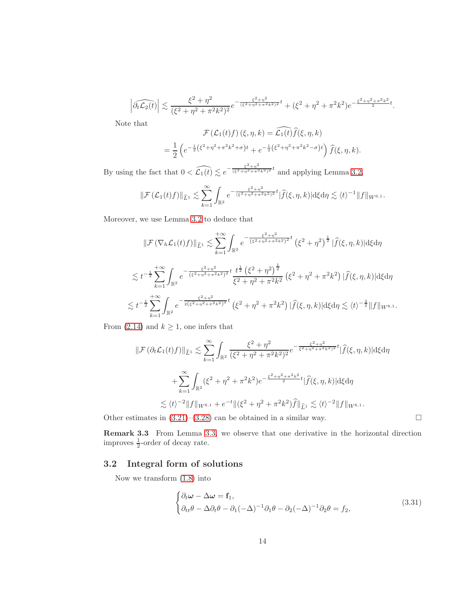$$
\left| \widehat{\partial_t \mathcal{L}_2(t)} \right| \lesssim \frac{\xi^2 + \eta^2}{(\xi^2 + \eta^2 + \pi^2 k^2)^2} e^{-\frac{\xi^2 + \eta^2}{(\xi^2 + \eta^2 + \pi^2 k^2)^2} t} + (\xi^2 + \eta^2 + \pi^2 k^2) e^{-\frac{\xi^2 + \eta^2 + \pi^2 k^2}{2} t}.
$$

Note that

$$
\mathcal{F}(\mathcal{L}_1(t)f)(\xi,\eta,k) = \widehat{\mathcal{L}_1(t)}\widehat{f}(\xi,\eta,k)
$$
  
= 
$$
\frac{1}{2} \left( e^{-\frac{1}{2}(\xi^2 + \eta^2 + \pi^2 k^2 + \sigma)t} + e^{-\frac{1}{2}(\xi^2 + \eta^2 + \pi^2 k^2 - \sigma)t} \right) \widehat{f}(\xi,\eta,k).
$$

By using the fact that  $0 < \widehat{\mathcal{L}_1(t)} \lesssim e^{-\frac{\xi^2 + \eta^2}{(\xi^2 + \eta^2 + \pi^2 k^2)^2}t}$  and applying Lemma [3.2,](#page-9-1)

$$
\|\mathcal{F}(\mathcal{L}_1(t)f)\|_{\widehat{L}^1} \lesssim \sum_{k=1}^{\infty} \int_{\mathbb{R}^2} e^{-\frac{\xi^2 + \eta^2}{(\xi^2 + \eta^2 + \pi^2 k^2)^2}t} |\widehat{f}(\xi, \eta, k)| \mathrm{d}\xi \mathrm{d}\eta \lesssim \langle t \rangle^{-1} \|f\|_{W^{6, 1}}.
$$

Moreover, we use Lemma [3.2](#page-9-1) to deduce that

$$
\|\mathcal{F}(\nabla_{h}\mathcal{L}_{1}(t)f)\|_{\widehat{L}^{1}} \lesssim \sum_{k=1}^{+\infty} \int_{\mathbb{R}^{2}} e^{-\frac{\xi^{2}+\eta^{2}}{(\xi^{2}+\eta^{2}+\pi^{2}k^{2})^{2}t}} \left(\xi^{2}+\eta^{2}\right)^{\frac{1}{2}} |\widehat{f}(\xi,\eta,k)| d\xi d\eta
$$
  

$$
\lesssim t^{-\frac{1}{2}} \sum_{k=1}^{+\infty} \int_{\mathbb{R}^{2}} e^{-\frac{\xi^{2}+\eta^{2}}{(\xi^{2}+\eta^{2}+\pi^{2}k^{2})^{2}t}} \frac{t^{\frac{1}{2}}\left(\xi^{2}+\eta^{2}\right)^{\frac{1}{2}}}{\xi^{2}+\eta^{2}+\pi^{2}k^{2}} \left(\xi^{2}+\eta^{2}+\pi^{2}k^{2}\right) |\widehat{f}(\xi,\eta,k)| d\xi d\eta
$$
  

$$
\lesssim t^{-\frac{1}{2}} \sum_{k=1}^{+\infty} \int_{\mathbb{R}^{2}} e^{-\frac{\xi^{2}+\eta^{2}}{2(\xi^{2}+\eta^{2}+\pi^{2}k^{2})^{2}t}} \left(\xi^{2}+\eta^{2}+\pi^{2}k^{2}\right) |\widehat{f}(\xi,\eta,k)| d\xi d\eta \lesssim \langle t \rangle^{-\frac{3}{2}} \|f\|_{W^{8,1}}.
$$

From [\(2.14\)](#page-5-1) and  $k \geq 1$ , one infers that

$$
\|\mathcal{F}(\partial_t \mathcal{L}_1(t)f)\|_{\hat{L}^1} \lesssim \sum_{k=1}^{\infty} \int_{\mathbb{R}^2} \frac{\xi^2 + \eta^2}{(\xi^2 + \eta^2 + \pi^2 k^2)^2} e^{-\frac{\xi^2 + \eta^2}{\xi^2 + \eta^2 + \pi^2 k^2)^2} t} |\hat{f}(\xi, \eta, k)| d\xi d\eta
$$
  
+ 
$$
\sum_{k=1}^{\infty} \int_{\mathbb{R}^2} (\xi^2 + \eta^2 + \pi^2 k^2) e^{-\frac{\xi^2 + \eta^2 + \pi^2 k^2}{2} t} |\hat{f}(\xi, \eta, k)| d\xi d\eta
$$
  

$$
\lesssim \langle t \rangle^{-2} \|f\|_{W^{6,1}} + e^{-t} \|(\xi^2 + \eta^2 + \pi^2 k^2) \hat{f}\|_{\hat{L}^1} \lesssim \langle t \rangle^{-2} \|f\|_{W^{6,1}}.
$$

Other estimates in  $(3.21)$ – $(3.28)$  can be obtained in a similar way.

Remark 3.3 From Lemma [3.3,](#page-11-2) we observe that one derivative in the horizontal direction improves  $\frac{1}{2}$ -order of decay rate.

## 3.2 Integral form of solutions

Now we transform [\(1.8\)](#page-2-1) into

<span id="page-13-0"></span>
$$
\begin{cases} \partial_t \omega - \Delta \omega = \mathbf{f}_1, \\ \partial_{tt} \theta - \Delta \partial_t \theta - \partial_1 (-\Delta)^{-1} \partial_1 \theta - \partial_2 (-\Delta)^{-1} \partial_2 \theta = f_2, \end{cases}
$$
(3.31)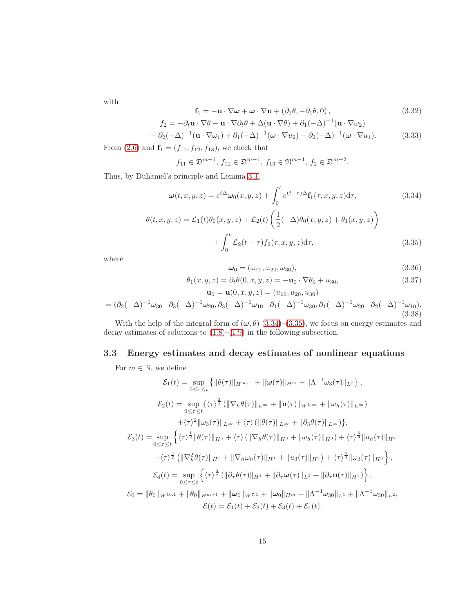with

$$
\mathbf{f}_1 = -\mathbf{u} \cdot \nabla \boldsymbol{\omega} + \boldsymbol{\omega} \cdot \nabla \mathbf{u} + (\partial_2 \theta, -\partial_1 \theta, 0), \qquad (3.32)
$$

$$
f_2 = -\partial_t \mathbf{u} \cdot \nabla \theta - \mathbf{u} \cdot \nabla \partial_t \theta + \Delta(\mathbf{u} \cdot \nabla \theta) + \partial_1(-\Delta)^{-1} (\mathbf{u} \cdot \nabla \omega_2)
$$

<span id="page-14-0"></span>
$$
- \partial_2(-\Delta)^{-1} (\mathbf{u} \cdot \nabla \omega_1) + \partial_1(-\Delta)^{-1} (\boldsymbol{\omega} \cdot \nabla u_2) - \partial_2(-\Delta)^{-1} (\boldsymbol{\omega} \cdot \nabla u_1).
$$
 (3.33)

From [\(2.6\)](#page-4-2) and  $f_1 = (f_{11}, f_{12}, f_{13})$ , we check that

$$
f_{11} \in \mathfrak{D}^{m-1}, f_{12} \in \mathfrak{D}^{m-1}, f_{13} \in \mathfrak{N}^{m-1}, f_2 \in \mathfrak{D}^{m-2}.
$$

Thus, by Duhamel's principle and Lemma [3.1,](#page-7-6)

<span id="page-14-1"></span>
$$
\omega(t, x, y, z) = e^{t\Delta}\omega_0(x, y, z) + \int_0^t e^{(t-\tau)\Delta} \mathbf{f}_1(\tau, x, y, z) d\tau,
$$
\n(3.34)  
\n
$$
\theta(t, x, y, z) = \mathcal{L}_1(t)\theta_0(x, y, z) + \mathcal{L}_2(t) \left(\frac{1}{2}(-\Delta)\theta_0(x, y, z) + \theta_1(x, y, z)\right)
$$

$$
= \mathcal{L}_1(t)\theta_0(x,y,z) + \mathcal{L}_2(t)\left(\frac{1}{2}(-\Delta)\theta_0(x,y,z) + \theta_1(x,y,z)\right)
$$

$$
+ \int_0^t \mathcal{L}_2(t-\tau)f_2(\tau,x,y,z)d\tau,
$$
(3.35)

where

<span id="page-14-5"></span><span id="page-14-2"></span>
$$
\boldsymbol{\omega}_0 = (\omega_{10}, \omega_{20}, \omega_{30}), \qquad (3.36)
$$

$$
\theta_1(x, y, z) = \partial_t \theta(0, x, y, z) = -\mathbf{u}_0 \cdot \nabla \theta_0 + u_{30},
$$
  
\n
$$
\mathbf{u}_0 = \mathbf{u}(0, x, y, z) = (u_{10}, u_{20}, u_{30})
$$
\n(3.37)

<span id="page-14-4"></span>
$$
= (\partial_2(-\Delta)^{-1}\omega_{30} - \partial_3(-\Delta)^{-1}\omega_{20}, \partial_3(-\Delta)^{-1}\omega_{10} - \partial_1(-\Delta)^{-1}\omega_{30}, \partial_1(-\Delta)^{-1}\omega_{20} - \partial_2(-\Delta)^{-1}\omega_{10}).
$$
\n(3.38)

With the help of the integral form of  $(\omega, \theta)$  [\(3.34\)](#page-14-1)–[\(3.35\)](#page-14-2), we focus on energy estimates and decay estimates of solutions to  $(1.8)$ – $(1.9)$  in the following subsection.

# 3.3 Energy estimates and decay estimates of nonlinear equations

For  $m \in \mathbb{N}$ , we define

<span id="page-14-3"></span>
$$
\mathcal{E}_{1}(t) = \sup_{0 \leq \tau \leq t} \{ ||\theta(\tau)||_{H^{m+1}} + ||\omega(\tau)||_{H^{m}} + ||\Lambda^{-1}\omega_{3}(\tau)||_{L^{2}} \},
$$
\n
$$
\mathcal{E}_{2}(t) = \sup_{0 \leq \tau \leq t} \{ \langle \tau \rangle^{\frac{3}{2}} (||\nabla_{h}\theta(\tau)||_{L^{\infty}} + ||\mathbf{u}(\tau)||_{W^{1,\infty}} + ||\omega_{h}(\tau)||_{L^{\infty}}) \n+ \langle \tau \rangle^{2} ||\omega_{3}(\tau)||_{L^{\infty}} + \langle \tau \rangle (||\theta(\tau)||_{L^{\infty}} + ||\partial_{3}\theta(\tau)||_{L^{\infty}}) \},
$$
\n
$$
\mathcal{E}_{3}(t) = \sup_{0 \leq \tau \leq t} \{ \langle \tau \rangle^{\frac{1}{2}} ||\theta(\tau)||_{H^{5}} + \langle \tau \rangle (||\nabla_{h}\theta(\tau)||_{H^{3}} + ||\omega_{h}(\tau)||_{H^{3}}) + \langle \tau \rangle^{\frac{3}{4}} ||u_{h}(\tau)||_{H^{4}} \n+ \langle \tau \rangle^{\frac{3}{2}} (||\nabla_{h}^{2}\theta(\tau)||_{H^{1}} + ||\nabla_{h}\omega_{h}(\tau)||_{H^{1}} + ||u_{3}(\tau)||_{H^{3}}) + \langle \tau \rangle^{\frac{5}{4}} ||\omega_{3}(\tau)||_{H^{3}} \},
$$
\n
$$
\mathcal{E}_{4}(t) = \sup_{0 \leq \tau \leq t} \{ \langle \tau \rangle^{\frac{3}{2}} (||\partial_{\tau}\theta(\tau)||_{H^{1}} + ||\partial_{\tau}\omega(\tau)||_{L^{2}} + ||\partial_{\tau}\mathbf{u}(\tau)||_{H^{1}}) \},
$$
\n
$$
\mathcal{E}_{0} = ||\theta_{0}||_{W^{10,1}} + ||\theta_{0}||_{H^{m+1}} + ||\omega_{0}||_{W^{7,1}} + ||\omega_{0}||_{H^{m}} + ||\Lambda^{-1}\omega_{30}||_{L^{1}} + ||\Lambda^{-1}\omega_{30}||_{L^{2}},
$$
\n
$$
\mathcal{E}(t) = \mathcal{E}_{1}(t) + \mathcal{E}_{2}(t) + \mathcal{E}_{3}(t) +
$$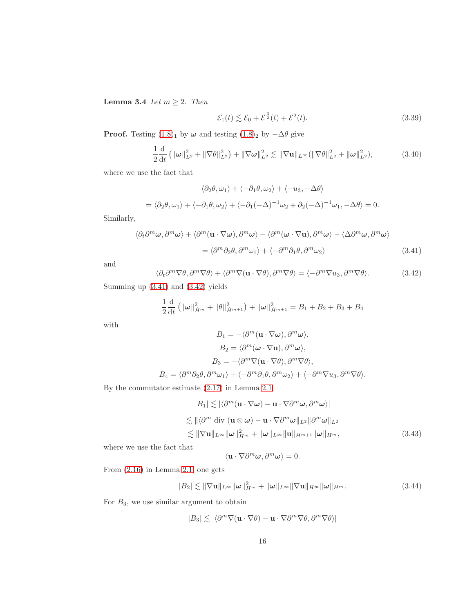Lemma 3.4 Let  $m \geq 2$ . Then

$$
\mathcal{E}_1(t) \lesssim \mathcal{E}_0 + \mathcal{E}^{\frac{3}{2}}(t) + \mathcal{E}^2(t). \tag{3.39}
$$

**Proof.** Testing  $(1.8)$ <sub>1</sub> by  $\omega$  and testing  $(1.8)$ <sub>2</sub> by  $-\Delta\theta$  give

<span id="page-15-3"></span>
$$
\frac{1}{2}\frac{\mathrm{d}}{\mathrm{d}t}\left(\|\boldsymbol{\omega}\|_{L^2}^2 + \|\nabla\theta\|_{L^2}^2\right) + \|\nabla\boldsymbol{\omega}\|_{L^2}^2 \lesssim \|\nabla\mathbf{u}\|_{L^\infty} (\|\nabla\theta\|_{L^2}^2 + \|\boldsymbol{\omega}\|_{L^2}^2),\tag{3.40}
$$

where we use the fact that

$$
\langle \partial_2 \theta, \omega_1 \rangle + \langle -\partial_1 \theta, \omega_2 \rangle + \langle -u_3, -\Delta \theta \rangle
$$
  
=  $\langle \partial_2 \theta, \omega_1 \rangle + \langle -\partial_1 \theta, \omega_2 \rangle + \langle -\partial_1 (-\Delta)^{-1} \omega_2 + \partial_2 (-\Delta)^{-1} \omega_1, -\Delta \theta \rangle = 0.$ 

Similarly,

$$
\langle \partial_t \partial^m \omega, \partial^m \omega \rangle + \langle \partial^m (\mathbf{u} \cdot \nabla \omega), \partial^m \omega \rangle - \langle \partial^m (\omega \cdot \nabla \mathbf{u}), \partial^m \omega \rangle - \langle \Delta \partial^m \omega, \partial^m \omega \rangle
$$
  
= 
$$
\langle \partial^m \partial_2 \theta, \partial^m \omega_1 \rangle + \langle -\partial^m \partial_1 \theta, \partial^m \omega_2 \rangle
$$
 (3.41)

and

<span id="page-15-1"></span><span id="page-15-0"></span>
$$
\langle \partial_t \partial^m \nabla \theta, \partial^m \nabla \theta \rangle + \langle \partial^m \nabla (\mathbf{u} \cdot \nabla \theta), \partial^m \nabla \theta \rangle = \langle -\partial^m \nabla u_3, \partial^m \nabla \theta \rangle. \tag{3.42}
$$

Summing up [\(3.41\)](#page-15-0) and [\(3.42\)](#page-15-1) yields

 $B_4$ 

$$
\frac{1}{2}\frac{\mathrm{d}}{\mathrm{d}t}\left(\|\omega\|_{\dot{H}^m}^2 + \|\theta\|_{\dot{H}^{m+1}}^2\right) + \|\omega\|_{\dot{H}^{m+1}}^2 = B_1 + B_2 + B_3 + B_4
$$

with

$$
B_1 = -\langle \partial^m (\mathbf{u} \cdot \nabla \omega), \partial^m \omega \rangle,
$$
  
\n
$$
B_2 = \langle \partial^m (\omega \cdot \nabla \mathbf{u}), \partial^m \omega \rangle,
$$
  
\n
$$
B_3 = -\langle \partial^m \nabla (\mathbf{u} \cdot \nabla \theta), \partial^m \nabla \theta \rangle,
$$
  
\n
$$
= \langle \partial^m \partial_2 \theta, \partial^m \omega_1 \rangle + \langle -\partial^m \partial_1 \theta, \partial^m \omega_2 \rangle + \langle -\partial^m \nabla u_3, \partial^m \nabla \theta \rangle.
$$

By the commutator estimate [\(2.17\)](#page-5-2) in Lemma [2.1,](#page-5-3)

<span id="page-15-2"></span>
$$
|B_1| \lesssim |\langle \partial^m (\mathbf{u} \cdot \nabla \omega) - \mathbf{u} \cdot \nabla \partial^m \omega, \partial^m \omega \rangle|
$$
  
\n
$$
\lesssim ||\langle \partial^m \text{ div } (\mathbf{u} \otimes \omega) - \mathbf{u} \cdot \nabla \partial^m \omega ||_{L^2} ||\partial^m \omega ||_{L^2}
$$
  
\n
$$
\lesssim ||\nabla \mathbf{u}||_{L^{\infty}} ||\omega||_{H^m}^2 + ||\omega||_{L^{\infty}} ||\mathbf{u}||_{H^{m+1}} ||\omega||_{H^m},
$$
\n(3.43)

where we use the fact that

$$
\langle \mathbf{u}\cdot\nabla\partial^m\boldsymbol{\omega},\partial^m\boldsymbol{\omega}\rangle=0.
$$

From [\(2.16\)](#page-5-4) in Lemma [2.1,](#page-5-3) one gets

$$
|B_2| \lesssim \|\nabla \mathbf{u}\|_{L^\infty} \|\boldsymbol{\omega}\|_{H^m}^2 + \|\boldsymbol{\omega}\|_{L^\infty} \|\nabla \mathbf{u}\|_{H^m} \|\boldsymbol{\omega}\|_{H^m}.
$$
 (3.44)

For  $B_3$ , we use similar argument to obtain

$$
|B_3| \lesssim |\langle \partial^m \nabla (\mathbf{u} \cdot \nabla \theta) - \mathbf{u} \cdot \nabla \partial^m \nabla \theta, \partial^m \nabla \theta \rangle|
$$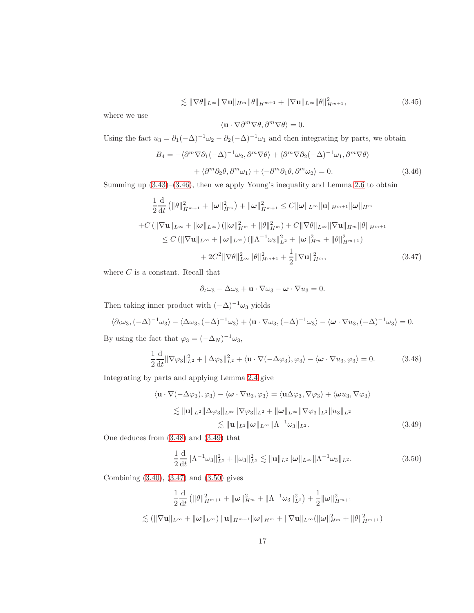$$
\lesssim \|\nabla\theta\|_{L^{\infty}} \|\nabla\mathbf{u}\|_{H^m} \|\theta\|_{H^{m+1}} + \|\nabla\mathbf{u}\|_{L^{\infty}} \|\theta\|_{H^{m+1}}^2,
$$
\n(3.45)

where we use

$$
\langle \mathbf{u}\cdot\nabla \partial^m\nabla \theta, \partial^m\nabla \theta\rangle = 0.
$$

Using the fact  $u_3 = \partial_1(-\Delta)^{-1}\omega_2 - \partial_2(-\Delta)^{-1}\omega_1$  and then integrating by parts, we obtain

<span id="page-16-0"></span>
$$
B_4 = -\langle \partial^m \nabla \partial_1 (-\Delta)^{-1} \omega_2, \partial^m \nabla \theta \rangle + \langle \partial^m \nabla \partial_2 (-\Delta)^{-1} \omega_1, \partial^m \nabla \theta \rangle + \langle \partial^m \partial_2 \theta, \partial^m \omega_1 \rangle + \langle -\partial^m \partial_1 \theta, \partial^m \omega_2 \rangle = 0.
$$
 (3.46)

Summing up [\(3.43\)](#page-15-2)–[\(3.46\)](#page-16-0), then we apply Young's inequality and Lemma [2.6](#page-6-7) to obtain

$$
\frac{1}{2}\frac{d}{dt}\left(\|\theta\|_{\dot{H}^{m+1}}^2 + \|\omega\|_{\dot{H}^m}^2\right) + \|\omega\|_{\dot{H}^{m+1}}^2 \leq C\|\omega\|_{L^\infty} \|\mathbf{u}\|_{H^{m+1}} \|\omega\|_{H^m}
$$
  
+ $C\left(\|\nabla\mathbf{u}\|_{L^\infty} + \|\omega\|_{L^\infty}\right) \left(\|\omega\|_{H^m}^2 + \|\theta\|_{H^m}^2\right) + C\|\nabla\theta\|_{L^\infty} \|\nabla\mathbf{u}\|_{H^m} \|\theta\|_{H^{m+1}}\leq C\left(\|\nabla\mathbf{u}\|_{L^\infty} + \|\omega\|_{L^\infty}\right) \left(\|\Lambda^{-1}\omega_3\|_{L^2}^2 + \|\omega\|_{H^m}^2 + \|\theta\|_{H^{m+1}}^2\right)+ 2C^2 \|\nabla\theta\|_{L^\infty}^2 \|\theta\|_{H^{m+1}}^2 + \frac{1}{2} \|\nabla\mathbf{u}\|_{H^m}^2, \tag{3.47}$ 

where  ${\cal C}$  is a constant. Recall that

<span id="page-16-3"></span>
$$
\partial_t \omega_3 - \Delta \omega_3 + \mathbf{u} \cdot \nabla \omega_3 - \boldsymbol{\omega} \cdot \nabla u_3 = 0.
$$

Then taking inner product with  $(-\Delta)^{-1}\omega_3$  yields

$$
\langle \partial_t \omega_3, (-\Delta)^{-1} \omega_3 \rangle - \langle \Delta \omega_3, (-\Delta)^{-1} \omega_3 \rangle + \langle \mathbf{u} \cdot \nabla \omega_3, (-\Delta)^{-1} \omega_3 \rangle - \langle \boldsymbol{\omega} \cdot \nabla u_3, (-\Delta)^{-1} \omega_3 \rangle = 0.
$$

By using the fact that  $\varphi_3 = (-\Delta_N)^{-1} \omega_3$ ,

<span id="page-16-1"></span>
$$
\frac{1}{2}\frac{\mathrm{d}}{\mathrm{d}t} \|\nabla \varphi_3\|_{L^2}^2 + \|\Delta \varphi_3\|_{L^2}^2 + \langle \mathbf{u} \cdot \nabla(-\Delta \varphi_3), \varphi_3 \rangle - \langle \boldsymbol{\omega} \cdot \nabla u_3, \varphi_3 \rangle = 0. \tag{3.48}
$$

Integrating by parts and applying Lemma [2.4](#page-6-4) give

$$
\langle \mathbf{u} \cdot \nabla(-\Delta\varphi_3), \varphi_3 \rangle - \langle \boldsymbol{\omega} \cdot \nabla u_3, \varphi_3 \rangle = \langle \mathbf{u}\Delta\varphi_3, \nabla\varphi_3 \rangle + \langle \boldsymbol{\omega} u_3, \nabla\varphi_3 \rangle
$$
  
\n
$$
\lesssim \|\mathbf{u}\|_{L^2} \|\Delta\varphi_3\|_{L^\infty} \|\nabla\varphi_3\|_{L^2} + \|\boldsymbol{\omega}\|_{L^\infty} \|\nabla\varphi_3\|_{L^2} \|u_3\|_{L^2}
$$
  
\n
$$
\lesssim \|\mathbf{u}\|_{L^2} \|\boldsymbol{\omega}\|_{L^\infty} \|\Lambda^{-1}\omega_3\|_{L^2}.
$$
 (3.49)

One deduces from [\(3.48\)](#page-16-1) and [\(3.49\)](#page-16-2) that

<span id="page-16-4"></span><span id="page-16-2"></span>
$$
\frac{1}{2}\frac{\mathrm{d}}{\mathrm{d}t}\|\Lambda^{-1}\omega_3\|_{L^2}^2 + \|\omega_3\|_{L^2}^2 \lesssim \|\mathbf{u}\|_{L^2}\|\boldsymbol{\omega}\|_{L^\infty}\|\Lambda^{-1}\omega_3\|_{L^2}.
$$
\n(3.50)

Combining [\(3.40\)](#page-15-3), [\(3.47\)](#page-16-3) and [\(3.50\)](#page-16-4) gives

$$
\frac{1}{2}\frac{\mathrm{d}}{\mathrm{d}t} \left( \|\theta\|_{H^{m+1}}^2 + \|\omega\|_{H^m}^2 + \|\Lambda^{-1}\omega_3\|_{L^2}^2 \right) + \frac{1}{2}\|\omega\|_{H^{m+1}}^2
$$
  

$$
\lesssim (\|\nabla \mathbf{u}\|_{L^\infty} + \|\omega\|_{L^\infty}) \|\mathbf{u}\|_{H^{m+1}} \|\omega\|_{H^m} + \|\nabla \mathbf{u}\|_{L^\infty} (\|\omega\|_{H^m}^2 + \|\theta\|_{H^{m+1}}^2)
$$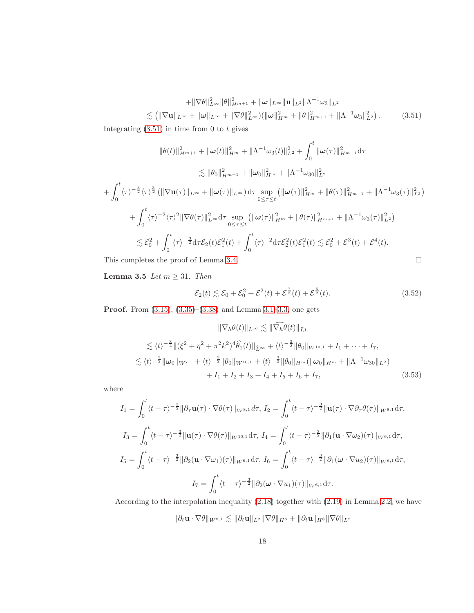<span id="page-17-0"></span>
$$
+ \|\nabla \theta\|_{L^{\infty}}^2 \|\theta\|_{H^{m+1}}^2 + \|\omega\|_{L^{\infty}} \|\mathbf{u}\|_{L^2} \|\Lambda^{-1} \omega_3\|_{L^2}
$$
  

$$
\lesssim \left( \|\nabla \mathbf{u}\|_{L^{\infty}} + \|\omega\|_{L^{\infty}} + \|\nabla \theta\|_{L^{\infty}}^2 \right) \left( \|\omega\|_{H^m}^2 + \|\theta\|_{H^{m+1}}^2 + \|\Lambda^{-1} \omega_3\|_{L^2}^2 \right).
$$
 (3.51)

Integrating  $(3.51)$  in time from 0 to t gives

$$
\|\theta(t)\|_{H^{m+1}}^2 + \|\omega(t)\|_{H^m}^2 + \|\Lambda^{-1}\omega_3(t)\|_{L^2}^2 + \int_0^t \|\omega(\tau)\|_{H^{m+1}}^2 d\tau
$$
  
\n
$$
\lesssim \|\theta_0\|_{H^{m+1}}^2 + \|\omega_0\|_{H^m}^2 + \|\Lambda^{-1}\omega_{30}\|_{L^2}^2
$$
  
\n
$$
+ \int_0^t \langle \tau \rangle^{-\frac{3}{2}} \langle \tau \rangle^{\frac{3}{2}} (\|\nabla \mathbf{u}(\tau)\|_{L^\infty} + \|\omega(\tau)\|_{L^\infty}) d\tau \sup_{0 \leq \tau \leq t} (\|\omega(\tau)\|_{H^m}^2 + \|\theta(\tau)\|_{H^{m+1}}^2 + \|\Lambda^{-1}\omega_3(\tau)\|_{L^2}^2)
$$
  
\n
$$
+ \int_0^t \langle \tau \rangle^{-2} \langle \tau \rangle^2 \|\nabla \theta(\tau)\|_{L^\infty}^2 d\tau \sup_{0 \leq \tau \leq t} (\|\omega(\tau)\|_{H^m}^2 + \|\theta(\tau)\|_{H^{m+1}}^2 + \|\Lambda^{-1}\omega_3(\tau)\|_{L^2}^2)
$$
  
\n
$$
\lesssim \mathcal{E}_0^2 + \int_0^t \langle \tau \rangle^{-\frac{3}{2}} d\tau \mathcal{E}_2(t) \mathcal{E}_1^2(t) + \int_0^t \langle \tau \rangle^{-2} d\tau \mathcal{E}_2^2(t) \mathcal{E}_1^2(t) \lesssim \mathcal{E}_0^2 + \mathcal{E}^3(t) + \mathcal{E}^4(t).
$$
  
This completes the proof of Lemma 3.4.

<span id="page-17-2"></span>

Lemma 3.5 Let  $m \geq 31$ . Then

$$
\mathcal{E}_2(t) \lesssim \mathcal{E}_0 + \mathcal{E}_0^2 + \mathcal{E}^2(t) + \mathcal{E}^{\frac{7}{3}}(t) + \mathcal{E}^{\frac{5}{2}}(t). \tag{3.52}
$$

Proof. From [\(3.15\)](#page-9-2), [\(3.35\)](#page-14-2)–[\(3.38\)](#page-14-4) and Lemma [3.1–](#page-7-6)[3.3,](#page-11-2) one gets

<span id="page-17-1"></span>
$$
\|\nabla_h \theta(t)\|_{L^{\infty}} \lesssim \|\nabla_h \tilde{\theta}(t)\|_{\hat{L}^1}
$$
  
\n
$$
\lesssim \langle t \rangle^{-\frac{3}{2}} \|(\xi^2 + \eta^2 + \pi^2 k^2)^4 \hat{\theta}_1(t)\|_{\hat{L}^{\infty}} + \langle t \rangle^{-\frac{3}{2}} \|\theta_0\|_{W^{10,1}} + I_1 + \dots + I_7,
$$
  
\n
$$
\lesssim \langle t \rangle^{-\frac{3}{2}} \|\omega_0\|_{W^{7,1}} + \langle t \rangle^{-\frac{3}{2}} \|\theta_0\|_{W^{10,1}} + \langle t \rangle^{-\frac{3}{2}} \|\theta_0\|_{H^m} (\|\omega_0\|_{H^m} + \|\Lambda^{-1} \omega_{30}\|_{L^2})
$$
  
\n
$$
+ I_1 + I_2 + I_3 + I_4 + I_5 + I_6 + I_7,
$$
\n(3.53)

 $\overline{a}$ 

where

$$
I_{1} = \int_{0}^{t} \langle t - \tau \rangle^{-\frac{3}{2}} ||\partial_{\tau} \mathbf{u}(\tau) \cdot \nabla \theta(\tau) ||_{W^{8,1}} d\tau, I_{2} = \int_{0}^{t} \langle t - \tau \rangle^{-\frac{3}{2}} ||\mathbf{u}(\tau) \cdot \nabla \partial_{\tau} \theta(\tau) ||_{W^{8,1}} d\tau,
$$
  
\n
$$
I_{3} = \int_{0}^{t} \langle t - \tau \rangle^{-\frac{3}{2}} ||\mathbf{u}(\tau) \cdot \nabla \theta(\tau) ||_{W^{10,1}} d\tau, I_{4} = \int_{0}^{t} \langle t - \tau \rangle^{-\frac{3}{2}} ||\partial_{1} (\mathbf{u} \cdot \nabla \omega_{2}) (\tau) ||_{W^{6,1}} d\tau,
$$
  
\n
$$
I_{5} = \int_{0}^{t} \langle t - \tau \rangle^{-\frac{3}{2}} ||\partial_{2} (\mathbf{u} \cdot \nabla \omega_{1}) (\tau) ||_{W^{6,1}} d\tau, I_{6} = \int_{0}^{t} \langle t - \tau \rangle^{-\frac{3}{2}} ||\partial_{1} (\omega \cdot \nabla u_{2}) (\tau) ||_{W^{6,1}} d\tau,
$$
  
\n
$$
I_{7} = \int_{0}^{t} \langle t - \tau \rangle^{-\frac{3}{2}} ||\partial_{2} (\omega \cdot \nabla u_{1}) (\tau) ||_{W^{6,1}} d\tau.
$$

According to the interpolation inequality [\(2.18\)](#page-6-8) together with [\(2.19\)](#page-6-9) in Lemma [2.2,](#page-5-5) we have

$$
\|\partial_t \mathbf{u}\cdot\nabla \theta\|_{W^{8,1}} \lesssim \|\partial_t \mathbf{u}\|_{L^2} \|\nabla \theta\|_{H^8} + \|\partial_t \mathbf{u}\|_{H^8} \|\nabla \theta\|_{L^2}
$$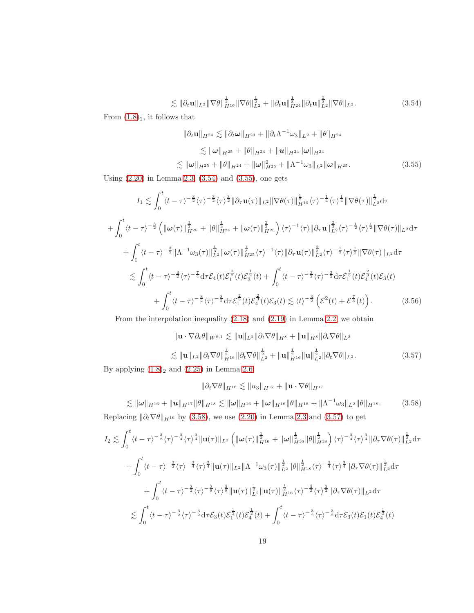<span id="page-18-0"></span>
$$
\lesssim \|\partial_t \mathbf{u}\|_{L^2} \|\nabla \theta\|_{H^{16}}^{\frac{1}{2}} \|\nabla \theta\|_{L^2}^{\frac{1}{2}} + \|\partial_t \mathbf{u}\|_{H^{24}}^{\frac{1}{3}} \|\partial_t \mathbf{u}\|_{L^2}^{\frac{2}{3}} \|\nabla \theta\|_{L^2}.
$$
 (3.54)

From  $(1.8)<sub>1</sub>$  $(1.8)<sub>1</sub>$  $(1.8)<sub>1</sub>$ , it follows that

<span id="page-18-1"></span>
$$
\|\partial_t \mathbf{u}\|_{H^{24}} \lesssim \|\partial_t \boldsymbol{\omega}\|_{H^{23}} + \|\partial_t \Lambda^{-1} \omega_3\|_{L^2} + \|\theta\|_{H^{24}}
$$
  

$$
\lesssim \|\boldsymbol{\omega}\|_{H^{25}} + \|\theta\|_{H^{24}} + \|\mathbf{u}\|_{H^{24}} \|\boldsymbol{\omega}\|_{H^{24}}
$$
  

$$
\lesssim \|\boldsymbol{\omega}\|_{H^{25}} + \|\theta\|_{H^{24}} + \|\boldsymbol{\omega}\|_{H^{25}}^2 + \|\Lambda^{-1} \omega_3\|_{L^2} \|\boldsymbol{\omega}\|_{H^{25}}.
$$
 (3.55)

Using [\(2.20\)](#page-6-10) in Lemma [2.3,](#page-6-11) [\(3.54\)](#page-18-0) and [\(3.55\)](#page-18-1), one gets

$$
I_{1} \lesssim \int_{0}^{t} \langle t-\tau \rangle^{-\frac{3}{2}} \langle \tau \rangle^{\frac{3}{2}} \|\partial_{\tau} \mathbf{u}(\tau)\|_{L^{2}} \|\nabla \theta(\tau)\|_{H^{10}}^{\frac{1}{2}} \langle \tau \rangle^{\frac{1}{4}} \|\nabla \theta(\tau)\|_{L^{2}}^{\frac{1}{2}} d\tau + \int_{0}^{t} \langle t-\tau \rangle^{-\frac{3}{2}} \left( \|\omega(\tau)\|_{H^{25}}^{\frac{1}{3}} + \|\theta\|_{H^{24}}^{\frac{1}{3}} + \|\omega(\tau)\|_{H^{25}}^{\frac{2}{3}} \right) \langle \tau \rangle^{-1} \langle \tau \rangle \|\partial_{\tau} \mathbf{u}\|_{L^{2}}^{\frac{2}{3}} \langle \tau \rangle^{-\frac{1}{2}} \langle \tau \rangle^{\frac{1}{2}} \|\nabla \theta(\tau)\|_{L^{2}} d\tau + \int_{0}^{t} \langle t-\tau \rangle^{-\frac{3}{2}} \|\Lambda^{-1} \omega_{3}(\tau)\|_{L^{2}}^{\frac{1}{3}} \|\omega(\tau)\|_{H^{25}}^{\frac{1}{3}} \langle \tau \rangle^{-1} \langle \tau \rangle \|\partial_{\tau} \mathbf{u}(\tau)\|_{L^{2}}^{\frac{2}{3}} \langle \tau \rangle^{-\frac{1}{2}} \langle \tau \rangle^{\frac{1}{2}} \|\nabla \theta(\tau)\|_{L^{2}} d\tau \leq \int_{0}^{t} \langle t-\tau \rangle^{-\frac{3}{2}} \langle \tau \rangle^{-\frac{7}{4}} d\tau \mathcal{E}_{4}(t) \mathcal{E}_{1}^{\frac{1}{2}}(t) \mathcal{E}_{3}^{\frac{1}{2}}(t) + \int_{0}^{t} \langle t-\tau \rangle^{-\frac{3}{2}} \langle \tau \rangle^{-\frac{3}{2}} d\tau \mathcal{E}_{1}^{\frac{1}{3}}(t) \mathcal{E}_{3}^{\frac{2}{3}}(t) + \int_{0}^{t} \langle t-\tau \rangle^{-\frac{3}{2}} \langle \tau \rangle^{-\frac{3}{2}} d\tau \mathcal{E}_{1}^{\frac{2}{3}}(t) \mathcal{E}_{4}^{\frac{2}{3}}(t) \mathcal{E}_{4}^{\frac{2}{3}}(t) \mathcal
$$

From the interpolation inequality [\(2.18\)](#page-6-8) and [\(2.19\)](#page-6-9) in Lemma [2.2,](#page-5-5) we obtain

<span id="page-18-4"></span><span id="page-18-3"></span>
$$
\|\mathbf{u} \cdot \nabla \partial_t \theta\|_{W^{8,1}} \lesssim \|\mathbf{u}\|_{L^2} \|\partial_t \nabla \theta\|_{H^8} + \|\mathbf{u}\|_{H^8} \|\partial_t \nabla \theta\|_{L^2}
$$
  

$$
\lesssim \|\mathbf{u}\|_{L^2} \|\partial_t \nabla \theta\|_{H^{16}}^{\frac{1}{2}} \|\partial_t \nabla \theta\|_{L^2}^{\frac{1}{2}} + \|\mathbf{u}\|_{H^{16}}^{\frac{1}{2}} \|\mathbf{u}\|_{L^2}^{\frac{1}{2}} \|\partial_t \nabla \theta\|_{L^2}.
$$
 (3.57)

By applying  $(1.8)_2$  $(1.8)_2$  $(1.8)_2$  and  $(2.25)$  in Lemma [2.6,](#page-6-7)

$$
\|\partial_t \nabla \theta\|_{H^{16}} \lesssim \|u_3\|_{H^{17}} + \|\mathbf{u} \cdot \nabla \theta\|_{H^{17}}
$$

<span id="page-18-2"></span> $\lesssim \|\omega\|_{H^{16}} + \|u\|_{H^{17}} \|\theta\|_{H^{18}} \lesssim \|\omega\|_{H^{16}} + \|\omega\|_{H^{16}} \|\theta\|_{H^{18}} + \|\Lambda^{-1}\omega_3\|_{L^2} \|\theta\|_{H^{18}}.$  (3.58) Replacing  $\|\partial_t \nabla \theta\|_{H^{16}}$  by [\(3.58\)](#page-18-2), we use [\(2.20\)](#page-6-10) in Lemma [2.3](#page-6-11) and [\(3.57\)](#page-18-3) to get

$$
I_{2} \lesssim \int_{0}^{t} \langle t-\tau \rangle^{-\frac{3}{2}} \langle \tau \rangle^{\frac{3}{4}} \|\mathbf{u}(\tau)\|_{L^{2}} \left( \|\boldsymbol{\omega}(\tau)\|_{H^{16}}^{\frac{1}{2}} + \|\boldsymbol{\omega}\|_{H^{16}}^{\frac{1}{2}} \|\theta\|_{H^{18}}^{\frac{1}{2}} \right) \langle \tau \rangle^{-\frac{3}{4}} \langle \tau \rangle^{\frac{3}{4}} \|\partial_{\tau} \nabla \theta(\tau)\|_{L^{2}}^{\frac{1}{2}} d\tau + \int_{0}^{t} \langle t-\tau \rangle^{-\frac{3}{2}} \langle \tau \rangle^{-\frac{3}{4}} \langle \tau \rangle^{\frac{3}{4}} \|\mathbf{u}(\tau)\|_{L^{2}} \|\Lambda^{-1} \omega_{3}(\tau)\|_{L^{2}}^{\frac{1}{2}} \|\theta\|_{H^{18}}^{\frac{1}{2}} \langle \tau \rangle^{-\frac{3}{4}} \langle \tau \rangle^{\frac{3}{4}} \|\partial_{\tau} \nabla \theta(\tau)\|_{L^{2}}^{\frac{1}{2}} d\tau + \int_{0}^{t} \langle t-\tau \rangle^{-\frac{3}{2}} \langle \tau \rangle^{-\frac{3}{8}} \langle \tau \rangle^{\frac{3}{8}} \|\mathbf{u}(\tau)\|_{L^{2}}^{\frac{1}{2}} \|\mathbf{u}(\tau)\|_{H^{16}}^{\frac{1}{2}} \langle \tau \rangle^{-\frac{3}{2}} \langle \tau \rangle^{\frac{3}{2}} \|\partial_{\tau} \nabla \theta(\tau)\|_{L^{2}} d\tau \lesssim \int_{0}^{t} \langle t-\tau \rangle^{-\frac{3}{2}} \langle \tau \rangle^{-\frac{3}{2}} d\tau \mathcal{E}_{3}(t) \mathcal{E}_{1}^{\frac{1}{2}}(t) \mathcal{E}_{4}^{\frac{1}{2}}(t) + \int_{0}^{t} \langle t-\tau \rangle^{-\frac{3}{2}} \langle \tau \rangle^{-\frac{3}{2}} d\tau \mathcal{E}_{3}(t) \mathcal{E}_{1}(t) \mathcal{E}_{4}^{\frac{1}{2}}(t)
$$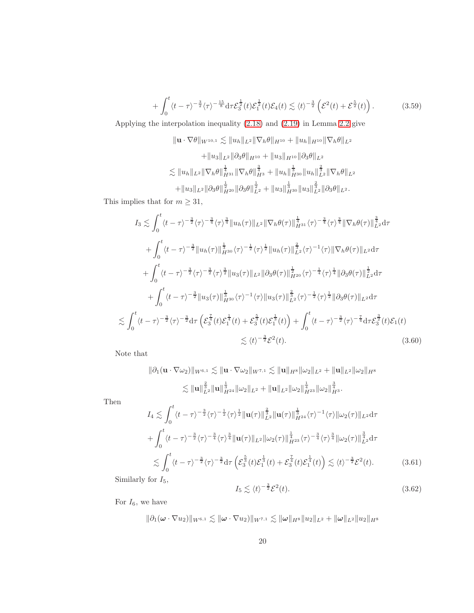<span id="page-19-0"></span>
$$
+\int_0^t \langle t-\tau\rangle^{-\frac{3}{2}} \langle \tau \rangle^{-\frac{15}{8}} \mathrm{d}\tau \mathcal{E}_3^{\frac{1}{2}}(t) \mathcal{E}_1^{\frac{1}{2}}(t) \mathcal{E}_4(t) \lesssim \langle t \rangle^{-\frac{3}{2}} \left(\mathcal{E}^2(t) + \mathcal{E}^{\frac{5}{2}}(t)\right). \tag{3.59}
$$

Applying the interpolation inequality [\(2.18\)](#page-6-8) and [\(2.19\)](#page-6-9) in Lemma [2.2](#page-5-5) give

$$
\|\mathbf{u} \cdot \nabla \theta\|_{W^{10,1}} \lesssim \|u_h\|_{L^2} \|\nabla_h \theta\|_{H^{10}} + \|u_h\|_{H^{10}} \|\nabla_h \theta\|_{L^2}
$$
  
 
$$
+ \|u_3\|_{L^2} \|\partial_3 \theta\|_{H^{10}} + \|u_3\|_{H^{10}} \|\partial_3 \theta\|_{L^2}
$$
  
 
$$
\lesssim \|u_h\|_{L^2} \|\nabla_h \theta\|_{H^{31}}^{\frac{1}{4}} \|\nabla_h \theta\|_{H^3}^{\frac{3}{4}} + \|u_h\|_{H^{30}}^{\frac{1}{3}} \|u_h\|_{L^2}^{\frac{2}{3}} \|\nabla_h \theta\|_{L^2}
$$
  
 
$$
+ \|u_3\|_{L^2} \|\partial_3 \theta\|_{H^{20}}^{\frac{1}{2}} \|\partial_3 \theta\|_{L^2}^{\frac{1}{2}} + \|u_3\|_{H^{30}}^{\frac{1}{3}} \|u_3\|_{L^2}^{\frac{2}{3}} \|\partial_3 \theta\|_{L^2}.
$$

This implies that for  $m\geq 31,$ 

$$
I_{3} \lesssim \int_{0}^{t} \langle t-\tau \rangle^{-\frac{3}{2}} \langle \tau \rangle^{\frac{3}{4}} \|u_{h}(\tau)\|_{L^{2}} \|\nabla_{h}\theta(\tau)\|_{H^{31}}^{\frac{1}{4}} \langle \tau \rangle^{\frac{3}{4}} \|\nabla_{h}\theta(\tau)\|_{L^{2}}^{\frac{3}{4}} d\tau + \int_{0}^{t} \langle t-\tau \rangle^{-\frac{3}{2}} \|u_{h}(\tau)\|_{H^{30}}^{\frac{1}{3}} \langle \tau \rangle^{-\frac{1}{2}} \langle \tau \rangle^{\frac{1}{2}} \|u_{h}(\tau)\|_{L^{2}}^{\frac{2}{3}} \langle \tau \rangle^{-1} \langle \tau \rangle \|\nabla_{h}\theta(\tau)\|_{L^{2}} d\tau + \int_{0}^{t} \langle t-\tau \rangle^{-\frac{3}{2}} \langle \tau \rangle^{-\frac{3}{2}} \langle \tau \rangle^{\frac{3}{2}} \|u_{3}(\tau)\|_{L^{2}} \|\partial_{3}\theta(\tau)\|_{H^{20}}^{\frac{1}{2}} \langle \tau \rangle^{-\frac{1}{4}} \langle \tau \rangle^{\frac{1}{4}} \|\partial_{3}\theta(\tau)\|_{L^{2}}^{\frac{1}{2}} d\tau + \int_{0}^{t} \langle t-\tau \rangle^{-\frac{3}{2}} \|u_{3}(\tau)\|_{H^{30}}^{\frac{1}{3}} \langle \tau \rangle^{-1} \langle \tau \rangle \|u_{3}(\tau)\|_{L^{2}}^{\frac{2}{3}} \langle \tau \rangle^{-\frac{1}{2}} \langle \tau \rangle^{\frac{1}{2}} \|\partial_{3}\theta(\tau)\|_{L^{2}} d\tau \lesssim \int_{0}^{t} \langle t-\tau \rangle^{-\frac{3}{2}} \langle \tau \rangle^{-\frac{3}{2}} d\tau \left( \mathcal{E}_{3}^{\frac{7}{4}}(t) \mathcal{E}_{1}^{\frac{1}{4}}(t) + \mathcal{E}_{3}^{\frac{5}{3}}(t) \mathcal{E}_{1}^{\frac{1}{3}}(t) \right) + \int_{0}^{t} \langle t-\tau \rangle^{-\frac{3}{2}} \langle \tau \rangle^{-\frac{7}{4}} d\tau \mathcal{E}_{3}^{\frac{3}{2}}(t) \mathcal{E}_{1}(t) \lesssim \langle t \rangle^{-\frac{
$$

Note that

$$
\|\partial_1 (\mathbf{u} \cdot \nabla \omega_2)\|_{W^{6,1}} \lesssim \|\mathbf{u} \cdot \nabla \omega_2\|_{W^{7,1}} \lesssim \|\mathbf{u}\|_{H^8} \|\omega_2\|_{L^2} + \|\mathbf{u}\|_{L^2} \|\omega_2\|_{H^8}
$$
  

$$
\lesssim \|\mathbf{u}\|_{L^2}^{\frac{2}{3}} \|\mathbf{u}\|_{H^{24}}^{\frac{1}{3}} \|\omega_2\|_{L^2} + \|\mathbf{u}\|_{L^2} \|\omega_2\|_{H^{23}}^{\frac{1}{4}} \|\omega_2\|_{H^3}^{\frac{3}{4}}.
$$

Then

$$
I_{4} \lesssim \int_{0}^{t} \langle t-\tau \rangle^{-\frac{3}{2}} \langle \tau \rangle^{\frac{1}{2}} \|\mathbf{u}(\tau)\|_{L^{2}}^{\frac{2}{3}} \|\mathbf{u}(\tau)\|_{H^{24}}^{\frac{1}{3}} \langle \tau \rangle^{-1} \langle \tau \rangle \|\omega_{2}(\tau)\|_{L^{2}} d\tau
$$
  
+ 
$$
\int_{0}^{t} \langle t-\tau \rangle^{-\frac{3}{2}} \langle \tau \rangle^{-\frac{3}{4}} \langle \tau \rangle^{\frac{3}{4}} \|\mathbf{u}(\tau)\|_{L^{2}} \|\omega_{2}(\tau)\|_{H^{23}}^{\frac{1}{4}} \langle \tau \rangle^{-\frac{3}{4}} \langle \tau \rangle^{\frac{3}{4}} \|\omega_{2}(\tau)\|_{L^{2}}^{\frac{3}{4}} d\tau
$$
  

$$
\lesssim \int_{0}^{t} \langle t-\tau \rangle^{-\frac{3}{2}} \langle \tau \rangle^{-\frac{3}{2}} d\tau \left( \mathcal{E}_{3}^{\frac{5}{3}}(t) \mathcal{E}_{1}^{\frac{1}{3}}(t) + \mathcal{E}_{3}^{\frac{7}{4}}(t) \mathcal{E}_{1}^{\frac{1}{4}}(t) \right) \lesssim \langle t \rangle^{-\frac{3}{2}} \mathcal{E}^{2}(t). \tag{3.61}
$$

Similarly for  $\mathcal{I}_5,$ 

$$
I_5 \lesssim \langle t \rangle^{-\frac{3}{2}} \mathcal{E}^2(t). \tag{3.62}
$$

For  $I_6$ , we have

 $\|\partial_1(\omega \cdot \nabla u_2)\|_{W^{6,1}} \lesssim \|\omega \cdot \nabla u_2)\|_{W^{7,1}} \lesssim \|\omega\|_{H^8} \|u_2\|_{L^2} + \|\omega\|_{L^2} \|u_2\|_{H^8}$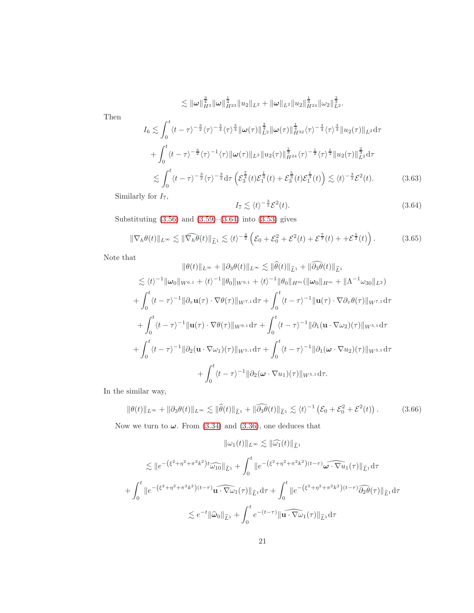$$
\lesssim \|\omega\|_{H^3}^{\frac{3}{4}}\|\omega\|_{H^{23}}^{\frac{1}{4}}\|u_2\|_{L^2}+\|\omega\|_{L^2}\|u_2\|_{H^{24}}^{\frac{1}{3}}\|\omega_2\|_{L^2}^{\frac{2}{3}}.
$$

Then

$$
I_{6} \lesssim \int_{0}^{t} \langle t-\tau \rangle^{-\frac{3}{2}} \langle \tau \rangle^{\frac{3}{4}} \|\omega(\tau)\|_{L^{2}}^{\frac{3}{4}} \|\omega(\tau)\|_{H^{32}}^{\frac{1}{4}} \langle \tau \rangle^{\frac{3}{4}} \|u_{2}(\tau)\|_{L^{2}} d\tau + \int_{0}^{t} \langle t-\tau \rangle^{-\frac{3}{2}} \langle \tau \rangle^{-1} \langle \tau \rangle \|\omega(\tau)\|_{L^{2}} \|u_{2}(\tau)\|_{H^{24}}^{\frac{1}{3}} \langle \tau \rangle^{-\frac{1}{2}} \langle \tau \rangle^{\frac{1}{2}} \|u_{2}(\tau)\|_{L^{2}}^{\frac{2}{3}} d\tau \lesssim \int_{0}^{t} \langle t-\tau \rangle^{-\frac{3}{2}} \langle \tau \rangle^{-\frac{3}{2}} d\tau \left( \mathcal{E}_{3}^{\frac{7}{4}}(t) \mathcal{E}_{1}^{\frac{1}{4}}(t) + \mathcal{E}_{3}^{\frac{5}{3}}(t) \mathcal{E}_{1}^{\frac{1}{3}}(t) \right) \lesssim \langle t \rangle^{-\frac{3}{2}} \mathcal{E}^{2}(t).
$$
 (3.63)

Similarly for  $\mathcal{I}_7,$ 

<span id="page-20-0"></span>
$$
I_7 \lesssim \langle t \rangle^{-\frac{3}{2}} \mathcal{E}^2(t). \tag{3.64}
$$

Substituting [\(3.56\)](#page-18-4) and [\(3.59\)](#page-19-0)–[\(3.64\)](#page-20-0) into [\(3.53\)](#page-17-1) gives

<span id="page-20-1"></span>
$$
\|\nabla_h \theta(t)\|_{L^\infty} \lesssim \|\widehat{\nabla_h \theta}(t)\|_{\widehat{L}^1} \lesssim \langle t \rangle^{-\frac{3}{2}} \left(\mathcal{E}_0 + \mathcal{E}_0^2 + \mathcal{E}^2(t) + \mathcal{E}^{\frac{7}{3}}(t) + \mathcal{E}^{\frac{5}{2}}(t)\right). \tag{3.65}
$$

Note that

$$
\|\theta(t)\|_{L^{\infty}} + \|\partial_3 \theta(t)\|_{L^{\infty}} \lesssim \|\theta(t)\|_{\widehat{L}^1} + \|\partial_3 \theta(t)\|_{\widehat{L}^1}
$$
  
\n
$$
\lesssim \langle t \rangle^{-1} \|\omega_0\|_{W^{6,1}} + \langle t \rangle^{-1} \|\theta_0\|_{W^{9,1}} + \langle t \rangle^{-1} \|\theta_0\|_{H^m} (\|\omega_0\|_{H^m} + \|\Lambda^{-1} \omega_{30}\|_{L^2})
$$
  
\n
$$
+ \int_0^t \langle t - \tau \rangle^{-1} \|\partial_\tau \mathbf{u}(\tau) \cdot \nabla \theta(\tau) \|_{W^{7,1}} d\tau + \int_0^t \langle t - \tau \rangle^{-1} \|\mathbf{u}(\tau) \cdot \nabla \partial_\tau \theta(\tau) \|_{W^{7,1}} d\tau
$$
  
\n
$$
+ \int_0^t \langle t - \tau \rangle^{-1} \|\mathbf{u}(\tau) \cdot \nabla \theta(\tau) \|_{W^{9,1}} d\tau + \int_0^t \langle t - \tau \rangle^{-1} \|\partial_1 (\mathbf{u} \cdot \nabla \omega_2)(\tau) \|_{W^{5,1}} d\tau
$$
  
\n
$$
+ \int_0^t \langle t - \tau \rangle^{-1} \|\partial_2 (\mathbf{u} \cdot \nabla \omega_1)(\tau) \|_{W^{5,1}} d\tau + \int_0^t \langle t - \tau \rangle^{-1} \|\partial_1 (\omega \cdot \nabla u_2)(\tau) \|_{W^{5,1}} d\tau
$$
  
\n
$$
+ \int_0^t \langle t - \tau \rangle^{-1} \|\partial_2 (\omega \cdot \nabla u_1)(\tau) \|_{W^{5,1}} d\tau.
$$

In the similar way,

$$
\|\theta(t)\|_{L^{\infty}} + \|\partial_3\theta(t)\|_{L^{\infty}} \lesssim \|\widehat{\theta}(t)\|_{\widehat{L}^1} + \|\widehat{\partial_3\theta}(t)\|_{\widehat{L}^1} \lesssim \langle t \rangle^{-1} \left(\mathcal{E}_0 + \mathcal{E}_0^2 + \mathcal{E}^2(t)\right). \tag{3.66}
$$

Now we turn to  $\omega$ . From [\(3.34\)](#page-14-1) and [\(3.36\)](#page-14-5), one deduces that

$$
\|\omega_1(t)\|_{L^{\infty}} \lesssim \|\widehat{\omega_1}(t)\|_{\widehat{L}^1}
$$
  

$$
\lesssim \|e^{-(\xi^2 + \eta^2 + \pi^2 k^2)t}\widehat{\omega_{10}}\|_{\widehat{L}^1} + \int_0^t \|e^{-(\xi^2 + \eta^2 + \pi^2 k^2)(t-\tau)}\widehat{\omega \cdot \nabla u_1}(\tau)\|_{\widehat{L}^1}d\tau
$$
  

$$
+ \int_0^t \|e^{-(\xi^2 + \eta^2 + \pi^2 k^2)(t-\tau)}\widehat{\mathbf{u} \cdot \nabla \omega_1}(\tau)\|_{\widehat{L}^1}d\tau + \int_0^t \|e^{-(\xi^2 + \eta^2 + \pi^2 k^2)(t-\tau)}\widehat{\partial_2 \theta}(\tau)\|_{\widehat{L}^1}d\tau
$$
  

$$
\lesssim e^{-t} \|\widehat{\omega}_0\|_{\widehat{L}^1} + \int_0^t e^{-(t-\tau)} \|\widehat{\mathbf{u} \cdot \nabla \omega_1}(\tau)\|_{\widehat{L}^1}d\tau
$$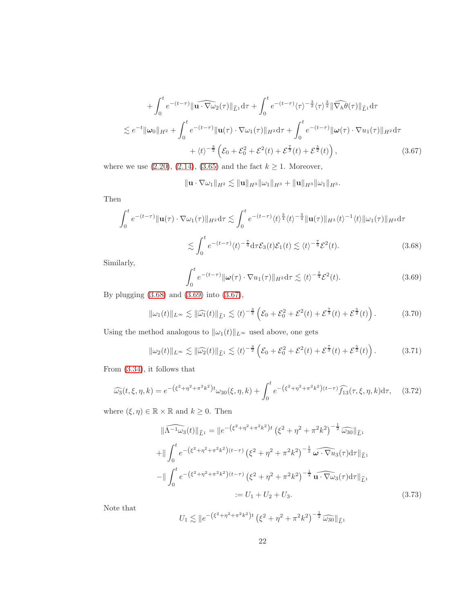$$
+\int_0^t e^{-(t-\tau)} \|\widehat{\mathbf{u} \cdot \nabla \omega_2}(\tau)\|_{\widehat{L}^1} d\tau + \int_0^t e^{-(t-\tau)} \langle \tau \rangle^{-\frac{3}{2}} \langle \tau \rangle^{\frac{3}{2}} \|\widehat{\nabla_h \theta}(\tau)\|_{\widehat{L}^1} d\tau
$$
  
\$\lesssim e^{-t} \|\omega\_0\|\_{H^2} + \int\_0^t e^{-(t-\tau)} \|\mathbf{u}(\tau) \cdot \nabla \omega\_1(\tau)\|\_{H^2} d\tau + \int\_0^t e^{-(t-\tau)} \|\omega(\tau) \cdot \nabla u\_1(\tau)\|\_{H^2} d\tau\$  
\$+\langle t \rangle^{-\frac{3}{2}} \left( \mathcal{E}\_0 + \mathcal{E}\_0^2 + \mathcal{E}^2(t) + \mathcal{E}^{\frac{\tau}{3}}(t) + \mathcal{E}^{\frac{5}{2}}(t) \right), \qquad (3.67)\$

where we use  $(2.20)$ ,  $(2.14)$ ,  $(3.65)$  and the fact  $k \geq 1$ . Moreover,

<span id="page-21-2"></span> $\| \mathbf{u} \cdot \nabla \omega_1 \|_{H^2} \lesssim \| \mathbf{u} \|_{H^3} \| \omega_1 \|_{H^3} + \| \mathbf{u} \|_{H^3} \| \omega_1 \|_{H^3}.$ 

Then

$$
\int_0^t e^{-(t-\tau)} \|\mathbf{u}(\tau) \cdot \nabla \omega_1(\tau)\|_{H^2} d\tau \lesssim \int_0^t e^{-(t-\tau)} \langle t \rangle^{\frac{3}{4}} \langle t \rangle^{-\frac{3}{4}} \|\mathbf{u}(\tau)\|_{H^3} \langle t \rangle^{-1} \langle t \rangle \|\omega_1(\tau)\|_{H^3} d\tau
$$

$$
\lesssim \int_0^t e^{-(t-\tau)} \langle t \rangle^{-\frac{7}{4}} d\tau \mathcal{E}_3(t) \mathcal{E}_1(t) \lesssim \langle t \rangle^{-\frac{7}{4}} \mathcal{E}^2(t). \tag{3.68}
$$

Similarly,

<span id="page-21-1"></span><span id="page-21-0"></span>
$$
\int_0^t e^{-(t-\tau)} \|\omega(\tau) \cdot \nabla u_1(\tau)\|_{H^2} d\tau \lesssim \langle t \rangle^{-\frac{7}{4}} \mathcal{E}^2(t).
$$
 (3.69)

By plugging [\(3.68\)](#page-21-0) and [\(3.69\)](#page-21-1) into [\(3.67\)](#page-21-2),

$$
\|\omega_1(t)\|_{L^\infty} \lesssim \|\widehat{\omega_1}(t)\|_{\widehat{L}^1} \lesssim \langle t \rangle^{-\frac{3}{2}} \left(\mathcal{E}_0 + \mathcal{E}_0^2 + \mathcal{E}^2(t) + \mathcal{E}^{\frac{7}{3}}(t) + \mathcal{E}^{\frac{5}{2}}(t)\right). \tag{3.70}
$$

Using the method analogous to  $\|\omega_1(t)\|_{L^\infty}$  used above, one gets

<span id="page-21-4"></span>
$$
\|\omega_2(t)\|_{L^\infty} \lesssim \|\widehat{\omega_2}(t)\|_{\widehat{L}^1} \lesssim \langle t \rangle^{-\frac{3}{2}} \left(\mathcal{E}_0 + \mathcal{E}_0^2 + \mathcal{E}^2(t) + \mathcal{E}^{\frac{7}{3}}(t) + \mathcal{E}^{\frac{5}{2}}(t)\right). \tag{3.71}
$$

From [\(3.34\)](#page-14-1), it follows that

$$
\widehat{\omega_3}(t,\xi,\eta,k) = e^{-\left(\xi^2 + \eta^2 + \pi^2 k^2\right)t} \omega_{30}(\xi,\eta,k) + \int_0^t e^{-\left(\xi^2 + \eta^2 + \pi^2 k^2\right)(t-\tau)} \widehat{f_{13}}(\tau,\xi,\eta,k) d\tau, \quad (3.72)
$$

where  $(\xi, \eta) \in \mathbb{R} \times \mathbb{R}$  and  $k \geq 0$ . Then

$$
\|\widehat{\Lambda^{-1}\omega_3}(t)\|_{\widehat{L}^1} = \|e^{-\left(\xi^2 + \eta^2 + \pi^2 k^2\right)t} \left(\xi^2 + \eta^2 + \pi^2 k^2\right)^{-\frac{1}{2}} \widehat{\omega_{30}}\|_{\widehat{L}^1}
$$
  
+ 
$$
\|\int_0^t e^{-\left(\xi^2 + \eta^2 + \pi^2 k^2\right)(t-\tau)} \left(\xi^2 + \eta^2 + \pi^2 k^2\right)^{-\frac{1}{2}} \widehat{\omega \cdot \nabla u_3}(\tau) d\tau\|_{\widehat{L}^1}
$$
  
- 
$$
\|\int_0^t e^{-\left(\xi^2 + \eta^2 + \pi^2 k^2\right)(t-\tau)} \left(\xi^2 + \eta^2 + \pi^2 k^2\right)^{-\frac{1}{2}} \widehat{\mathbf{u} \cdot \nabla \omega_3}(\tau) d\tau\|_{\widehat{L}^1}
$$
  
:=  $U_1 + U_2 + U_3$ . (3.73)

Note that

<span id="page-21-3"></span>
$$
U_1 \lesssim \|e^{-(\xi^2 + \eta^2 + \pi^2 k^2)t} (\xi^2 + \eta^2 + \pi^2 k^2)^{-\frac{1}{2}} \widehat{\omega_{30}}\|_{\widehat{L}^1}
$$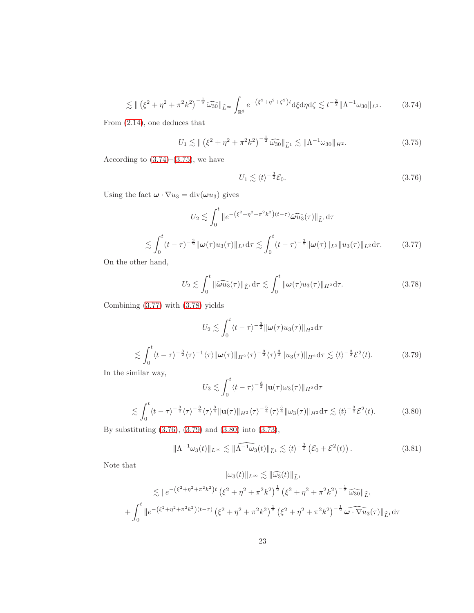<span id="page-22-0"></span>
$$
\lesssim \| (\xi^2 + \eta^2 + \pi^2 k^2)^{-\frac{1}{2}} \widehat{\omega_{30}} \|_{\widehat{L}^\infty} \int_{\mathbb{R}^3} e^{- (\xi^2 + \eta^2 + \zeta^2) t} \mathrm{d}\xi \mathrm{d}\eta \mathrm{d}\zeta \lesssim t^{-\frac{3}{2}} \| \Lambda^{-1} \omega_{30} \|_{L^1}.
$$
 (3.74)

From [\(2.14\)](#page-5-1), one deduces that

<span id="page-22-1"></span>
$$
U_1 \lesssim ||(\xi^2 + \eta^2 + \pi^2 k^2)^{-\frac{1}{2}} \widehat{\omega_{30}}||_{\widehat{L}^1} \lesssim ||\Lambda^{-1}\omega_{30}||_{H^2}.
$$
 (3.75)

According to  $(3.74)$ – $(3.75)$ , we have

<span id="page-22-4"></span>
$$
U_1 \lesssim \langle t \rangle^{-\frac{3}{2}} \mathcal{E}_0. \tag{3.76}
$$

Using the fact  $\boldsymbol{\omega} \cdot \nabla u_3 = \text{div}(\boldsymbol{\omega} u_3)$  gives

<span id="page-22-2"></span>
$$
U_2 \lesssim \int_0^t \|e^{-(\xi^2 + \eta^2 + \pi^2 k^2)(t-\tau)} \widehat{\omega u_3}(\tau)\|_{\widehat{L}^1} d\tau
$$
  

$$
\lesssim \int_0^t (t-\tau)^{-\frac{3}{2}} \|\omega(\tau)u_3(\tau)\|_{L^1} d\tau \lesssim \int_0^t (t-\tau)^{-\frac{3}{2}} \|\omega(\tau)\|_{L^2} \|u_3(\tau)\|_{L^2} d\tau.
$$
 (3.77)

On the other hand,

<span id="page-22-3"></span>
$$
U_2 \lesssim \int_0^t \|\widehat{\omega u_3}(\tau)\|_{\widehat{L}^1} d\tau \lesssim \int_0^t \|\omega(\tau)u_3(\tau)\|_{H^2} d\tau. \tag{3.78}
$$

Combining [\(3.77\)](#page-22-2) with [\(3.78\)](#page-22-3) yields

$$
U_2 \lesssim \int_0^t \langle t - \tau \rangle^{-\frac{3}{2}} ||\boldsymbol{\omega}(\tau)u_3(\tau)||_{H^2} d\tau
$$
  

$$
\lesssim \int_0^t \langle t - \tau \rangle^{-\frac{3}{2}} \langle \tau \rangle^{-1} \langle \tau \rangle ||\boldsymbol{\omega}(\tau)||_{H^2} \langle \tau \rangle^{-\frac{3}{2}} \langle \tau \rangle^{\frac{3}{2}} ||u_3(\tau)||_{H^2} d\tau \lesssim \langle t \rangle^{-\frac{3}{2}} \mathcal{E}^2(t).
$$
 (3.79)

In the similar way,

<span id="page-22-6"></span><span id="page-22-5"></span>
$$
U_3 \lesssim \int_0^t \langle t - \tau \rangle^{-\frac{3}{2}} \| \mathbf{u}(\tau) \omega_3(\tau) \|_{H^2} d\tau
$$
  

$$
\lesssim \int_0^t \langle t - \tau \rangle^{-\frac{3}{2}} \langle \tau \rangle^{-\frac{3}{4}} \langle \tau \rangle^{\frac{3}{4}} \| \mathbf{u}(\tau) \|_{H^2} \langle \tau \rangle^{-\frac{5}{4}} \langle \tau \rangle^{\frac{5}{4}} \| \omega_3(\tau) \|_{H^2} d\tau \lesssim \langle t \rangle^{-\frac{3}{2}} \mathcal{E}^2(t).
$$
 (3.80)

By substituting [\(3.76\)](#page-22-4), [\(3.79\)](#page-22-5) and [\(3.80\)](#page-22-6) into [\(3.73\)](#page-21-3),

<span id="page-22-7"></span>
$$
\|\Lambda^{-1}\omega_3(t)\|_{L^\infty} \lesssim \|\widehat{\Lambda^{-1}\omega_3}(t)\|_{\widehat{L}^1} \lesssim \langle t\rangle^{-\frac{3}{2}} \left(\mathcal{E}_0 + \mathcal{E}^2(t)\right). \tag{3.81}
$$

Note that

$$
\|\omega_3(t)\|_{L^{\infty}} \lesssim \|\widehat{\omega_3}(t)\|_{\widehat{L}^1}
$$
  

$$
\lesssim \|e^{-(\xi^2 + \eta^2 + \pi^2 k^2)t} (\xi^2 + \eta^2 + \pi^2 k^2)^{\frac{1}{2}} (\xi^2 + \eta^2 + \pi^2 k^2)^{-\frac{1}{2}} \widehat{\omega_{30}}\|_{\widehat{L}^1}
$$
  
+ 
$$
\int_0^t \|e^{-(\xi^2 + \eta^2 + \pi^2 k^2)(t-\tau)} (\xi^2 + \eta^2 + \pi^2 k^2)^{\frac{1}{2}} (\xi^2 + \eta^2 + \pi^2 k^2)^{-\frac{1}{2}} \widehat{\omega \cdot \nabla u_3}(\tau)\|_{\widehat{L}^1} d\tau
$$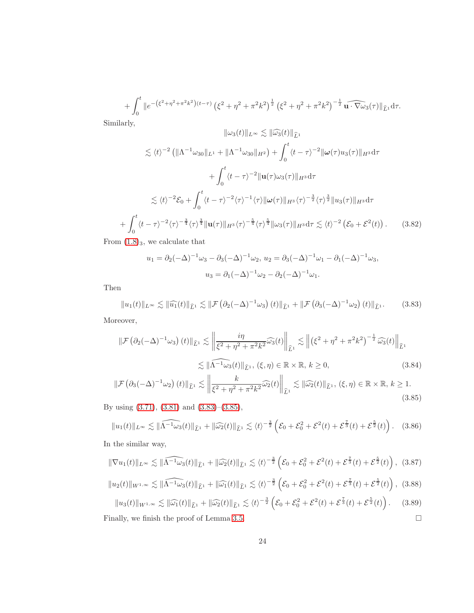$$
+\int_0^t \|e^{-(\xi^2+\eta^2+\pi^2k^2)(t-\tau)}(\xi^2+\eta^2+\pi^2k^2)^{\frac{1}{2}}(\xi^2+\eta^2+\pi^2k^2)^{-\frac{1}{2}}\widehat{\mathbf{u}\cdot\nabla\omega_3}(\tau)\|_{\widehat{L}^1}d\tau.
$$

Similarly,

 $^{+}$ 

$$
\|\omega_3(t)\|_{L^\infty} \lesssim \|\widehat{\omega_3}(t)\|_{\widehat{L}^1}
$$
  
\n
$$
\lesssim \langle t \rangle^{-2} \left( \|\Lambda^{-1} \omega_{30}\|_{L^1} + \|\Lambda^{-1} \omega_{30}\|_{H^2} \right) + \int_0^t \langle t - \tau \rangle^{-2} \|\omega(\tau)u_3(\tau)\|_{H^3} d\tau
$$
  
\n
$$
+ \int_0^t \langle t - \tau \rangle^{-2} \|\mathbf{u}(\tau)\omega_3(\tau)\|_{H^3} d\tau
$$
  
\n
$$
\lesssim \langle t \rangle^{-2} \mathcal{E}_0 + \int_0^t \langle t - \tau \rangle^{-2} \langle \tau \rangle^{-1} \langle \tau \rangle \|\omega(\tau)\|_{H^3} \langle \tau \rangle^{-\frac{3}{2}} \langle \tau \rangle^{\frac{3}{2}} \|u_3(\tau)\|_{H^3} d\tau
$$
  
\n
$$
\int_0^t \langle t - \tau \rangle^{-2} \langle \tau \rangle^{-\frac{3}{4}} \langle \tau \rangle^{\frac{3}{4}} \|\mathbf{u}(\tau)\|_{H^3} \langle \tau \rangle^{-\frac{5}{4}} \langle \tau \rangle^{\frac{5}{4}} \|\omega_3(\tau)\|_{H^3} d\tau \lesssim \langle t \rangle^{-2} \left(\mathcal{E}_0 + \mathcal{E}^2(t)\right).
$$
 (3.82)

From  $(1.8)_{3}$  $(1.8)_{3}$  $(1.8)_{3}$ , we calculate that

$$
u_1 = \partial_2(-\Delta)^{-1}\omega_3 - \partial_3(-\Delta)^{-1}\omega_2, \ u_2 = \partial_3(-\Delta)^{-1}\omega_1 - \partial_1(-\Delta)^{-1}\omega_3, u_3 = \partial_1(-\Delta)^{-1}\omega_2 - \partial_2(-\Delta)^{-1}\omega_1.
$$

Then

<span id="page-23-0"></span>
$$
||u_1(t)||_{L^{\infty}} \lesssim ||\widehat{u_1}(t)||_{\widehat{L}^1} \lesssim ||\mathcal{F}(\partial_2(-\Delta)^{-1}\omega_3)(t)||_{\widehat{L}^1} + ||\mathcal{F}(\partial_3(-\Delta)^{-1}\omega_2)(t)||_{\widehat{L}^1}.
$$
 (3.83)

Moreover,

$$
\|\mathcal{F}\left(\partial_2(-\Delta)^{-1}\omega_3\right)(t)\|_{\hat{L}^1} \lesssim \left\|\frac{i\eta}{\xi^2 + \eta^2 + \pi^2 k^2} \widehat{\omega_3}(t)\right\|_{\hat{L}^1} \lesssim \left\|\left(\xi^2 + \eta^2 + \pi^2 k^2\right)^{-\frac{1}{2}} \widehat{\omega_3}(t)\right\|_{\hat{L}^1}
$$

$$
\lesssim \|\widehat{\Lambda^{-1}\omega_3}(t)\|_{\hat{L}^1}, \ (\xi, \eta) \in \mathbb{R} \times \mathbb{R}, \ k \ge 0,
$$
(3.84)

<span id="page-23-1"></span>
$$
\|\mathcal{F}\left(\partial_3(-\Delta)^{-1}\omega_2\right)(t)\|_{\widehat{L}^1} \lesssim \left\|\frac{k}{\xi^2 + \eta^2 + \pi^2 k^2} \widehat{\omega_2}(t)\right\|_{\widehat{L}^1} \lesssim \|\widehat{\omega_2}(t)\|_{\widehat{L}^1}, \ (\xi, \eta) \in \mathbb{R} \times \mathbb{R}, \ k \ge 1. \tag{3.85}
$$

By using [\(3.71\)](#page-21-4), [\(3.81\)](#page-22-7) and [\(3.83\)](#page-23-0)–[\(3.85\)](#page-23-1),

$$
||u_1(t)||_{L^{\infty}} \lesssim ||\widehat{\Lambda^{-1}\omega_3}(t)||_{\widehat{L}^1} + ||\widehat{\omega_2}(t)||_{\widehat{L}^1} \lesssim \langle t \rangle^{-\frac{3}{2}} \left(\mathcal{E}_0 + \mathcal{E}_0^2 + \mathcal{E}^2(t) + \mathcal{E}^{\frac{7}{3}}(t) + \mathcal{E}^{\frac{5}{2}}(t)\right).
$$
 (3.86)

In the similar way,

$$
\|\nabla u_1(t)\|_{L^\infty} \lesssim \|\widehat{\Lambda^{-1}\omega_3}(t)\|_{\widehat{L}^1} + \|\widehat{\omega_2}(t)\|_{\widehat{L}^1} \lesssim \langle t\rangle^{-\frac{3}{2}} \left(\mathcal{E}_0 + \mathcal{E}_0^2 + \mathcal{E}^2(t) + \mathcal{E}^{\frac{7}{3}}(t) + \mathcal{E}^{\frac{5}{2}}(t)\right), (3.87)
$$

$$
||u_2(t)||_{W^{1,\infty}} \lesssim ||\widehat{\Lambda^{-1}\omega_3}(t)||_{\widehat{L}^1} + ||\widehat{\omega_1}(t)||_{\widehat{L}^1} \lesssim \langle t \rangle^{-\frac{3}{2}} \left(\mathcal{E}_0 + \mathcal{E}_0^2 + \mathcal{E}^2(t) + \mathcal{E}^{\frac{7}{3}}(t) + \mathcal{E}^{\frac{5}{2}}(t)\right), \tag{3.88}
$$

<span id="page-23-2"></span>
$$
\|u_3(t)\|_{W^{1,\infty}} \lesssim \|\widehat{\omega_1}(t)\|_{\widehat{L}^1} + \|\widehat{\omega_2}(t)\|_{\widehat{L}^1} \lesssim \langle t \rangle^{-\frac{3}{2}} \left(\mathcal{E}_0 + \mathcal{E}_0^2 + \mathcal{E}^2(t) + \mathcal{E}^{\frac{7}{3}}(t) + \mathcal{E}^{\frac{5}{2}}(t)\right). \tag{3.89}
$$

Finally, we finish the proof of Lemma [3.5.](#page-17-2)  $\Box$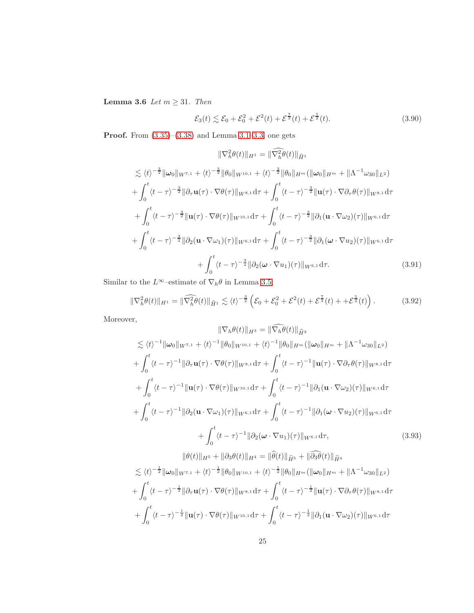Lemma 3.6 Let  $m \geq 31$ . Then

$$
\mathcal{E}_3(t) \lesssim \mathcal{E}_0 + \mathcal{E}_0^2 + \mathcal{E}^2(t) + \mathcal{E}^{\frac{7}{3}}(t) + \mathcal{E}^{\frac{5}{2}}(t). \tag{3.90}
$$

**Proof.** From  $(3.35)$ – $(3.38)$  and Lemma [3.1](#page-7-6)[–3.3,](#page-11-2) one gets

$$
\|\nabla_h^2 \theta(t)\|_{H^1} = \|\widehat{\nabla_h^2} \theta(t)\|_{\widehat{H}^1} \n\lesssim \langle t \rangle^{-\frac{3}{2}} \|\omega_0\|_{W^{7,1}} + \langle t \rangle^{-\frac{3}{2}} \|\theta_0\|_{W^{10,1}} + \langle t \rangle^{-\frac{3}{2}} \|\theta_0\|_{H^m} (\|\omega_0\|_{H^m} + \|\Lambda^{-1} \omega_{30}\|_{L^2}) \n+ \int_0^t \langle t - \tau \rangle^{-\frac{3}{2}} \|\partial_\tau \mathbf{u}(\tau) \cdot \nabla \theta(\tau)\|_{W^{8,1}} d\tau + \int_0^t \langle t - \tau \rangle^{-\frac{3}{2}} \|\mathbf{u}(\tau) \cdot \nabla \partial_\tau \theta(\tau)\|_{W^{8,1}} d\tau \n+ \int_0^t \langle t - \tau \rangle^{-\frac{3}{2}} \|\mathbf{u}(\tau) \cdot \nabla \theta(\tau)\|_{W^{10,1}} d\tau + \int_0^t \langle t - \tau \rangle^{-\frac{3}{2}} \|\partial_1 (\mathbf{u} \cdot \nabla \omega_2)(\tau)\|_{W^{6,1}} d\tau \n+ \int_0^t \langle t - \tau \rangle^{-\frac{3}{2}} \|\partial_2 (\mathbf{u} \cdot \nabla \omega_1)(\tau)\|_{W^{6,1}} d\tau + \int_0^t \langle t - \tau \rangle^{-\frac{3}{2}} \|\partial_1 (\omega \cdot \nabla u_2)(\tau)\|_{W^{6,1}} d\tau \n+ \int_0^t \langle t - \tau \rangle^{-\frac{3}{2}} \|\partial_2 (\omega \cdot \nabla u_1)(\tau)\|_{W^{6,1}} d\tau.
$$
\n(3.91)

Similar to the  $L^\infty\mathrm{-estimate}$  of  $\nabla_h\theta$  in Lemma [3.5,](#page-17-2)

<span id="page-24-0"></span>
$$
\|\nabla_h^2 \theta(t)\|_{H^1} = \|\widehat{\nabla_h^2 \theta(t)}\|_{\widehat{H}^1} \lesssim \langle t \rangle^{-\frac{3}{2}} \left(\mathcal{E}_0 + \mathcal{E}_0^2 + \mathcal{E}^2(t) + \mathcal{E}^{\frac{7}{3}}(t) + \mathcal{E}^{\frac{5}{2}}(t)\right). \tag{3.92}
$$

Moreover,

$$
\|\nabla_{h}\theta(t)\|_{H^{3}} = \|\nabla_{h}\theta(t)\|_{\widehat{H}^{3}}\n\lesssim \langle t \rangle^{-1} \|\omega_{0}\|_{W^{7,1}} + \langle t \rangle^{-1} \|\theta_{0}\|_{W^{10,1}} + \langle t \rangle^{-1} \|\theta_{0}\|_{H^{m}} (\|\omega_{0}\|_{H^{m}} + \|\Lambda^{-1}\omega_{30}\|_{L^{2}})\n+ \int_{0}^{t} \langle t-\tau \rangle^{-1} \|\partial_{\tau}\mathbf{u}(\tau) \cdot \nabla \theta(\tau)\|_{W^{8,1}} d\tau + \int_{0}^{t} \langle t-\tau \rangle^{-1} \|\mathbf{u}(\tau) \cdot \nabla \partial_{\tau}\theta(\tau)\|_{W^{8,1}} d\tau \n+ \int_{0}^{t} \langle t-\tau \rangle^{-1} \|\mathbf{u}(\tau) \cdot \nabla \theta(\tau)\|_{W^{10,1}} d\tau + \int_{0}^{t} \langle t-\tau \rangle^{-1} \|\partial_{1}(\mathbf{u} \cdot \nabla \omega_{2})(\tau)\|_{W^{6,1}} d\tau \n+ \int_{0}^{t} \langle t-\tau \rangle^{-1} \|\partial_{2}(\mathbf{u} \cdot \nabla \omega_{1})(\tau)\|_{W^{6,1}} d\tau + \int_{0}^{t} \langle t-\tau \rangle^{-1} \|\partial_{1}(\omega \cdot \nabla u_{2})(\tau)\|_{W^{6,1}} d\tau \n+ \int_{0}^{t} \langle t-\tau \rangle^{-1} \|\partial_{2}(\omega \cdot \nabla u_{1})(\tau)\|_{W^{6,1}} d\tau, \qquad (3.93)
$$
\n
$$
\|\theta(t)\|_{H^{5}} + \|\partial_{3}\theta(t)\|_{H^{4}} = \|\widehat{\theta}(t)\|_{\widehat{H}^{5}} + \|\widehat{\partial_{3}\theta}(t)\|_{\widehat{H}^{4}} \n\lesssim \langle t \rangle^{-\frac{1}{2}} \|\omega_{0}\|_{W^{7,1}} + \langle t \rangle^{-\frac{1}{2}} \|\theta_{0}\|_{W^{10,1}} + \langle t \rangle^{-\frac{1}{2}} \|\theta_{0}\|_{H^{m}} (\|\omega_{0}\|_{H^{m}} + \|\Lambda^{-1}\omega_{30}\|_{L^{2}}) \n+ \int_{0
$$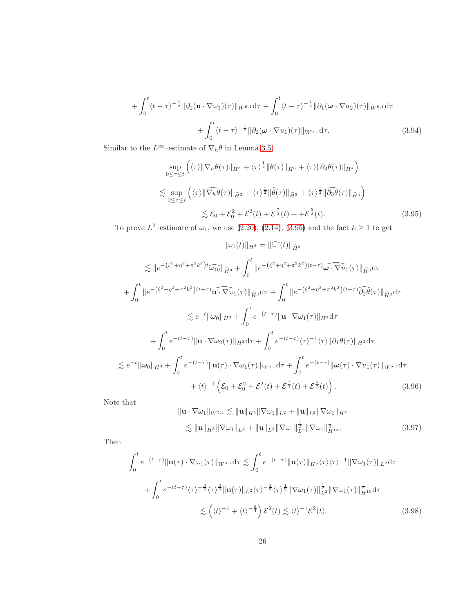$$
+\int_0^t \langle t-\tau\rangle^{-\frac{1}{2}} \|\partial_2(\mathbf{u}\cdot\nabla\omega_1)(\tau)\|_{W^{6,1}} d\tau + \int_0^t \langle t-\tau\rangle^{-\frac{1}{2}} \|\partial_1(\boldsymbol{\omega}\cdot\nabla u_2)(\tau)\|_{W^{6,1}} d\tau + \int_0^t \langle t-\tau\rangle^{-\frac{1}{2}} \|\partial_2(\boldsymbol{\omega}\cdot\nabla u_1)(\tau)\|_{W^{6,1}} d\tau.
$$
 (3.94)

Similar to the  $L^\infty\mathrm{-estimate}$  of  $\nabla_h\theta$  in Lemma [3.5,](#page-17-2)

<span id="page-25-0"></span>
$$
\sup_{0 \le \tau \le t} \left( \langle \tau \rangle \|\nabla_h \theta(\tau)\|_{H^3} + \langle \tau \rangle^{\frac{1}{2}} \|\theta(\tau)\|_{H^5} + \langle \tau \rangle \|\partial_3 \theta(\tau)\|_{H^4} \right)
$$
  

$$
\lesssim \sup_{0 \le \tau \le t} \left( \langle \tau \rangle \|\widehat{\nabla_h \theta}(\tau)\|_{\widehat{H}^3} + \langle \tau \rangle^{\frac{1}{2}} \|\widehat{\theta}(\tau)\|_{\widehat{H}^5} + \langle \tau \rangle^{\frac{1}{2}} \|\widehat{\partial_3 \theta}(\tau)\|_{\widehat{H}^4} \right)
$$
  

$$
\lesssim \mathcal{E}_0 + \mathcal{E}_0^2 + \mathcal{E}^2(t) + \mathcal{E}^{\frac{\tau}{3}}(t) + \mathcal{E}^{\frac{5}{2}}(t). \tag{3.95}
$$

To prove  $L^2$ -estimate of  $\omega_1$ , we use [\(2.20\)](#page-6-10), [\(2.14\)](#page-5-1), [\(3.95\)](#page-25-0) and the fact  $k \ge 1$  to get

$$
\|\omega_{1}(t)\|_{H^{3}} = \|\widehat{\omega_{1}}(t)\|_{\widehat{H}^{3}}
$$
  
\n
$$
\lesssim \|e^{-(\xi^{2}+\eta^{2}+\pi^{2}k^{2})t}\widehat{\omega_{10}}\|_{\widehat{H}^{3}} + \int_{0}^{t} \|e^{-(\xi^{2}+\eta^{2}+\pi^{2}k^{2})(t-\tau)}\widehat{\omega\cdot\nabla u_{1}}(\tau)\|_{\widehat{H}^{3}}d\tau
$$
  
\n
$$
+ \int_{0}^{t} \|e^{-(\xi^{2}+\eta^{2}+\pi^{2}k^{2})(t-\tau)}\widehat{\omega_{1}}(\tau)\|_{\widehat{H}^{3}}d\tau + \int_{0}^{t} \|e^{-(\xi^{2}+\eta^{2}+\pi^{2}k^{2})(t-\tau)}\widehat{\partial_{2}}\theta(\tau)\|_{\widehat{H}^{3}}d\tau
$$
  
\n
$$
\lesssim e^{-t} \|\omega_{0}\|_{H^{3}} + \int_{0}^{t} e^{-(t-\tau)} \|\mathbf{u}\cdot\nabla\omega_{1}(\tau)\|_{H^{3}}d\tau
$$
  
\n
$$
+ \int_{0}^{t} e^{-(t-\tau)} \|\mathbf{u}\cdot\nabla\omega_{2}(\tau)\|_{H^{3}}d\tau + \int_{0}^{t} e^{-(t-\tau)}\langle\tau\rangle^{-1}\langle\tau\rangle\|\partial_{1}\theta(\tau)\|_{H^{3}}d\tau
$$
  
\n
$$
\lesssim e^{-t} \|\omega_{0}\|_{H^{3}} + \int_{0}^{t} e^{-(t-\tau)} \|\mathbf{u}(\tau)\cdot\nabla\omega_{1}(\tau)\|_{W^{5,1}}d\tau + \int_{0}^{t} e^{-(t-\tau)} \|\omega(\tau)\cdot\nabla u_{1}(\tau)\|_{W^{5,1}}d\tau
$$
  
\n
$$
+ \langle t\rangle^{-1} \left(\mathcal{E}_{0} + \mathcal{E}_{0}^{2} + \mathcal{E}^{2}(t) + \mathcal{E}^{\frac{7}{3}}(t) + \mathcal{E}^{\frac{5}{2}}(t)\right).
$$
 (3.96)

Note that

<span id="page-25-1"></span>
$$
\|\mathbf{u} \cdot \nabla \omega_1\|_{W^{5,1}} \lesssim \|\mathbf{u}\|_{H^5} \|\nabla \omega_1\|_{L^2} + \|\mathbf{u}\|_{L^2} \|\nabla \omega_1\|_{H^5}
$$
  

$$
\lesssim \|\mathbf{u}\|_{H^5} \|\nabla \omega_1\|_{L^2} + \|\mathbf{u}\|_{L^2} \|\nabla \omega_1\|_{L^2}^{\frac{1}{2}} \|\nabla \omega_1\|_{H^{10}}^{\frac{1}{2}}.
$$
 (3.97)

Then

<span id="page-25-2"></span>
$$
\int_0^t e^{-(t-\tau)} \|\mathbf{u}(\tau) \cdot \nabla \omega_1(\tau)\|_{W^{5,1}} d\tau \lesssim \int_0^t e^{-(t-\tau)} \|\mathbf{u}(\tau)\|_{H^5} \langle \tau \rangle \langle \tau \rangle^{-1} \|\nabla \omega_1(\tau)\|_{L^2} d\tau \n+ \int_0^t e^{-(t-\tau)} \langle \tau \rangle^{-\frac{3}{4}} \langle \tau \rangle^{\frac{3}{4}} \|\mathbf{u}(\tau)\|_{L^2} \langle \tau \rangle^{-\frac{1}{2}} \langle \tau \rangle^{\frac{1}{2}} \|\nabla \omega_1(\tau)\|_{L^2}^{\frac{1}{2}} \|\nabla \omega_1(\tau)\|_{H^{10}}^{\frac{1}{2}} d\tau \n\lesssim \left( \langle t \rangle^{-1} + \langle t \rangle^{-\frac{5}{4}} \right) \mathcal{E}^2(t) \lesssim \langle t \rangle^{-1} \mathcal{E}^2(t). \tag{3.98}
$$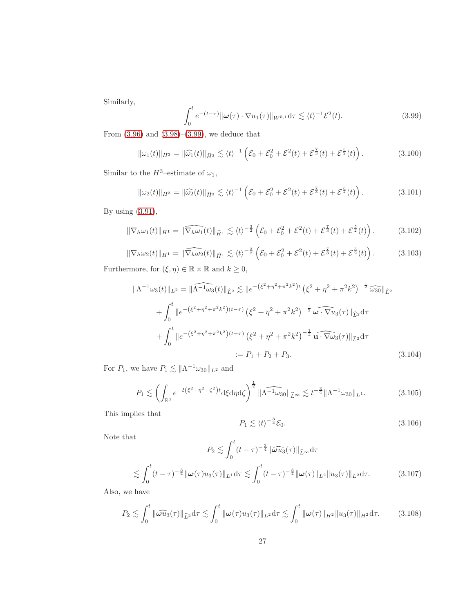Similarly,

<span id="page-26-0"></span>
$$
\int_0^t e^{-(t-\tau)} \|\boldsymbol{\omega}(\tau) \cdot \nabla u_1(\tau)\|_{W^{5,1}} d\tau \lesssim \langle t \rangle^{-1} \mathcal{E}^2(t). \tag{3.99}
$$

From [\(3.96\)](#page-25-1) and [\(3.98\)](#page-25-2)–[\(3.99\)](#page-26-0), we deduce that

$$
\|\omega_1(t)\|_{H^3} = \|\widehat{\omega_1}(t)\|_{\widehat{H}^3} \lesssim \langle t \rangle^{-1} \left( \mathcal{E}_0 + \mathcal{E}_0^2 + \mathcal{E}^2(t) + \mathcal{E}^{\frac{7}{3}}(t) + \mathcal{E}^{\frac{5}{2}}(t) \right). \tag{3.100}
$$

Similar to the  $H^3-$ estimate of  $\omega_1,$ 

<span id="page-26-5"></span>
$$
\|\omega_2(t)\|_{H^3} = \|\widehat{\omega_2}(t)\|_{\widehat{H}^3} \lesssim \langle t \rangle^{-1} \left( \mathcal{E}_0 + \mathcal{E}_0^2 + \mathcal{E}^2(t) + \mathcal{E}^{\frac{7}{3}}(t) + \mathcal{E}^{\frac{5}{2}}(t) \right). \tag{3.101}
$$

By using [\(3.91\)](#page-24-0),

<span id="page-26-6"></span>
$$
\|\nabla_h \omega_1(t)\|_{H^1} = \|\widehat{\nabla_h \omega_1}(t)\|_{\widehat{H}^1} \lesssim \langle t \rangle^{-\frac{3}{2}} \left(\mathcal{E}_0 + \mathcal{E}_0^2 + \mathcal{E}^2(t) + \mathcal{E}^{\frac{7}{3}}(t) + \mathcal{E}^{\frac{5}{2}}(t)\right). \tag{3.102}
$$

<span id="page-26-7"></span>
$$
\|\nabla_h \omega_2(t)\|_{H^1} = \|\widehat{\nabla_h \omega_2}(t)\|_{\widehat{H}^1} \lesssim \langle t \rangle^{-\frac{3}{2}} \left(\mathcal{E}_0 + \mathcal{E}_0^2 + \mathcal{E}^2(t) + \mathcal{E}^{\frac{7}{3}}(t) + \mathcal{E}^{\frac{5}{2}}(t)\right). \tag{3.103}
$$

Furthermore, for  $(\xi, \eta) \in \mathbb{R} \times \mathbb{R}$  and  $k \geq 0$ ,

$$
\|\Lambda^{-1}\omega_{3}(t)\|_{L^{2}} = \|\widehat{\Lambda^{-1}\omega_{3}}(t)\|_{\widehat{L}^{2}} \lesssim \|e^{-(\xi^{2}+\eta^{2}+\pi^{2}k^{2})t} (\xi^{2}+\eta^{2}+\pi^{2}k^{2})^{-\frac{1}{2}} \widehat{\omega_{30}}\|_{\widehat{L}^{2}} \n+ \int_{0}^{t} \|e^{-(\xi^{2}+\eta^{2}+\pi^{2}k^{2})(t-\tau)} (\xi^{2}+\eta^{2}+\pi^{2}k^{2})^{-\frac{1}{2}} \widehat{\omega\cdot\nabla u_{3}}(\tau)\|_{\widehat{L}^{2}} d\tau \n+ \int_{0}^{t} \|e^{-(\xi^{2}+\eta^{2}+\pi^{2}k^{2})(t-\tau)} (\xi^{2}+\eta^{2}+\pi^{2}k^{2})^{-\frac{1}{2}} \widehat{\mathbf{u}\cdot\nabla\omega_{3}}(\tau)\|_{\widehat{L}^{2}} d\tau \n:= P_{1} + P_{2} + P_{3}.
$$
\n(3.104)

For  $P_1$ , we have  $P_1 \lesssim \|\Lambda^{-1}\omega_{30}\|_{L^2}$  and

$$
P_1 \lesssim \left( \int_{\mathbb{R}^3} e^{-2(\xi^2 + \eta^2 + \zeta^2)t} d\xi d\eta d\zeta \right)^{\frac{1}{2}} \|\widehat{\Lambda^{-1}\omega_{30}}\|_{\widehat{L}^\infty} \lesssim t^{-\frac{3}{4}} \|\Lambda^{-1}\omega_{30}\|_{L^1}.
$$
 (3.105)

This implies that

<span id="page-26-4"></span><span id="page-26-3"></span>
$$
P_1 \lesssim \langle t \rangle^{-\frac{3}{4}} \mathcal{E}_0. \tag{3.106}
$$

Note that

$$
P_2 \lesssim \int_0^t (t-\tau)^{-\frac{3}{4}} \|\widehat{\omega u_3}(\tau)\|_{\widehat{L}^\infty} d\tau
$$
  

$$
\int_0^t (t-\tau)^{-\frac{3}{4}} \|\omega(\tau)u_3(\tau)\|_{L^1} d\tau \lesssim \int_0^t (t-\tau)^{-\frac{3}{4}} \|\omega(\tau)\|_{L^2} \|u_3(\tau)\|_{L^2} d\tau.
$$
 (3.107)

Also, we have

<span id="page-26-1"></span> $\lesssim$ 

<span id="page-26-2"></span>
$$
P_2 \lesssim \int_0^t \|\widehat{\boldsymbol{\omega} u}_3(\tau)\|_{\widehat{L}^2} d\tau \lesssim \int_0^t \|\boldsymbol{\omega}(\tau)u_3(\tau)\|_{L^2} d\tau \lesssim \int_0^t \|\boldsymbol{\omega}(\tau)\|_{H^2} \|u_3(\tau)\|_{H^2} d\tau. \tag{3.108}
$$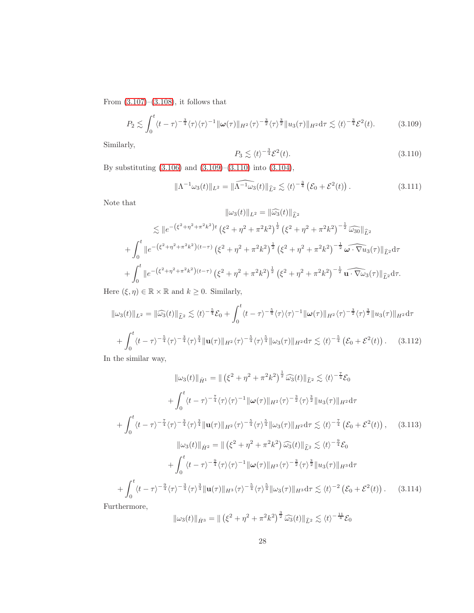From  $(3.107)$ – $(3.108)$ , it follows that

<span id="page-27-0"></span>
$$
P_2 \lesssim \int_0^t \langle t - \tau \rangle^{-\frac{3}{4}} \langle \tau \rangle \langle \tau \rangle^{-1} \|\omega(\tau)\|_{H^2} \langle \tau \rangle^{-\frac{3}{2}} \langle \tau \rangle^{\frac{3}{2}} \|u_3(\tau)\|_{H^2} d\tau \lesssim \langle t \rangle^{-\frac{3}{4}} \mathcal{E}^2(t). \tag{3.109}
$$

Similarly,

<span id="page-27-1"></span>
$$
P_3 \lesssim \langle t \rangle^{-\frac{3}{4}} \mathcal{E}^2(t). \tag{3.110}
$$

By substituting [\(3.106\)](#page-26-3) and [\(3.109\)](#page-27-0)–[\(3.110\)](#page-27-1) into [\(3.104\)](#page-26-4),

<span id="page-27-3"></span>
$$
\|\Lambda^{-1}\omega_3(t)\|_{L^2} = \|\widehat{\Lambda^{-1}\omega_3}(t)\|_{\widehat{L}^2} \lesssim \langle t \rangle^{-\frac{3}{4}} \left(\mathcal{E}_0 + \mathcal{E}^2(t)\right). \tag{3.111}
$$

Note that

$$
\|\omega_3(t)\|_{L^2} = \|\widehat{\omega_3}(t)\|_{\widehat{L}^2}
$$
  
\n
$$
\leq \|e^{-(\xi^2 + \eta^2 + \pi^2 k^2)t} (\xi^2 + \eta^2 + \pi^2 k^2)^{\frac{1}{2}} (\xi^2 + \eta^2 + \pi^2 k^2)^{-\frac{1}{2}} \widehat{\omega_{30}}\|_{\widehat{L}^2}
$$
  
\n
$$
+ \int_0^t \|e^{-(\xi^2 + \eta^2 + \pi^2 k^2)(t-\tau)} (\xi^2 + \eta^2 + \pi^2 k^2)^{\frac{1}{2}} (\xi^2 + \eta^2 + \pi^2 k^2)^{-\frac{1}{2}} \widehat{\omega \cdot \nabla u_3}(\tau)\|_{\widehat{L}^2} d\tau
$$
  
\n
$$
+ \int_0^t \|e^{-(\xi^2 + \eta^2 + \pi^2 k^2)(t-\tau)} (\xi^2 + \eta^2 + \pi^2 k^2)^{\frac{1}{2}} (\xi^2 + \eta^2 + \pi^2 k^2)^{-\frac{1}{2}} \widehat{\mathbf{u} \cdot \nabla \omega_3}(\tau)\|_{\widehat{L}^2} d\tau.
$$

Here  $(\xi, \eta) \in \mathbb{R} \times \mathbb{R}$  and  $k \geq 0$ . Similarly,

$$
\|\omega_3(t)\|_{L^2} = \|\widehat{\omega_3}(t)\|_{\widehat{L}^2} \lesssim \langle t \rangle^{-\frac{5}{4}} \mathcal{E}_0 + \int_0^t \langle t - \tau \rangle^{-\frac{5}{4}} \langle \tau \rangle \langle \tau \rangle^{-1} \|\omega(\tau)\|_{H^2} \langle \tau \rangle^{-\frac{3}{2}} \langle \tau \rangle^{\frac{3}{2}} \|u_3(\tau)\|_{H^2} d\tau
$$
  
+ 
$$
\int_0^t \langle t - \tau \rangle^{-\frac{5}{4}} \langle \tau \rangle^{-\frac{3}{4}} \|\mathbf{u}(\tau)\|_{H^2} \langle \tau \rangle^{-\frac{5}{4}} \langle \tau \rangle^{\frac{5}{4}} \|\omega_3(\tau)\|_{H^2} d\tau \lesssim \langle t \rangle^{-\frac{5}{4}} (\mathcal{E}_0 + \mathcal{E}^2(t)). \tag{3.112}
$$

<span id="page-27-2"></span>In the similar way,

$$
\|\omega_{3}(t)\|_{\dot{H}^{1}} = \|\left(\xi^{2} + \eta^{2} + \pi^{2}k^{2}\right)^{\frac{1}{2}}\widehat{\omega_{3}}(t)\|_{\widehat{L}^{2}} \lesssim \langle t \rangle^{-\frac{7}{4}}\mathcal{E}_{0}
$$
\n
$$
+ \int_{0}^{t} \langle t - \tau \rangle^{-\frac{7}{4}}\langle \tau \rangle \langle \tau \rangle^{-1} \|\omega(\tau)\|_{H^{2}}\langle \tau \rangle^{-\frac{3}{2}}\langle \tau \rangle^{\frac{3}{2}}\|u_{3}(\tau)\|_{H^{2}}d\tau
$$
\n
$$
+ \int_{0}^{t} \langle t - \tau \rangle^{-\frac{7}{4}}\langle \tau \rangle^{\frac{3}{4}}\|u(\tau)\|_{H^{2}}\langle \tau \rangle^{-\frac{5}{4}}\langle \tau \rangle^{\frac{5}{4}}\|\omega_{3}(\tau)\|_{H^{2}}d\tau \lesssim \langle t \rangle^{-\frac{7}{4}}\left(\mathcal{E}_{0} + \mathcal{E}^{2}(t)\right), \quad (3.113)
$$
\n
$$
\|\omega_{3}(t)\|_{\dot{H}^{2}} = \|\left(\xi^{2} + \eta^{2} + \pi^{2}k^{2}\right)\widehat{\omega_{3}}(t)\|_{\widehat{L}^{2}} \lesssim \langle t \rangle^{-\frac{9}{4}}\mathcal{E}_{0}
$$
\n
$$
+ \int_{0}^{t} \langle t - \tau \rangle^{-\frac{9}{4}}\langle \tau \rangle \langle \tau \rangle^{-1} \|\omega(\tau)\|_{H^{3}}\langle \tau \rangle^{-\frac{3}{2}}\langle \tau \rangle^{\frac{3}{2}}\|u_{3}(\tau)\|_{H^{3}}d\tau
$$
\n
$$
+ \int_{0}^{t} \langle t - \tau \rangle^{-\frac{9}{4}}\langle \tau \rangle^{-\frac{3}{4}}\langle \tau \rangle^{\frac{3}{4}}\|u(\tau)\|_{H^{3}}\langle \tau \rangle^{-\frac{5}{4}}\langle \tau \rangle^{\frac{5}{4}}\|\omega_{3}(\tau)\|_{H^{3}}d\tau \lesssim \langle t \rangle^{-2}\left(\mathcal{E}_{0} + \mathcal{E}^{2}(t)\right). \quad (3.114)
$$
\nwhormor

Furthermore,

$$
\|\omega_3(t)\|_{\dot{H}^3} = \|\left(\xi^2 + \eta^2 + \pi^2 k^2\right)^{\frac{3}{2}} \widehat{\omega_3}(t)\|_{\widehat{L}^2} \lesssim \langle t \rangle^{-\frac{11}{4}} \mathcal{E}_0
$$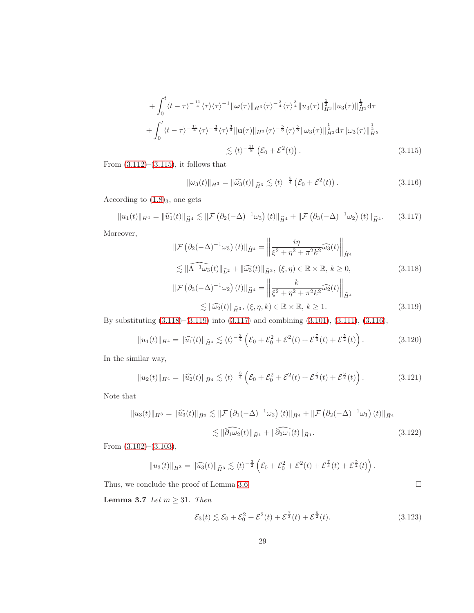$$
+\int_{0}^{t} \langle t-\tau\rangle^{-\frac{11}{4}} \langle \tau \rangle \langle \tau \rangle^{-1} \|\omega(\tau)\|_{H^{3}} \langle \tau \rangle^{-\frac{3}{4}} \langle \tau \rangle^{\frac{3}{4}} \|u_{3}(\tau)\|_{H^{3}}^{\frac{1}{2}} \|u_{3}(\tau)\|_{H^{5}}^{\frac{1}{2}} d\tau + \int_{0}^{t} \langle t-\tau \rangle^{-\frac{11}{4}} \langle \tau \rangle^{-\frac{3}{4}} \langle \tau \rangle^{\frac{3}{4}} \|\mathbf{u}(\tau)\|_{H^{3}} \langle \tau \rangle^{-\frac{5}{8}} \langle \tau \rangle^{\frac{5}{8}} \|\omega_{3}(\tau)\|_{H^{3}}^{\frac{1}{2}} d\tau \|\omega_{3}(\tau)\|_{H^{5}}^{\frac{1}{2}} \lesssim \langle t \rangle^{-\frac{11}{8}} (\mathcal{E}_{0} + \mathcal{E}^{2}(t)). \tag{3.115}
$$

From  $(3.112)$ – $(3.115)$ , it follows that

<span id="page-28-4"></span><span id="page-28-0"></span>
$$
\|\omega_3(t)\|_{H^3} = \|\widehat{\omega_3}(t)\|_{\widehat{H}^3} \lesssim \langle t \rangle^{-\frac{5}{4}} \left(\mathcal{E}_0 + \mathcal{E}^2(t)\right). \tag{3.116}
$$

According to  $(1.8)_3$ , one gets

<span id="page-28-3"></span>
$$
||u_1(t)||_{H^4} = ||\widehat{u_1}(t)||_{\widehat{H}^4} \lesssim ||\mathcal{F}(\partial_2(-\Delta)^{-1}\omega_3)(t)||_{\widehat{H}^4} + ||\mathcal{F}(\partial_3(-\Delta)^{-1}\omega_2)(t)||_{\widehat{H}^4}.
$$
 (3.117)

Moreover,

<span id="page-28-1"></span>
$$
\|\mathcal{F}\left(\partial_2(-\Delta)^{-1}\omega_3\right)(t)\|_{\widehat{H}^4} = \left\|\frac{i\eta}{\xi^2 + \eta^2 + \pi^2 k^2}\widehat{\omega_3}(t)\right\|_{\widehat{H}^4}
$$
  
\n
$$
\lesssim \|\widehat{\Lambda^{-1}\omega_3}(t)\|_{\widehat{L}^2} + \|\widehat{\omega_3}(t)\|_{\widehat{H}^3}, \ (\xi, \eta) \in \mathbb{R} \times \mathbb{R}, \ k \ge 0,
$$
  
\n
$$
\|\mathcal{F}\left(\partial_3(-\Delta)^{-1}\omega_2\right)(t)\|_{\widehat{H}^4} = \left\|\frac{k}{\xi^2 + \eta^2 + \pi^2 k^2}\widehat{\omega_2}(t)\right\|_{\widehat{H}^4}
$$
  
\n
$$
\lesssim \|\widehat{\omega_2}(t)\|_{\widehat{H}^3}, \ (\xi, \eta, k) \in \mathbb{R} \times \mathbb{R}, \ k \ge 1.
$$
  
\n(3.119)

By substituting [\(3.118\)](#page-28-1)–[\(3.119\)](#page-28-2) into [\(3.117\)](#page-28-3) and combining [\(3.101\)](#page-26-5), [\(3.111\)](#page-27-3), [\(3.116\)](#page-28-4),

<span id="page-28-2"></span>
$$
||u_1(t)||_{H^4} = ||\widehat{u_1}(t)||_{\widehat{H}^4} \lesssim \langle t \rangle^{-\frac{3}{4}} \left( \mathcal{E}_0 + \mathcal{E}_0^2 + \mathcal{E}^2(t) + \mathcal{E}^{\frac{7}{3}}(t) + \mathcal{E}^{\frac{5}{2}}(t) \right).
$$
 (3.120)

In the similar way,

$$
||u_2(t)||_{H^4} = ||\widehat{u_2}(t)||_{\widehat{H}^4} \lesssim \langle t \rangle^{-\frac{3}{4}} \left( \mathcal{E}_0 + \mathcal{E}_0^2 + \mathcal{E}^2(t) + \mathcal{E}^{\frac{7}{3}}(t) + \mathcal{E}^{\frac{5}{2}}(t) \right).
$$
 (3.121)

Note that

$$
||u_3(t)||_{H^3} = ||\widehat{u_3}(t)||_{\widehat{H}^3} \lesssim ||\mathcal{F}(\partial_1(-\Delta)^{-1}\omega_2)(t)||_{\widehat{H}^4} + ||\mathcal{F}(\partial_2(-\Delta)^{-1}\omega_1)(t)||_{\widehat{H}^4}
$$

$$
\lesssim ||\widehat{\partial_1\omega_2}(t)||_{\widehat{H}^1} + ||\widehat{\partial_2\omega_1}(t)||_{\widehat{H}^1}.
$$
(3.122)

From [\(3.102\)](#page-26-6)–[\(3.103\)](#page-26-7),

$$
||u_3(t)||_{H^3} = ||\widehat{u_3}(t)||_{\widehat{H}^3} \lesssim \langle t \rangle^{-\frac{3}{2}} \left( \mathcal{E}_0 + \mathcal{E}_0^2 + \mathcal{E}^2(t) + \mathcal{E}^{\frac{7}{3}}(t) + \mathcal{E}^{\frac{5}{2}}(t) \right).
$$

Thus, we conclude the proof of Lemma [3.6.](#page-23-2)  $\hfill \Box$ 

Lemma 3.7 Let  $m \geq 31$ . Then

<span id="page-28-5"></span>
$$
\mathcal{E}_3(t) \lesssim \mathcal{E}_0 + \mathcal{E}_0^2 + \mathcal{E}^2(t) + \mathcal{E}^{\frac{7}{3}}(t) + \mathcal{E}^{\frac{5}{2}}(t). \tag{3.123}
$$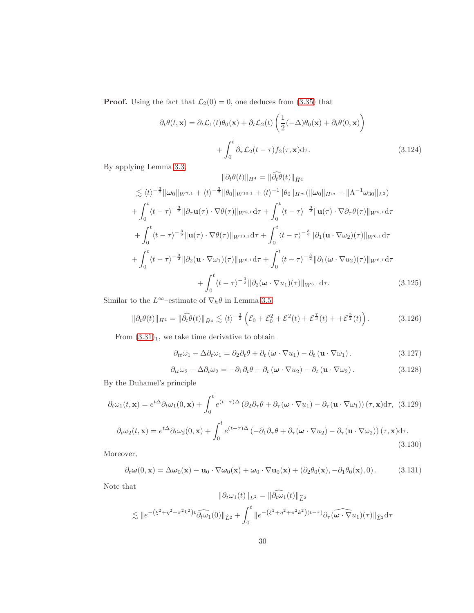**Proof.** Using the fact that  $\mathcal{L}_2(0) = 0$ , one deduces from [\(3.35\)](#page-14-2) that

$$
\partial_t \theta(t, \mathbf{x}) = \partial_t \mathcal{L}_1(t) \theta_0(\mathbf{x}) + \partial_t \mathcal{L}_2(t) \left( \frac{1}{2} (-\Delta) \theta_0(\mathbf{x}) + \partial_t \theta(0, \mathbf{x}) \right)
$$

$$
+ \int_0^t \partial_\tau \mathcal{L}_2(t - \tau) f_2(\tau, \mathbf{x}) d\tau.
$$
(3.124)

By applying Lemma [3.3,](#page-11-2)

$$
\|\partial_t \theta(t)\|_{H^4} = \|\widehat{\partial_t \theta}(t)\|_{\widehat{H}^4}
$$
  
\n
$$
\lesssim \langle t \rangle^{-\frac{3}{2}} \|\omega_0\|_{W^{7,1}} + \langle t \rangle^{-\frac{3}{2}} \|\theta_0\|_{W^{10,1}} + \langle t \rangle^{-1} \|\theta_0\|_{H^m} (\|\omega_0\|_{H^m} + \|\Lambda^{-1} \omega_{30}\|_{L^2})
$$
  
\n
$$
+ \int_0^t \langle t - \tau \rangle^{-\frac{3}{2}} \|\partial_\tau \mathbf{u}(\tau) \cdot \nabla \theta(\tau) \|_{W^{8,1}} d\tau + \int_0^t \langle t - \tau \rangle^{-\frac{3}{2}} \|\mathbf{u}(\tau) \cdot \nabla \partial_\tau \theta(\tau) \|_{W^{8,1}} d\tau
$$
  
\n
$$
+ \int_0^t \langle t - \tau \rangle^{-\frac{3}{2}} \|\mathbf{u}(\tau) \cdot \nabla \theta(\tau) \|_{W^{10,1}} d\tau + \int_0^t \langle t - \tau \rangle^{-\frac{3}{2}} \|\partial_1 (\mathbf{u} \cdot \nabla \omega_2)(\tau) \|_{W^{6,1}} d\tau
$$
  
\n
$$
+ \int_0^t \langle t - \tau \rangle^{-\frac{3}{2}} \|\partial_2 (\mathbf{u} \cdot \nabla \omega_1)(\tau) \|_{W^{6,1}} d\tau + \int_0^t \langle t - \tau \rangle^{-\frac{3}{2}} \|\partial_1 (\omega \cdot \nabla u_2)(\tau) \|_{W^{6,1}} d\tau
$$
  
\n
$$
+ \int_0^t \langle t - \tau \rangle^{-\frac{3}{2}} \|\partial_2 (\omega \cdot \nabla u_1)(\tau) \|_{W^{6,1}} d\tau.
$$
 (3.125)

Similar to the  $L^\infty\mathrm{-estimate}$  of  $\nabla_h\theta$  in Lemma [3.5,](#page-17-2)

<span id="page-29-1"></span>
$$
\|\partial_t \theta(t)\|_{H^4} = \|\widehat{\partial_t \theta}(t)\|_{\widehat{H}^4} \lesssim \langle t \rangle^{-\frac{3}{2}} \left(\mathcal{E}_0 + \mathcal{E}_0^2 + \mathcal{E}^2(t) + \mathcal{E}^{\frac{7}{3}}(t) + \mathcal{E}^{\frac{5}{2}}(t)\right). \tag{3.126}
$$

From  $(3.31)<sub>1</sub>$  $(3.31)<sub>1</sub>$  $(3.31)<sub>1</sub>$ , we take time derivative to obtain

$$
\partial_{tt}\omega_1 - \Delta \partial_t \omega_1 = \partial_2 \partial_t \theta + \partial_t (\boldsymbol{\omega} \cdot \nabla u_1) - \partial_t (\mathbf{u} \cdot \nabla \omega_1).
$$
 (3.127)

$$
\partial_{tt}\omega_2 - \Delta\partial_t\omega_2 = -\partial_1\partial_t\theta + \partial_t\left(\boldsymbol{\omega}\cdot\nabla u_2\right) - \partial_t\left(\mathbf{u}\cdot\nabla\omega_2\right). \tag{3.128}
$$

By the Duhamel's principle

$$
\partial_t \omega_1(t, \mathbf{x}) = e^{t\Delta} \partial_t \omega_1(0, \mathbf{x}) + \int_0^t e^{(t-\tau)\Delta} \left( \partial_2 \partial_\tau \theta + \partial_\tau (\boldsymbol{\omega} \cdot \nabla u_1) - \partial_\tau (\mathbf{u} \cdot \nabla \omega_1) \right) (\tau, \mathbf{x}) d\tau, (3.129)
$$

$$
\partial_t \omega_2(t, \mathbf{x}) = e^{t\Delta} \partial_t \omega_2(0, \mathbf{x}) + \int_0^t e^{(t-\tau)\Delta} \left( -\partial_1 \partial_\tau \theta + \partial_\tau (\boldsymbol{\omega} \cdot \nabla u_2) - \partial_\tau (\mathbf{u} \cdot \nabla \omega_2) \right) (\tau, \mathbf{x}) d\tau.
$$
\n(3.130)

Moreover,

<span id="page-29-0"></span>
$$
\partial_t \boldsymbol{\omega}(0, \mathbf{x}) = \Delta \boldsymbol{\omega}_0(\mathbf{x}) - \mathbf{u}_0 \cdot \nabla \boldsymbol{\omega}_0(\mathbf{x}) + \boldsymbol{\omega}_0 \cdot \nabla \mathbf{u}_0(\mathbf{x}) + (\partial_2 \theta_0(\mathbf{x}), -\partial_1 \theta_0(\mathbf{x}), 0). \tag{3.131}
$$

Note that

$$
\|\partial_t \omega_1(t)\|_{L^2} = \|\widehat{\partial_t \omega_1}(t)\|_{\widehat{L}^2}
$$
  

$$
\lesssim \|e^{-(\xi^2 + \eta^2 + \pi^2 k^2)t} \widehat{\partial_t \omega_1}(0)\|_{\widehat{L}^2} + \int_0^t \|e^{-(\xi^2 + \eta^2 + \pi^2 k^2)(t-\tau)} \partial_\tau (\widehat{\omega \cdot \nabla u_1})(\tau)\|_{\widehat{L}^2} d\tau
$$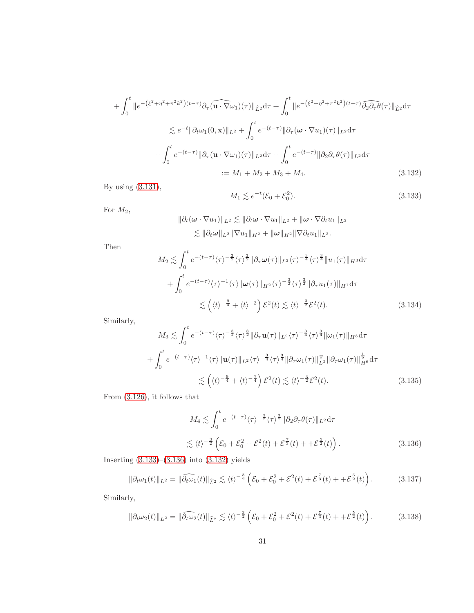$$
+ \int_0^t \|e^{-(\xi^2 + \eta^2 + \pi^2 k^2)(t-\tau)} \partial_\tau \widehat{(\mathbf{u} \cdot \nabla \omega_1)}(\tau) \|_{\widehat{L}^2} d\tau + \int_0^t \|e^{-(\xi^2 + \eta^2 + \pi^2 k^2)(t-\tau)} \widehat{\partial_2 \partial_\tau \theta}(\tau) \|_{\widehat{L}^2} d\tau
$$
  

$$
\lesssim e^{-t} \|\partial_t \omega_1(0, \mathbf{x})\|_{L^2} + \int_0^t e^{-(t-\tau)} \|\partial_\tau (\boldsymbol{\omega} \cdot \nabla u_1)(\tau) \|_{L^2} d\tau
$$
  

$$
+ \int_0^t e^{-(t-\tau)} \|\partial_\tau (\mathbf{u} \cdot \nabla \omega_1)(\tau) \|_{L^2} d\tau + \int_0^t e^{-(t-\tau)} \|\partial_2 \partial_\tau \theta(\tau) \|_{L^2} d\tau
$$
  

$$
:= M_1 + M_2 + M_3 + M_4.
$$
 (3.132)

By using [\(3.131\)](#page-29-0),

<span id="page-30-2"></span><span id="page-30-0"></span>
$$
M_1 \lesssim e^{-t} (\mathcal{E}_0 + \mathcal{E}_0^2). \tag{3.133}
$$

For  $M_2$ ,

$$
\begin{aligned} \|\partial_t(\boldsymbol{\omega}\cdot\nabla u_1)\|_{L^2} &\lesssim \|\partial_t\boldsymbol{\omega}\cdot\nabla u_1\|_{L^2} + \|\boldsymbol{\omega}\cdot\nabla\partial_t u_1\|_{L^2} \\ &\lesssim \|\partial_t\boldsymbol{\omega}\|_{L^2} \|\nabla u_1\|_{H^2} + \|\boldsymbol{\omega}\|_{H^2} \|\nabla\partial_t u_1\|_{L^2} .\end{aligned}
$$

Then

$$
M_2 \lesssim \int_0^t e^{-(t-\tau)} \langle \tau \rangle^{-\frac{3}{2}} \langle \tau \rangle^{\frac{3}{2}} \|\partial_\tau \omega(\tau)\|_{L^2} \langle \tau \rangle^{-\frac{3}{4}} \langle \tau \rangle^{\frac{3}{4}} \|u_1(\tau)\|_{H^3} d\tau
$$
  
+ 
$$
\int_0^t e^{-(t-\tau)} \langle \tau \rangle^{-1} \langle \tau \rangle \|\omega(\tau)\|_{H^2} \langle \tau \rangle^{-\frac{3}{2}} \langle \tau \rangle^{\frac{3}{2}} \|\partial_\tau u_1(\tau)\|_{H^1} d\tau
$$
  

$$
\lesssim \left(\langle t \rangle^{-\frac{9}{4}} + \langle t \rangle^{-2}\right) \mathcal{E}^2(t) \lesssim \langle t \rangle^{-\frac{3}{2}} \mathcal{E}^2(t). \tag{3.134}
$$

Similarly,

$$
M_3 \lesssim \int_0^t e^{-(t-\tau)} \langle \tau \rangle^{-\frac{3}{2}} \langle \tau \rangle^{\frac{3}{2}} \|\partial_\tau \mathbf{u}(\tau)\|_{L^2} \langle \tau \rangle^{-\frac{3}{4}} \langle \tau \rangle^{\frac{3}{4}} \|\omega_1(\tau)\|_{H^3} d\tau
$$
  
+ 
$$
\int_0^t e^{-(t-\tau)} \langle \tau \rangle^{-1} \langle \tau \rangle \|\mathbf{u}(\tau)\|_{L^2} \langle \tau \rangle^{-\frac{3}{4}} \langle \tau \rangle^{\frac{3}{4}} \|\partial_\tau \omega_1(\tau)\|_{L^2}^{\frac{1}{2}} \|\partial_\tau \omega_1(\tau)\|_{H^6}^{\frac{1}{2}} d\tau
$$
  

$$
\lesssim \left( \langle t \rangle^{-\frac{9}{4}} + \langle t \rangle^{-\frac{7}{4}} \right) \mathcal{E}^2(t) \lesssim \langle t \rangle^{-\frac{3}{2}} \mathcal{E}^2(t). \tag{3.135}
$$

From [\(3.126\)](#page-29-1), it follows that

<span id="page-30-1"></span>
$$
M_4 \lesssim \int_0^t e^{-(t-\tau)} \langle \tau \rangle^{-\frac{3}{2}} \langle \tau \rangle^{\frac{3}{2}} ||\partial_2 \partial_\tau \theta(\tau)||_{L^2} d\tau
$$
  

$$
\lesssim \langle t \rangle^{-\frac{3}{2}} \left( \mathcal{E}_0 + \mathcal{E}_0^2 + \mathcal{E}^2(t) + \mathcal{E}^{\frac{7}{3}}(t) + \mathcal{E}^{\frac{5}{2}}(t) \right).
$$
 (3.136)

Inserting [\(3.133\)](#page-30-0)–[\(3.136\)](#page-30-1) into [\(3.132\)](#page-30-2) yields

<span id="page-30-4"></span>
$$
\|\partial_t \omega_1(t)\|_{L^2} = \|\widehat{\partial_t \omega_1}(t)\|_{\widehat{L}^2} \lesssim \langle t \rangle^{-\frac{3}{2}} \left(\mathcal{E}_0 + \mathcal{E}_0^2 + \mathcal{E}^2(t) + \mathcal{E}^{\frac{7}{3}}(t) + \mathcal{E}^{\frac{5}{2}}(t)\right). \tag{3.137}
$$

Similarly,

<span id="page-30-3"></span>
$$
\|\partial_t \omega_2(t)\|_{L^2} = \|\widehat{\partial_t \omega_2}(t)\|_{\widehat{L}^2} \lesssim \langle t \rangle^{-\frac{3}{2}} \left(\mathcal{E}_0 + \mathcal{E}_0^2 + \mathcal{E}^2(t) + \mathcal{E}^{\frac{7}{3}}(t) + \mathcal{E}^{\frac{5}{2}}(t)\right). \tag{3.138}
$$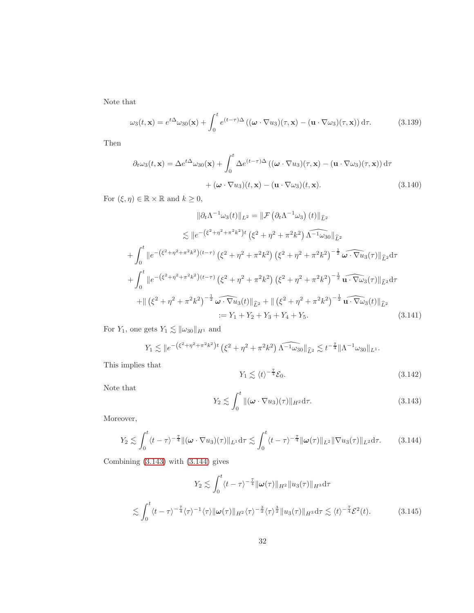Note that

$$
\omega_3(t, \mathbf{x}) = e^{t\Delta}\omega_{30}(\mathbf{x}) + \int_0^t e^{(t-\tau)\Delta} \left( (\boldsymbol{\omega} \cdot \nabla u_3)(\tau, \mathbf{x}) - (\mathbf{u} \cdot \nabla \omega_3)(\tau, \mathbf{x}) \right) d\tau.
$$
 (3.139)

Then

$$
\partial_t \omega_3(t, \mathbf{x}) = \Delta e^{t\Delta} \omega_{30}(\mathbf{x}) + \int_0^t \Delta e^{(t-\tau)\Delta} \left( (\boldsymbol{\omega} \cdot \nabla u_3)(\tau, \mathbf{x}) - (\mathbf{u} \cdot \nabla \omega_3)(\tau, \mathbf{x}) \right) d\tau + (\boldsymbol{\omega} \cdot \nabla u_3)(t, \mathbf{x}) - (\mathbf{u} \cdot \nabla \omega_3)(t, \mathbf{x}).
$$
\n(3.140)

For  $(\xi, \eta) \in \mathbb{R} \times \mathbb{R}$  and  $k \geq 0$ ,

$$
\|\partial_t \Lambda^{-1} \omega_3(t)\|_{L^2} = \|\mathcal{F} (\partial_t \Lambda^{-1} \omega_3) (t)\|_{\hat{L}^2}
$$
  
\n
$$
\lesssim \|e^{-(\xi^2 + \eta^2 + \pi^2 k^2)t} (\xi^2 + \eta^2 + \pi^2 k^2) \widehat{\Lambda^{-1} \omega_{30}}\|_{\hat{L}^2}
$$
  
\n
$$
+ \int_0^t \|e^{-(\xi^2 + \eta^2 + \pi^2 k^2)(t-\tau)} (\xi^2 + \eta^2 + \pi^2 k^2) (\xi^2 + \eta^2 + \pi^2 k^2)^{-\frac{1}{2}} \widehat{\omega \cdot \nabla u_3}(\tau)\|_{\hat{L}^2} d\tau
$$
  
\n
$$
+ \int_0^t \|e^{-(\xi^2 + \eta^2 + \pi^2 k^2)(t-\tau)} (\xi^2 + \eta^2 + \pi^2 k^2) (\xi^2 + \eta^2 + \pi^2 k^2)^{-\frac{1}{2}} \widehat{\mathbf{u} \cdot \nabla \omega_3}(\tau)\|_{\hat{L}^2} d\tau
$$
  
\n
$$
+ \|(\xi^2 + \eta^2 + \pi^2 k^2)^{-\frac{1}{2}} \widehat{\omega \cdot \nabla u_3}(t)\|_{\hat{L}^2} + \|(\xi^2 + \eta^2 + \pi^2 k^2)^{-\frac{1}{2}} \widehat{\mathbf{u} \cdot \nabla \omega_3}(\tau)\|_{\hat{L}^2}
$$
  
\n
$$
:= Y_1 + Y_2 + Y_3 + Y_4 + Y_5. \tag{3.141}
$$

For  $Y_1$ , one gets  $Y_1 \lesssim \|\omega_{30}\|_{H^1}$  and

$$
Y_1 \lesssim \|e^{-(\xi^2 + \eta^2 + \pi^2 k^2)t} (\xi^2 + \eta^2 + \pi^2 k^2) \widehat{\Lambda^{-1} \omega_{30}}\|_{\widehat{L}^2} \lesssim t^{-\frac{7}{4}} \|\Lambda^{-1} \omega_{30}\|_{L^1}.
$$

This implies that

<span id="page-31-4"></span><span id="page-31-2"></span>
$$
Y_1 \lesssim \langle t \rangle^{-\frac{7}{4}} \mathcal{E}_0. \tag{3.142}
$$

Note that

<span id="page-31-0"></span>
$$
Y_2 \lesssim \int_0^t \|(\boldsymbol{\omega} \cdot \nabla u_3)(\tau)\|_{H^2} d\tau.
$$
 (3.143)

Moreover,

<span id="page-31-1"></span>
$$
Y_2 \lesssim \int_0^t \langle t - \tau \rangle^{-\frac{7}{4}} \| (\boldsymbol{\omega} \cdot \nabla u_3)(\tau) \|_{L^1} d\tau \lesssim \int_0^t \langle t - \tau \rangle^{-\frac{7}{4}} \| \boldsymbol{\omega}(\tau) \|_{L^2} \| \nabla u_3(\tau) \|_{L^2} d\tau.
$$
 (3.144)

Combining [\(3.143\)](#page-31-0) with [\(3.144\)](#page-31-1) gives

<span id="page-31-3"></span>
$$
Y_2 \lesssim \int_0^t \langle t - \tau \rangle^{-\frac{7}{4}} \|\omega(\tau)\|_{H^2} \|u_3(\tau)\|_{H^3} d\tau
$$
  

$$
\lesssim \int_0^t \langle t - \tau \rangle^{-\frac{7}{4}} \langle \tau \rangle^{-1} \langle \tau \rangle \|\omega(\tau)\|_{H^2} \langle \tau \rangle^{-\frac{3}{2}} \langle \tau \rangle^{\frac{3}{2}} \|u_3(\tau)\|_{H^3} d\tau \lesssim \langle t \rangle^{-\frac{7}{4}} \mathcal{E}^2(t). \tag{3.145}
$$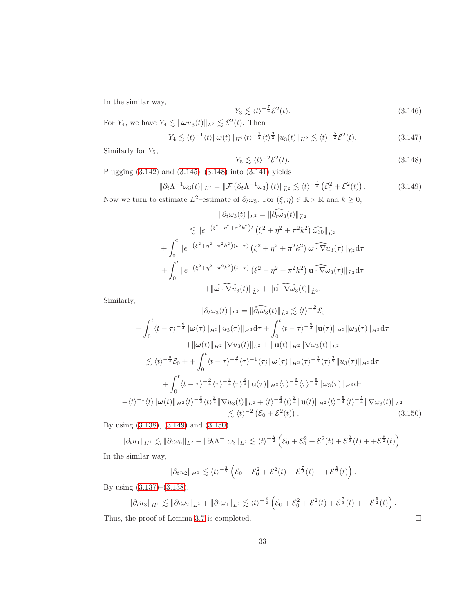In the similar way,

$$
Y_3 \lesssim \langle t \rangle^{-\frac{7}{4}} \mathcal{E}^2(t). \tag{3.146}
$$

For  $Y_4$ , we have  $Y_4 \lesssim ||\boldsymbol{\omega} u_3(t)||_{L^2} \lesssim \mathcal{E}^2(t)$ . Then

$$
Y_4 \lesssim \langle t \rangle^{-1} \langle t \rangle \|\omega(t)\|_{H^2} \langle t \rangle^{-\frac{3}{2}} \langle t \rangle^{\frac{3}{2}} \|u_3(t)\|_{H^2} \lesssim \langle t \rangle^{-\frac{5}{2}} \mathcal{E}^2(t). \tag{3.147}
$$

Similarly for  $Y_5$ ,

<span id="page-32-0"></span>
$$
Y_5 \lesssim \langle t \rangle^{-2} \mathcal{E}^2(t). \tag{3.148}
$$

Plugging [\(3.142\)](#page-31-2) and [\(3.145\)](#page-31-3)–[\(3.148\)](#page-32-0) into [\(3.141\)](#page-31-4) yields

<span id="page-32-1"></span>
$$
\|\partial_t \Lambda^{-1} \omega_3(t)\|_{L^2} = \|\mathcal{F}\left(\partial_t \Lambda^{-1} \omega_3\right)(t)\|_{\widehat{L}^2} \lesssim \langle t \rangle^{-\frac{7}{4}} \left(\mathcal{E}_0^2 + \mathcal{E}^2(t)\right). \tag{3.149}
$$

Now we turn to estimate  $L^2$ -estimate of  $\partial_t \omega_3$ . For  $(\xi, \eta) \in \mathbb{R} \times \mathbb{R}$  and  $k \geq 0$ ,

$$
\|\partial_t \omega_3(t)\|_{L^2} = \|\tilde{\partial}_t \tilde{\omega_3}(t)\|_{\tilde{L}^2}
$$
  
\n
$$
\lesssim \|e^{-(\xi^2 + \eta^2 + \pi^2 k^2)t} (\xi^2 + \eta^2 + \pi^2 k^2) \widehat{\omega_{30}}\|_{\tilde{L}^2}
$$
  
\n
$$
+ \int_0^t \|e^{-(\xi^2 + \eta^2 + \pi^2 k^2)(t-\tau)} (\xi^2 + \eta^2 + \pi^2 k^2) \widehat{\omega \cdot \nabla u_3}(\tau)\|_{\tilde{L}^2} d\tau
$$
  
\n
$$
+ \int_0^t \|e^{-(\xi^2 + \eta^2 + \pi^2 k^2)(t-\tau)} (\xi^2 + \eta^2 + \pi^2 k^2) \widehat{\mathbf{u} \cdot \nabla \omega_3}(\tau)\|_{\tilde{L}^2} d\tau
$$
  
\n
$$
+ \|\widehat{\omega \cdot \nabla u_3}(t)\|_{\tilde{L}^2} + \|\widehat{\mathbf{u} \cdot \nabla \omega_3}(t)\|_{\tilde{L}^2}.
$$

Similarly,

$$
\|\partial_t \omega_3(t)\|_{L^2} = \|\widehat{\partial_t \omega_3}(t)\|_{\widehat{L}^2} \lesssim \langle t \rangle^{-\frac{9}{4}} \mathcal{E}_0
$$
  
+  $\int_0^t \langle t - \tau \rangle^{-\frac{9}{4}} \|\omega(\tau)\|_{H^3} \|u_3(\tau)\|_{H^3} d\tau + \int_0^t \langle t - \tau \rangle^{-\frac{9}{4}} \|\mathbf{u}(\tau)\|_{H^3} \|\omega_3(\tau)\|_{H^3} d\tau$   
+  $\|\omega(t)\|_{H^2} \|\nabla u_3(t)\|_{L^2} + \|\mathbf{u}(t)\|_{H^2} \|\nabla \omega_3(t)\|_{L^2}$   
 $\lesssim \langle t \rangle^{-\frac{9}{4}} \mathcal{E}_0 + \int_0^t \langle t - \tau \rangle^{-\frac{9}{4}} \langle \tau \rangle^{-1} \langle \tau \rangle \|\omega(\tau)\|_{H^3} \langle \tau \rangle^{-\frac{3}{2}} \langle \tau \rangle^{\frac{3}{2}} \|u_3(\tau)\|_{H^3} d\tau$   
+  $\int_0^t \langle t - \tau \rangle^{-\frac{9}{4}} \langle \tau \rangle^{-\frac{3}{4}} \langle \tau \rangle^{\frac{3}{4}} \|\mathbf{u}(\tau)\|_{H^3} \langle \tau \rangle^{-\frac{5}{4}} \langle \tau \rangle^{-\frac{5}{4}} \|\omega_3(\tau)\|_{H^3} d\tau$   
+  $\langle t \rangle^{-1} \langle t \rangle \|\omega(t)\|_{H^2} \langle t \rangle^{-\frac{3}{2}} \langle t \rangle^{\frac{3}{2}} \|\nabla u_3(t)\|_{L^2} + \langle t \rangle^{-\frac{3}{4}} \langle t \rangle^{\frac{3}{4}} \|\mathbf{u}(t)\|_{H^2} \langle t \rangle^{-\frac{5}{4}} \langle t \rangle^{-\frac{5}{4}} \|\nabla \omega_3(t)\|_{L^2}$   
 $\lesssim \langle t \rangle^{-2} (\mathcal{E}_0 + \mathcal{E}^2(t)) .$  (3.150)

By using [\(3.138\)](#page-30-3), [\(3.149\)](#page-32-1) and [\(3.150\)](#page-32-2),

 $\|\partial_t u_1\|_{H^1} \lesssim \|\partial_t\omega_h\|_{L^2} + \|\partial_t\Lambda^{-1}\omega_3\|_{L^2} \lesssim \langle t \rangle^{-\frac{3}{2}} \left(\mathcal{E}_0 + \mathcal{E}_0^2 + \mathcal{E}^2(t) + \mathcal{E}^{\frac{7}{3}}(t) + + \mathcal{E}^{\frac{5}{2}}(t)\right).$ In the similar way,

<span id="page-32-2"></span>
$$
\|\partial_t u_2\|_{H^1} \lesssim \langle t \rangle^{-\frac{3}{2}} \left(\mathcal{E}_0 + \mathcal{E}_0^2 + \mathcal{E}^2(t) + \mathcal{E}^{\frac{7}{3}}(t) + + \mathcal{E}^{\frac{5}{2}}(t)\right).
$$

By using [\(3.137\)](#page-30-4)–[\(3.138\)](#page-30-3),

$$
\|\partial_t u_3\|_{H^1} \lesssim \|\partial_t \omega_2\|_{L^2} + \|\partial_t \omega_1\|_{L^2} \lesssim \langle t \rangle^{-\frac{3}{2}} \left(\mathcal{E}_0 + \mathcal{E}_0^2 + \mathcal{E}^2(t) + \mathcal{E}^{\frac{7}{3}}(t) + + \mathcal{E}^{\frac{5}{2}}(t)\right).
$$

Thus, the proof of Lemma [3.7](#page-28-5) is completed.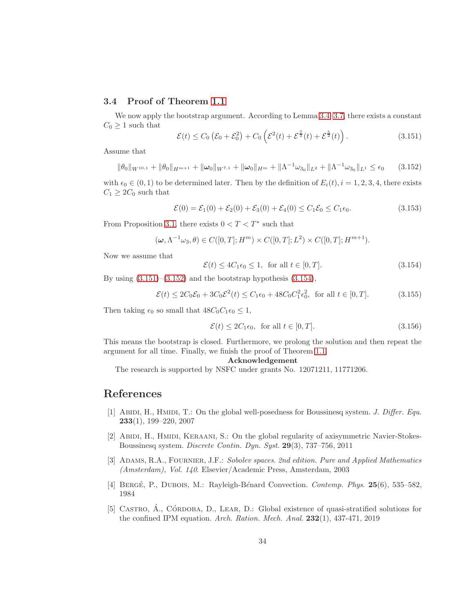## 3.4 Proof of Theorem [1.1](#page-2-0)

We now apply the bootstrap argument. According to Lemma [3.4–](#page-14-3)[3.7,](#page-28-5) there exists a constant  $C_0 \geq 1$  such that

<span id="page-33-5"></span>
$$
\mathcal{E}(t) \leq C_0 \left( \mathcal{E}_0 + \mathcal{E}_0^2 \right) + C_0 \left( \mathcal{E}^2(t) + \mathcal{E}^{\frac{7}{3}}(t) + \mathcal{E}^{\frac{5}{2}}(t) \right). \tag{3.151}
$$

Assume that

<span id="page-33-6"></span>
$$
\|\theta_0\|_{W^{10,1}} + \|\theta_0\|_{H^{m+1}} + \|\omega_0\|_{W^{7,1}} + \|\omega_0\|_{H^m} + \|\Lambda^{-1}\omega_{3_0}\|_{L^2} + \|\Lambda^{-1}\omega_{3_0}\|_{L^1} \le \epsilon_0 \qquad (3.152)
$$

with  $\epsilon_0 \in (0,1)$  to be determined later. Then by the definition of  $E_i(t)$ ,  $i = 1, 2, 3, 4$ , there exists  $C_1 \geq 2C_0$  such that

$$
\mathcal{E}(0) = \mathcal{E}_1(0) + \mathcal{E}_2(0) + \mathcal{E}_3(0) + \mathcal{E}_4(0) \le C_1 \mathcal{E}_0 \le C_1 \epsilon_0.
$$
\n(3.153)

From Proposition [3.1,](#page-7-0) there exists  $0 < T < T^*$  such that

$$
(\boldsymbol{\omega}, \Lambda^{-1} \omega_3, \theta) \in C([0, T]; H^m) \times C([0, T]; L^2) \times C([0, T]; H^{m+1}).
$$

Now we assume that

<span id="page-33-7"></span>
$$
\mathcal{E}(t) \le 4C_1\epsilon_0 \le 1, \text{ for all } t \in [0, T].\tag{3.154}
$$

By using  $(3.151)$ – $(3.152)$  and the bootstrap hypothesis  $(3.154)$ ,

$$
\mathcal{E}(t) \le 2C_0 \mathcal{E}_0 + 3C_0 \mathcal{E}^2(t) \le C_1 \epsilon_0 + 48C_0 C_1^2 \epsilon_0^2, \text{ for all } t \in [0, T]. \tag{3.155}
$$

Then taking  $\epsilon_0$  so small that  $48C_0C_1\epsilon_0 \leq 1$ ,

$$
\mathcal{E}(t) \le 2C_1\epsilon_0, \text{ for all } t \in [0, T].\tag{3.156}
$$

This means the bootstrap is closed. Furthermore, we prolong the solution and then repeat the argument for all time. Finally, we finish the proof of Theorem [1.1.](#page-2-0)

#### Acknowledgement

The research is supported by NSFC under grants No. 12071211, 11771206.

# <span id="page-33-0"></span>References

- [1] ABIDI, H., HMIDI, T.: On the global well-posedness for Boussinesq system. J. Differ. Equ. 233(1), 199–220, 2007
- <span id="page-33-1"></span>[2] Abidi, H., Hmidi, Keraani, S.: On the global regularity of axisymmetric Navier-Stokes-Boussinesq system. Discrete Contin. Dyn. Syst. 29(3), 737–756, 2011
- <span id="page-33-4"></span>[3] ADAMS, R.A., FOURNIER, J.F.: Sobolev spaces. 2nd edition. Pure and Applied Mathematics (Amsterdam), Vol. 140. Elsevier/Academic Press, Amsterdam, 2003
- <span id="page-33-3"></span><span id="page-33-2"></span>[4] BERGÉ, P., DUBOIS, M.: Rayleigh-Bénard Convection. Contemp. Phys. 25(6), 535–582, 1984
- [5] CASTRO, A., CÓRDOBA, D., LEAR, D.: Global existence of quasi-stratified solutions for the confined IPM equation. Arch. Ration. Mech. Anal. 232(1), 437-471, 2019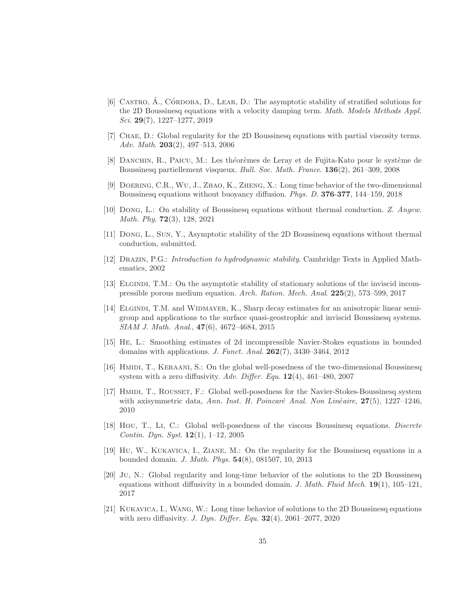- <span id="page-34-14"></span> $[6]$  CASTRO, A., CÓRDOBA, D., LEAR, D.: The asymptotic stability of stratified solutions for the 2D Boussinesq equations with a velocity damping term. Math. Models Methods Appl. Sci. 29(7), 1227–1277, 2019
- <span id="page-34-0"></span>[7] Chae, D.: Global regularity for the 2D Boussinesq equations with partial viscosity terms. Adv. Math. 203(2), 497–513, 2006
- <span id="page-34-1"></span>[8] DANCHIN, R., PAICU, M.: Les théorèmes de Leray et de Fujita-Kato pour le système de Boussinesq partiellement visqueux. Bull. Soc. Math. France. 136(2), 261–309, 2008
- <span id="page-34-9"></span><span id="page-34-8"></span>[9] Doering, C.R., Wu, J., Zhao, K., Zheng, X.: Long time behavior of the two-dimensional Boussinesq equations without buoyancy diffusion. Phys. D. 376-377, 144–159, 2018
- [10] Dong, L.: On stability of Boussinesq equations without thermal conduction. Z. Angew. Math. Phy. 72(3), 128, 2021
- <span id="page-34-13"></span><span id="page-34-10"></span>[11] Dong, L., Sun, Y., Asymptotic stability of the 2D Boussinesq equations without thermal conduction, submitted.
- <span id="page-34-15"></span>[12] Drazin, P.G.: Introduction to hydrodynamic stability. Cambridge Texts in Applied Mathematics, 2002
- [13] ELGINDI, T.M.: On the asymptotic stability of stationary solutions of the inviscid incompressible porous medium equation. Arch. Ration. Mech. Anal. 225(2), 573–599, 2017
- <span id="page-34-12"></span>[14] ELGINDI, T.M. and WIDMAYER, K., Sharp decay estimates for an anisotropic linear semigroup and applications to the surface quasi-geostrophic and inviscid Boussinesq systems. SIAM J. Math. Anal., 47(6), 4672–4684, 2015
- <span id="page-34-2"></span>[15] He, L.: Smoothing estimates of 2d incompressible Navier-Stokes equations in bounded domains with applications. J. Funct. Anal. 262(7), 3430–3464, 2012
- <span id="page-34-3"></span>[16] Hmidi, T., Keraani, S.: On the global well-posedness of the two-dimensional Boussinesq system with a zero diffusivity. Adv. Differ. Equ.  $12(4)$ ,  $461-480$ ,  $2007$
- <span id="page-34-11"></span>[17] HMIDI, T., ROUSSET, F.: Global well-posedness for the Navier-Stokes-Boussinesq system with axisymmetric data, Ann. Inst. H. Poincaré Anal. Non Linéaire,  $27(5)$ , 1227–1246, 2010
- <span id="page-34-4"></span>[18] Hou, T., Li, C.: Global well-posedness of the viscous Boussinesq equations. Discrete Contin. Dyn. Syst.  $12(1)$ ,  $1-12$ , 2005
- <span id="page-34-5"></span>[19] Hu, W., Kukavica, I., Ziane, M.: On the regularity for the Boussinesq equations in a bounded domain. J. Math. Phys. 54(8), 081507, 10, 2013
- <span id="page-34-6"></span>[20] Ju, N.: Global regularity and long-time behavior of the solutions to the 2D Boussinesq equations without diffusivity in a bounded domain. J. Math. Fluid Mech.  $19(1)$ ,  $105-121$ , 2017
- <span id="page-34-7"></span>[21] Kukavica, I., Wang, W.: Long time behavior of solutions to the 2D Boussinesq equations with zero diffusivity. *J. Dyn. Differ. Equ.* **32**(4), 2061–2077, 2020